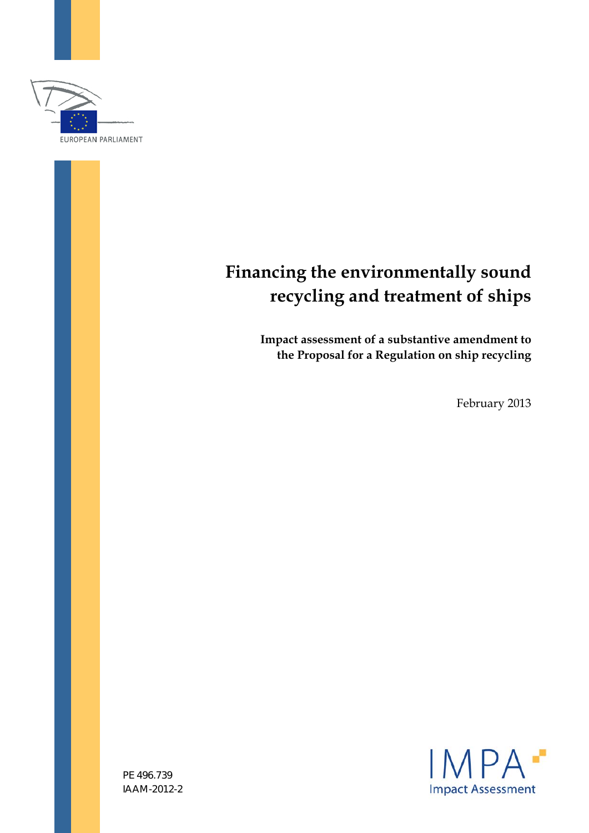

# **Financing the environmentally sound recycling and treatment of ships**

**Impact assessment of a substantive amendment to the Proposal for a Regulation on ship recycling** 

February 2013



PE 496.739 IAAM-2012-2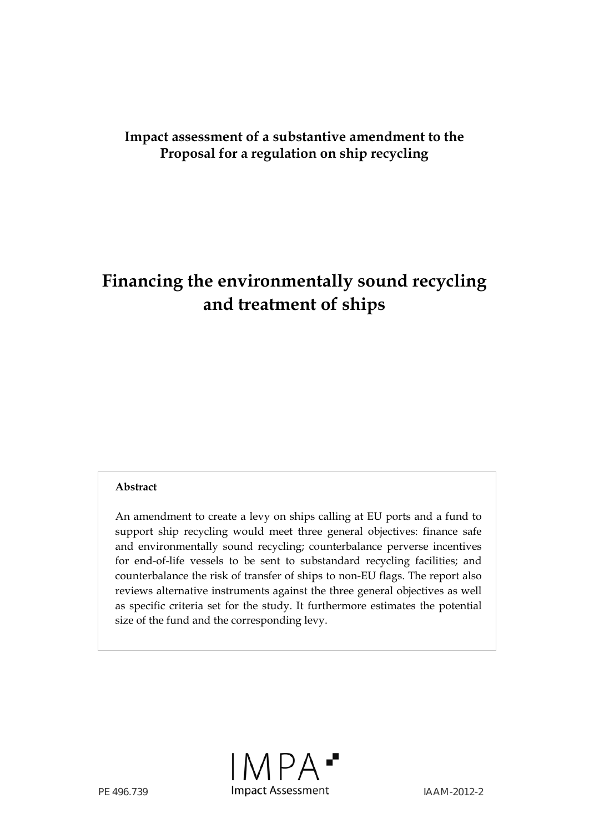# **Impact assessment of a substantive amendment to the Proposal for a regulation on ship recycling**

# **Financing the environmentally sound recycling and treatment of ships**

## **Abstract**

An amendment to create a levy on ships calling at EU ports and a fund to support ship recycling would meet three general objectives: finance safe and environmentally sound recycling; counterbalance perverse incentives for end-of-life vessels to be sent to substandard recycling facilities; and counterbalance the risk of transfer of ships to non-EU flags. The report also reviews alternative instruments against the three general objectives as well as specific criteria set for the study. It furthermore estimates the potential size of the fund and the corresponding levy.

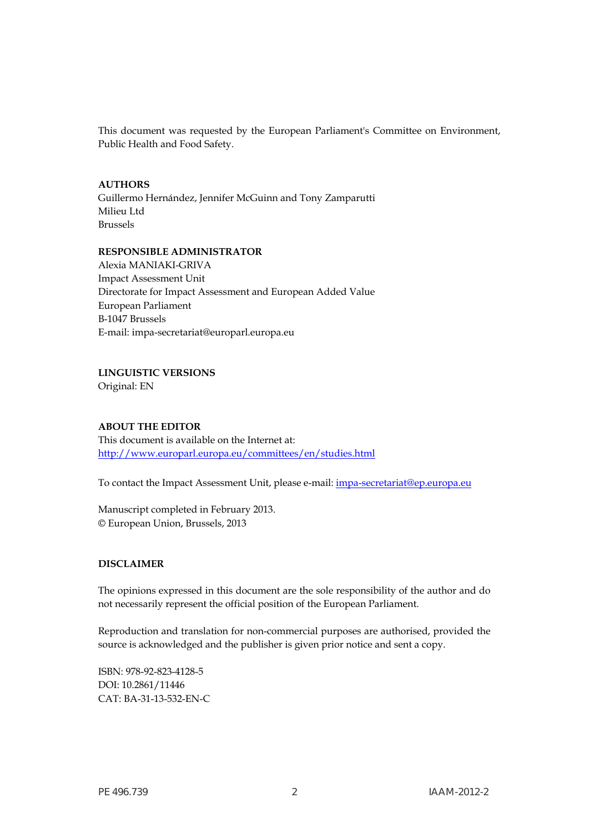This document was requested by the European Parliament's Committee on Environment, Public Health and Food Safety.

#### **AUTHORS**

Guillermo Hernández, Jennifer McGuinn and Tony Zamparutti Milieu Ltd Brussels

#### **RESPONSIBLE ADMINISTRATOR**

Alexia MANIAKI-GRIVA Impact Assessment Unit Directorate for Impact Assessment and European Added Value European Parliament B-1047 Brussels E-mail: impa-secretariat@europarl.europa.eu

**LINGUISTIC VERSIONS** 

Original: EN

#### **ABOUT THE EDITOR**

This document is available on the Internet at: <http://www.europarl.europa.eu/committees/en/studies.html>

To contact the Impact Assessment Unit, please e-mail: [impa-secretariat@ep.europa.eu](mailto:impa-secretariat@ep.europa.eu)

Manuscript completed in February 2013. © European Union, Brussels, 2013

#### **DISCLAIMER**

The opinions expressed in this document are the sole responsibility of the author and do not necessarily represent the official position of the European Parliament.

Reproduction and translation for non-commercial purposes are authorised, provided the source is acknowledged and the publisher is given prior notice and sent a copy.

ISBN: 978-92-823-4128-5 DOI: 10.2861/11446 CAT: BA-31-13-532-EN-C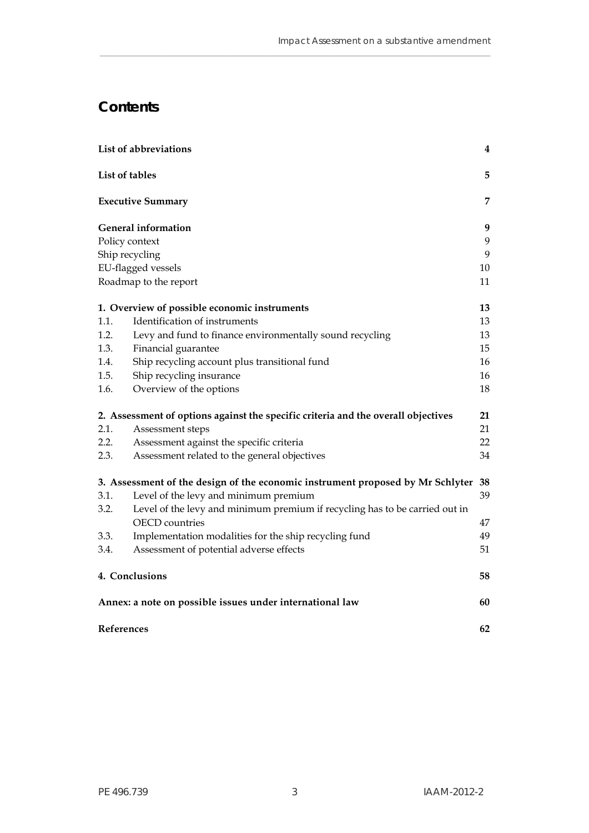# **Contents**

|      | List of abbreviations                                                                                | 4  |
|------|------------------------------------------------------------------------------------------------------|----|
|      | List of tables                                                                                       | 5  |
|      | <b>Executive Summary</b>                                                                             | 7  |
|      | <b>General information</b>                                                                           | 9  |
|      | Policy context                                                                                       | 9  |
|      | Ship recycling                                                                                       | 9  |
|      | EU-flagged vessels                                                                                   | 10 |
|      | Roadmap to the report                                                                                | 11 |
|      | 1. Overview of possible economic instruments                                                         | 13 |
| 1.1. | Identification of instruments                                                                        | 13 |
| 1.2. | Levy and fund to finance environmentally sound recycling                                             | 13 |
| 1.3. | Financial guarantee                                                                                  | 15 |
| 1.4. | Ship recycling account plus transitional fund                                                        | 16 |
| 1.5. | Ship recycling insurance                                                                             | 16 |
| 1.6. | Overview of the options                                                                              | 18 |
|      | 2. Assessment of options against the specific criteria and the overall objectives                    | 21 |
| 2.1. | Assessment steps                                                                                     | 21 |
| 2.2. | Assessment against the specific criteria                                                             | 22 |
| 2.3. | Assessment related to the general objectives                                                         | 34 |
|      | 3. Assessment of the design of the economic instrument proposed by Mr Schlyter                       | 38 |
| 3.1. | Level of the levy and minimum premium                                                                | 39 |
| 3.2. | Level of the levy and minimum premium if recycling has to be carried out in<br><b>OECD</b> countries | 47 |
| 3.3. | Implementation modalities for the ship recycling fund                                                | 49 |
| 3.4. | Assessment of potential adverse effects                                                              | 51 |
|      | 4. Conclusions                                                                                       | 58 |
|      | Annex: a note on possible issues under international law                                             | 60 |
|      | References                                                                                           | 62 |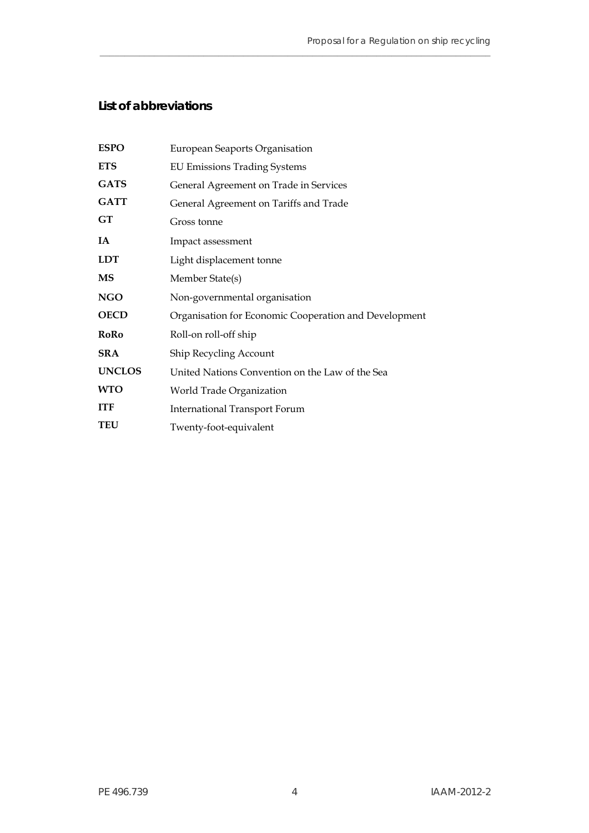# <span id="page-5-0"></span>**List of abbreviations**

| <b>ESPO</b>   | European Seaports Organisation                        |
|---------------|-------------------------------------------------------|
| <b>ETS</b>    | <b>EU Emissions Trading Systems</b>                   |
| <b>GATS</b>   | General Agreement on Trade in Services                |
| <b>GATT</b>   | General Agreement on Tariffs and Trade                |
| GT            | Gross tonne                                           |
| IA            | Impact assessment                                     |
| <b>LDT</b>    | Light displacement tonne                              |
| <b>MS</b>     | Member State(s)                                       |
| <b>NGO</b>    | Non-governmental organisation                         |
| <b>OECD</b>   | Organisation for Economic Cooperation and Development |
| <b>RoRo</b>   | Roll-on roll-off ship                                 |
| <b>SRA</b>    | <b>Ship Recycling Account</b>                         |
| <b>UNCLOS</b> | United Nations Convention on the Law of the Sea       |
| <b>WTO</b>    | World Trade Organization                              |
| <b>ITF</b>    | <b>International Transport Forum</b>                  |
| <b>TEU</b>    | Twenty-foot-equivalent                                |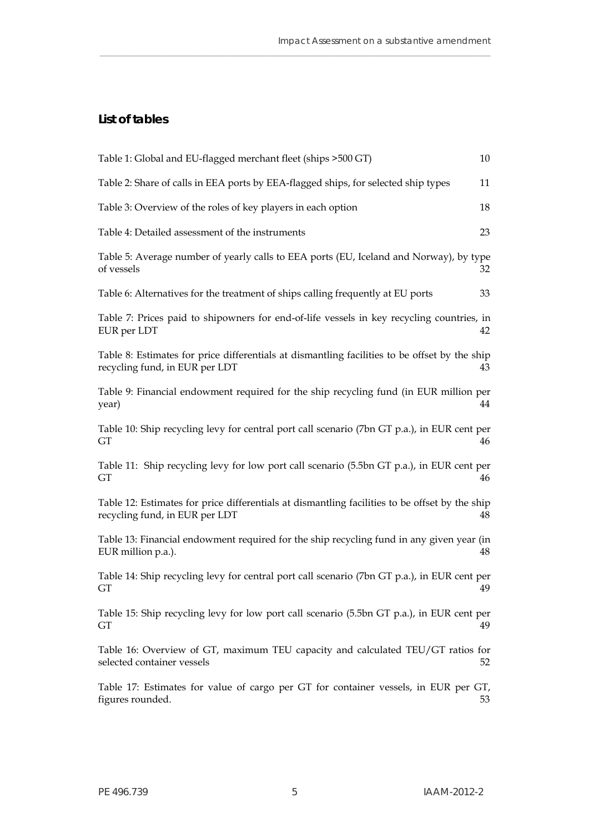# <span id="page-6-0"></span>**List of tables**

| Table 1: Global and EU-flagged merchant fleet (ships > 500 GT)                                                                   | 10 |
|----------------------------------------------------------------------------------------------------------------------------------|----|
| Table 2: Share of calls in EEA ports by EEA-flagged ships, for selected ship types                                               | 11 |
| Table 3: Overview of the roles of key players in each option                                                                     | 18 |
| Table 4: Detailed assessment of the instruments                                                                                  | 23 |
| Table 5: Average number of yearly calls to EEA ports (EU, Iceland and Norway), by type<br>of vessels                             | 32 |
| Table 6: Alternatives for the treatment of ships calling frequently at EU ports                                                  | 33 |
| Table 7: Prices paid to shipowners for end-of-life vessels in key recycling countries, in<br>EUR per LDT                         | 42 |
| Table 8: Estimates for price differentials at dismantling facilities to be offset by the ship<br>recycling fund, in EUR per LDT  | 43 |
| Table 9: Financial endowment required for the ship recycling fund (in EUR million per<br>year)                                   | 44 |
| Table 10: Ship recycling levy for central port call scenario (7bn GT p.a.), in EUR cent per<br>GТ                                | 46 |
| Table 11: Ship recycling levy for low port call scenario (5.5bn GT p.a.), in EUR cent per<br>GТ                                  | 46 |
| Table 12: Estimates for price differentials at dismantling facilities to be offset by the ship<br>recycling fund, in EUR per LDT | 48 |
| Table 13: Financial endowment required for the ship recycling fund in any given year (in<br>EUR million p.a.).                   | 48 |
| Table 14: Ship recycling levy for central port call scenario (7bn GT p.a.), in EUR cent per<br>GТ                                | 49 |
| Table 15: Ship recycling levy for low port call scenario (5.5bn GT p.a.), in EUR cent per<br>GT                                  | 49 |
| Table 16: Overview of GT, maximum TEU capacity and calculated TEU/GT ratios for<br>selected container vessels                    | 52 |
| Table 17: Estimates for value of cargo per GT for container vessels, in EUR per GT,<br>figures rounded.                          | 53 |
|                                                                                                                                  |    |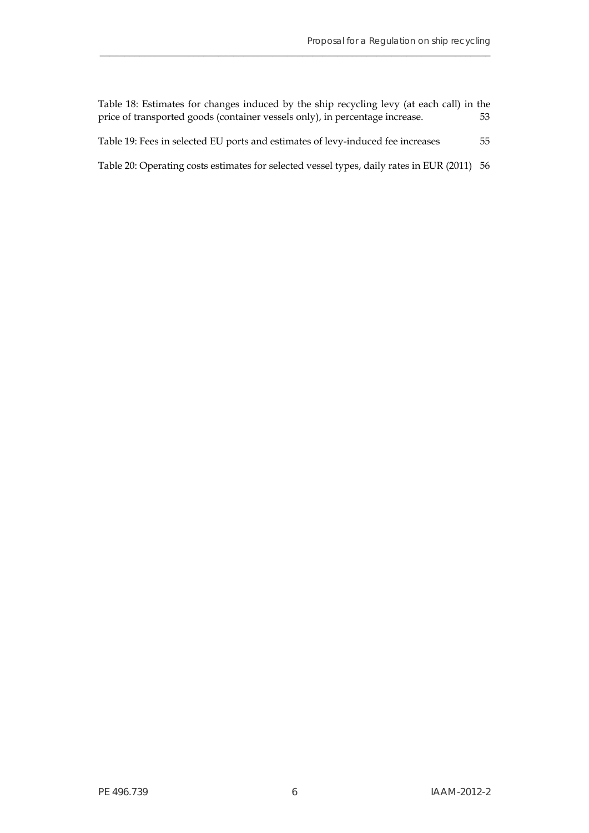| Table 18: Estimates for changes induced by the ship recycling levy (at each call) in the<br>price of transported goods (container vessels only), in percentage increase. | 53 |
|--------------------------------------------------------------------------------------------------------------------------------------------------------------------------|----|
| Table 19: Fees in selected EU ports and estimates of levy-induced fee increases                                                                                          | 55 |
| Table 20: Operating costs estimates for selected vessel types, daily rates in EUR (2011) 56                                                                              |    |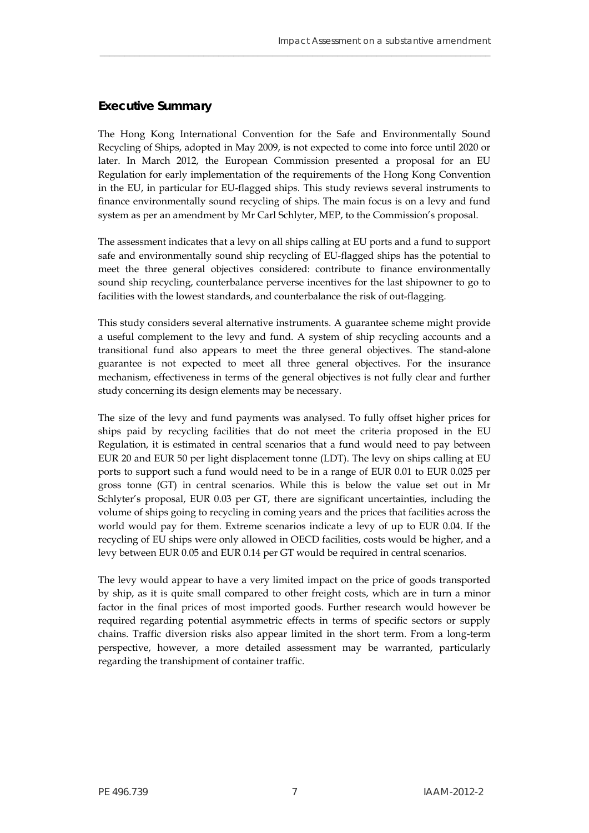## <span id="page-8-0"></span>**Executive Summary**

The Hong Kong International Convention for the Safe and Environmentally Sound Recycling of Ships, adopted in May 2009, is not expected to come into force until 2020 or later. In March 2012, the European Commission presented a proposal for an EU Regulation for early implementation of the requirements of the Hong Kong Convention in the EU, in particular for EU-flagged ships. This study reviews several instruments to finance environmentally sound recycling of ships. The main focus is on a levy and fund system as per an amendment by Mr Carl Schlyter, MEP, to the Commission's proposal.

\_\_\_\_\_\_\_\_\_\_\_\_\_\_\_\_\_\_\_\_\_\_\_\_\_\_\_\_\_\_\_\_\_\_\_\_\_\_\_\_\_\_\_\_\_\_\_\_\_\_\_\_\_\_\_\_\_\_\_\_\_\_\_\_\_\_\_\_\_\_\_\_\_\_\_\_\_\_\_

The assessment indicates that a levy on all ships calling at EU ports and a fund to support safe and environmentally sound ship recycling of EU-flagged ships has the potential to meet the three general objectives considered: contribute to finance environmentally sound ship recycling, counterbalance perverse incentives for the last shipowner to go to facilities with the lowest standards, and counterbalance the risk of out-flagging.

This study considers several alternative instruments. A guarantee scheme might provide a useful complement to the levy and fund. A system of ship recycling accounts and a transitional fund also appears to meet the three general objectives. The stand-alone guarantee is not expected to meet all three general objectives. For the insurance mechanism, effectiveness in terms of the general objectives is not fully clear and further study concerning its design elements may be necessary.

The size of the levy and fund payments was analysed. To fully offset higher prices for ships paid by recycling facilities that do not meet the criteria proposed in the EU Regulation, it is estimated in central scenarios that a fund would need to pay between EUR 20 and EUR 50 per light displacement tonne (LDT). The levy on ships calling at EU ports to support such a fund would need to be in a range of EUR 0.01 to EUR 0.025 per gross tonne (GT) in central scenarios. While this is below the value set out in Mr Schlyter's proposal, EUR 0.03 per GT, there are significant uncertainties, including the volume of ships going to recycling in coming years and the prices that facilities across the world would pay for them. Extreme scenarios indicate a levy of up to EUR 0.04. If the recycling of EU ships were only allowed in OECD facilities, costs would be higher, and a levy between EUR 0.05 and EUR 0.14 per GT would be required in central scenarios.

The levy would appear to have a very limited impact on the price of goods transported by ship, as it is quite small compared to other freight costs, which are in turn a minor factor in the final prices of most imported goods. Further research would however be required regarding potential asymmetric effects in terms of specific sectors or supply chains. Traffic diversion risks also appear limited in the short term. From a long-term perspective, however, a more detailed assessment may be warranted, particularly regarding the transhipment of container traffic.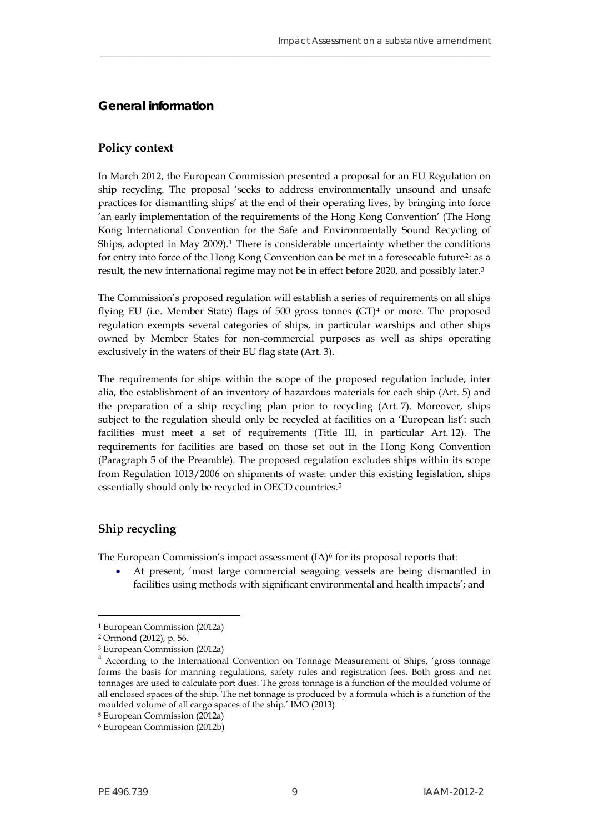## <span id="page-10-0"></span>**General information**

#### <span id="page-10-1"></span>**Policy context**

In March 2012, the European Commission presented a proposal for an EU Regulation on ship recycling. The proposal 'seeks to address environmentally unsound and unsafe practices for dismantling ships' at the end of their operating lives, by bringing into force 'an early implementation of the requirements of the Hong Kong Convention' (The Hong Kong International Convention for the Safe and Environmentally Sound Recycling of Ships, adopted in May  $2009$ ).<sup>[1](#page-10-3)</sup> There is considerable uncertainty whether the conditions for entry into force of the Hong Kong Convention can be met in a foreseeable future<sup>[2](#page-10-4)</sup>: as a result, the new international regime may not be in effect before 2020, and possibly later[.3](#page-10-5)

\_\_\_\_\_\_\_\_\_\_\_\_\_\_\_\_\_\_\_\_\_\_\_\_\_\_\_\_\_\_\_\_\_\_\_\_\_\_\_\_\_\_\_\_\_\_\_\_\_\_\_\_\_\_\_\_\_\_\_\_\_\_\_\_\_\_\_\_\_\_\_\_\_\_\_\_\_\_\_

The Commission's proposed regulation will establish a series of requirements on all ships flying EU (i.e. Member State) flags of 500 gross tonnes  $(GT)<sup>4</sup>$  $(GT)<sup>4</sup>$  $(GT)<sup>4</sup>$  or more. The proposed regulation exempts several categories of ships, in particular warships and other ships owned by Member States for non-commercial purposes as well as ships operating exclusively in the waters of their EU flag state (Art. 3).

The requirements for ships within the scope of the proposed regulation include, inter alia, the establishment of an inventory of hazardous materials for each ship (Art. 5) and the preparation of a ship recycling plan prior to recycling (Art. 7). Moreover, ships subject to the regulation should only be recycled at facilities on a 'European list': such facilities must meet a set of requirements (Title III, in particular Art. 12). The requirements for facilities are based on those set out in the Hong Kong Convention (Paragraph 5 of the Preamble). The proposed regulation excludes ships within its scope from Regulation 1013/2006 on shipments of waste: under this existing legislation, ships essentially should only be recycled in OECD countries.[5](#page-10-7)

## <span id="page-10-2"></span>**Ship recycling**

The European Commission's impact assessment  $(IA)^6$  $(IA)^6$  for its proposal reports that:

 At present, 'most large commercial seagoing vessels are being dismantled in facilities using methods with significant environmental and health impacts'; and

<span id="page-10-3"></span><sup>1</sup> European Commission (2012a)

<span id="page-10-4"></span><sup>2</sup> Ormond (2012), p. 56.

<sup>3</sup> European Commission (2012a)

<span id="page-10-6"></span><span id="page-10-5"></span><sup>&</sup>lt;sup>4</sup> According to the International Convention on Tonnage Measurement of Ships, 'gross tonnage forms the basis for manning regulations, safety rules and registration fees. Both gross and net tonnages are used to calculate port dues. The gross tonnage is a function of the moulded volume of all enclosed spaces of the ship. The net tonnage is produced by a formula which is a function of the moulded volume of all cargo spaces of the ship.' IMO (2013).

<span id="page-10-7"></span><sup>5</sup> European Commission (2012a)

<span id="page-10-8"></span><sup>6</sup> European Commission (2012b)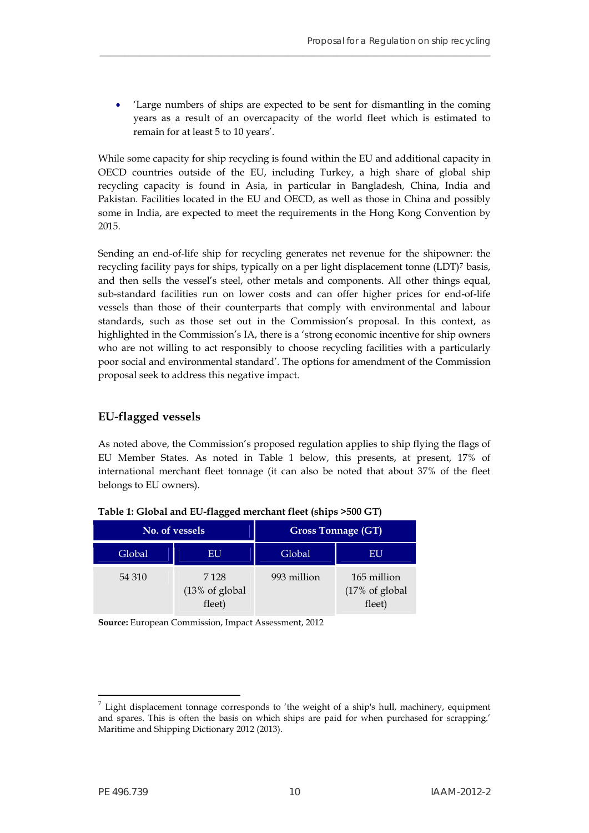'Large numbers of ships are expected to be sent for dismantling in the coming years as a result of an overcapacity of the world fleet which is estimated to remain for at least 5 to 10 years'.

**\_\_\_\_\_\_\_\_\_\_\_\_\_\_\_\_\_\_\_\_\_\_\_\_\_\_\_\_\_\_\_\_\_\_\_\_\_\_\_\_\_\_\_\_\_\_\_\_\_\_\_\_\_\_\_\_\_\_\_\_\_\_\_\_\_\_\_\_\_\_\_\_\_\_\_\_\_\_\_**

While some capacity for ship recycling is found within the EU and additional capacity in OECD countries outside of the EU, including Turkey, a high share of global ship recycling capacity is found in Asia, in particular in Bangladesh, China, India and Pakistan. Facilities located in the EU and OECD, as well as those in China and possibly some in India, are expected to meet the requirements in the Hong Kong Convention by 2015.

Sending an end-of-life ship for recycling generates net revenue for the shipowner: the recycling facility pays for ships, typically on a per light displacement tonne (LDT)[7](#page-11-2) basis, and then sells the vessel's steel, other metals and components. All other things equal, sub-standard facilities run on lower costs and can offer higher prices for end-of-life vessels than those of their counterparts that comply with environmental and labour standards, such as those set out in the Commission's proposal. In this context, as highlighted in the Commission's IA, there is a 'strong economic incentive for ship owners who are not willing to act responsibly to choose recycling facilities with a particularly poor social and environmental standard'. The options for amendment of the Commission proposal seek to address this negative impact.

# <span id="page-11-0"></span>**EU-flagged vessels**

As noted above, the Commission's proposed regulation applies to ship flying the flags of EU Member States. As noted in Table 1 below, this presents, at present, 17% of international merchant fleet tonnage (it can also be noted that about 37% of the fleet belongs to EU owners).

<span id="page-11-1"></span>

|        | No. of vessels                                  |        | <b>Gross Tonnage (GT)</b>                          |
|--------|-------------------------------------------------|--------|----------------------------------------------------|
| Global | EU                                              | Global | EU                                                 |
| 54 310 | 7 1 2 8<br>$(13\% \text{ of global})$<br>fleet) |        | 165 million<br>$(17% \text{ of global})$<br>fleet) |

**Table 1: Global and EU-flagged merchant fleet (ships >500 GT)** 

**Source:** European Commission, Impact Assessment, 2012

<span id="page-11-2"></span>Light displacement tonnage corresponds to 'the weight of a ship's hull, machinery, equipment and spares. This is often the basis on which ships are paid for when purchased for scrapping.' Maritime and Shipping Dictionary 2012 (2013).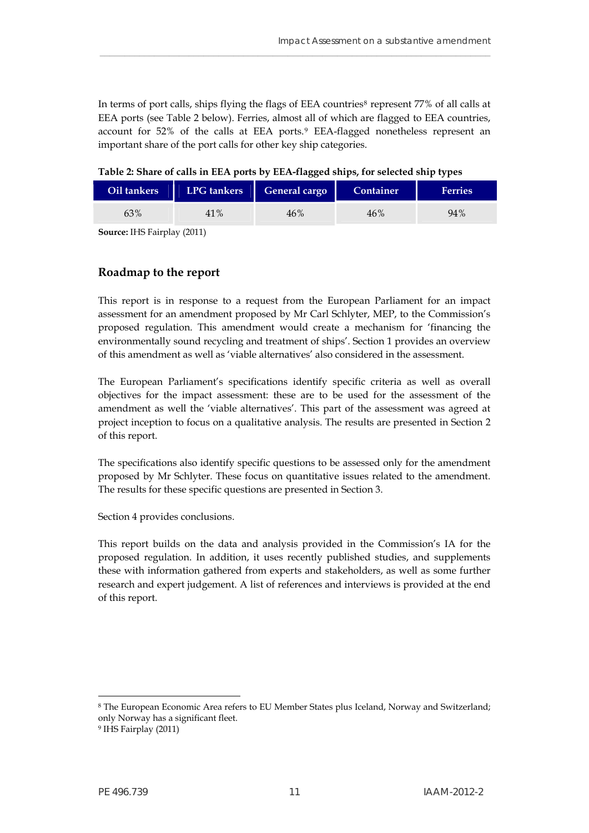In terms of port calls, ships flying the flags of EEA countries<sup>[8](#page-12-2)</sup> represent 77% of all calls at EEA ports (see Table 2 below). Ferries, almost all of which are flagged to EEA countries, account for 52% of the calls at EEA ports.[9](#page-12-3) EEA-flagged nonetheless represent an important share of the port calls for other key ship categories.

\_\_\_\_\_\_\_\_\_\_\_\_\_\_\_\_\_\_\_\_\_\_\_\_\_\_\_\_\_\_\_\_\_\_\_\_\_\_\_\_\_\_\_\_\_\_\_\_\_\_\_\_\_\_\_\_\_\_\_\_\_\_\_\_\_\_\_\_\_\_\_\_\_\_\_\_\_\_\_

| Table 2: Share of calls in EEA ports by EEA-flagged ships, for selected ship types |  |
|------------------------------------------------------------------------------------|--|
|                                                                                    |  |

<span id="page-12-1"></span>

| Oil tankers | LPG tankers | General cargo | Container | <b>Ferries</b> |
|-------------|-------------|---------------|-----------|----------------|
| 63%         | 41%         | 46%           | 46%       | 94%            |

**Source:** IHS Fairplay (2011)

## <span id="page-12-0"></span>**Roadmap to the report**

This report is in response to a request from the European Parliament for an impact assessment for an amendment proposed by Mr Carl Schlyter, MEP, to the Commission's proposed regulation. This amendment would create a mechanism for 'financing the environmentally sound recycling and treatment of ships'. Section 1 provides an overview of this amendment as well as 'viable alternatives' also considered in the assessment.

The European Parliament's specifications identify specific criteria as well as overall objectives for the impact assessment: these are to be used for the assessment of the amendment as well the 'viable alternatives'. This part of the assessment was agreed at project inception to focus on a qualitative analysis. The results are presented in Section 2 of this report.

The specifications also identify specific questions to be assessed only for the amendment proposed by Mr Schlyter. These focus on quantitative issues related to the amendment. The results for these specific questions are presented in Section 3.

Section 4 provides conclusions.

This report builds on the data and analysis provided in the Commission's IA for the proposed regulation. In addition, it uses recently published studies, and supplements these with information gathered from experts and stakeholders, as well as some further research and expert judgement. A list of references and interviews is provided at the end of this report.

<span id="page-12-2"></span>8 The European Economic Area refers to EU Member States plus Iceland, Norway and Switzerland; only Norway has a significant fleet.

<span id="page-12-3"></span><sup>9</sup> IHS Fairplay (2011)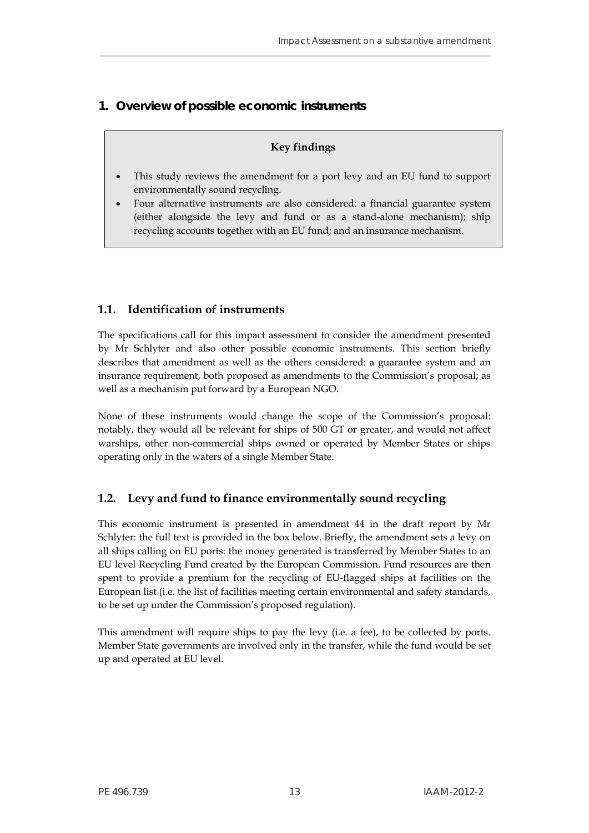# <span id="page-14-0"></span>**1. Overview of possible economic instruments**

## **Key findings**

\_\_\_\_\_\_\_\_\_\_\_\_\_\_\_\_\_\_\_\_\_\_\_\_\_\_\_\_\_\_\_\_\_\_\_\_\_\_\_\_\_\_\_\_\_\_\_\_\_\_\_\_\_\_\_\_\_\_\_\_\_\_\_\_\_\_\_\_\_\_\_\_\_\_\_\_\_\_\_

- This study reviews the amendment for a port levy and an EU fund to support environmentally sound recycling.
- Four alternative instruments are also considered: a financial guarantee system (either alongside the levy and fund or as a stand-alone mechanism); ship recycling accounts together with an EU fund; and an insurance mechanism.

# <span id="page-14-1"></span>**1.1. Identification of instruments**

The specifications call for this impact assessment to consider the amendment presented by Mr Schlyter and also other possible economic instruments. This section briefly describes that amendment as well as the others considered: a guarantee system and an insurance requirement, both proposed as amendments to the Commission's proposal; as well as a mechanism put forward by a European NGO.

None of these instruments would change the scope of the Commission's proposal: notably, they would all be relevant for ships of 500 GT or greater, and would not affect warships, other non-commercial ships owned or operated by Member States or ships operating only in the waters of a single Member State.

# <span id="page-14-2"></span>**1.2. Levy and fund to finance environmentally sound recycling**

This economic instrument is presented in amendment 44 in the draft report by Mr Schlyter: the full text is provided in the box below. Briefly, the amendment sets a levy on all ships calling on EU ports: the money generated is transferred by Member States to an EU level Recycling Fund created by the European Commission. Fund resources are then spent to provide a premium for the recycling of EU-flagged ships at facilities on the European list (i.e. the list of facilities meeting certain environmental and safety standards, to be set up under the Commission's proposed regulation).

This amendment will require ships to pay the levy (i.e. a fee), to be collected by ports. Member State governments are involved only in the transfer, while the fund would be set up and operated at EU level.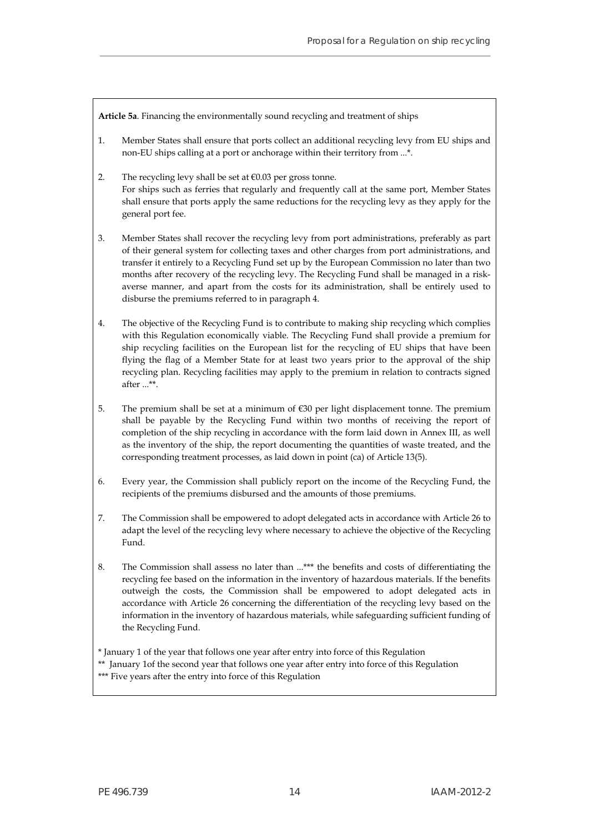**Article 5a**. Financing the environmentally sound recycling and treatment of ships

1. Member States shall ensure that ports collect an additional recycling levy from EU ships and non-EU ships calling at a port or anchorage within their territory from ...\*.

**\_\_\_\_\_\_\_\_\_\_\_\_\_\_\_\_\_\_\_\_\_\_\_\_\_\_\_\_\_\_\_\_\_\_\_\_\_\_\_\_\_\_\_\_\_\_\_\_\_\_\_\_\_\_\_\_\_\_\_\_\_\_\_\_\_\_\_\_\_\_\_\_\_\_\_\_\_\_\_**

- 2. The recycling levy shall be set at  $\epsilon$ 0.03 per gross tonne. For ships such as ferries that regularly and frequently call at the same port, Member States shall ensure that ports apply the same reductions for the recycling levy as they apply for the general port fee.
- 3. Member States shall recover the recycling levy from port administrations, preferably as part of their general system for collecting taxes and other charges from port administrations, and transfer it entirely to a Recycling Fund set up by the European Commission no later than two months after recovery of the recycling levy. The Recycling Fund shall be managed in a riskaverse manner, and apart from the costs for its administration, shall be entirely used to disburse the premiums referred to in paragraph 4.
- 4. The objective of the Recycling Fund is to contribute to making ship recycling which complies with this Regulation economically viable. The Recycling Fund shall provide a premium for ship recycling facilities on the European list for the recycling of EU ships that have been flying the flag of a Member State for at least two years prior to the approval of the ship recycling plan. Recycling facilities may apply to the premium in relation to contracts signed after ...\*\*.
- 5. The premium shall be set at a minimum of €30 per light displacement tonne. The premium shall be payable by the Recycling Fund within two months of receiving the report of completion of the ship recycling in accordance with the form laid down in Annex III, as well as the inventory of the ship, the report documenting the quantities of waste treated, and the corresponding treatment processes, as laid down in point (ca) of Article 13(5).
- 6. Every year, the Commission shall publicly report on the income of the Recycling Fund, the recipients of the premiums disbursed and the amounts of those premiums.
- 7. The Commission shall be empowered to adopt delegated acts in accordance with Article 26 to adapt the level of the recycling levy where necessary to achieve the objective of the Recycling Fund.
- 8. The Commission shall assess no later than ...\*\*\* the benefits and costs of differentiating the recycling fee based on the information in the inventory of hazardous materials. If the benefits outweigh the costs, the Commission shall be empowered to adopt delegated acts in accordance with Article 26 concerning the differentiation of the recycling levy based on the information in the inventory of hazardous materials, while safeguarding sufficient funding of the Recycling Fund.

\* January 1 of the year that follows one year after entry into force of this Regulation

\*\* January 1of the second year that follows one year after entry into force of this Regulation \*\*\* Five years after the entry into force of this Regulation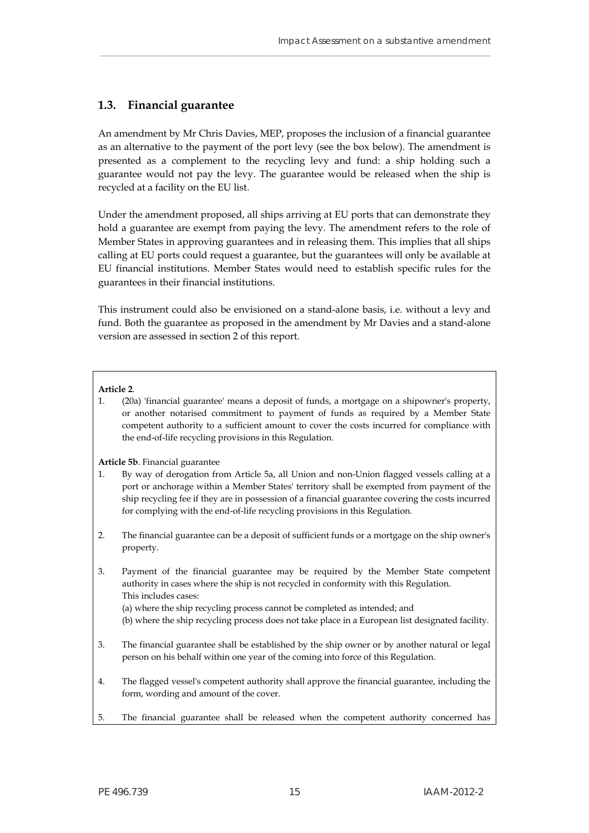## <span id="page-16-0"></span>**1.3. Financial guarantee**

An amendment by Mr Chris Davies, MEP, proposes the inclusion of a financial guarantee as an alternative to the payment of the port levy (see the box below). The amendment is presented as a complement to the recycling levy and fund: a ship holding such a guarantee would not pay the levy. The guarantee would be released when the ship is recycled at a facility on the EU list.

\_\_\_\_\_\_\_\_\_\_\_\_\_\_\_\_\_\_\_\_\_\_\_\_\_\_\_\_\_\_\_\_\_\_\_\_\_\_\_\_\_\_\_\_\_\_\_\_\_\_\_\_\_\_\_\_\_\_\_\_\_\_\_\_\_\_\_\_\_\_\_\_\_\_\_\_\_\_\_

Under the amendment proposed, all ships arriving at EU ports that can demonstrate they hold a guarantee are exempt from paying the levy. The amendment refers to the role of Member States in approving guarantees and in releasing them. This implies that all ships calling at EU ports could request a guarantee, but the guarantees will only be available at EU financial institutions. Member States would need to establish specific rules for the guarantees in their financial institutions.

This instrument could also be envisioned on a stand-alone basis, i.e. without a levy and fund. Both the guarantee as proposed in the amendment by Mr Davies and a stand-alone version are assessed in section 2 of this report.

#### **Article 2**.

1. (20a) 'financial guarantee' means a deposit of funds, a mortgage on a shipowner's property, or another notarised commitment to payment of funds as required by a Member State competent authority to a sufficient amount to cover the costs incurred for compliance with the end-of-life recycling provisions in this Regulation.

**Article 5b**. Financial guarantee

- 1. By way of derogation from Article 5a, all Union and non-Union flagged vessels calling at a port or anchorage within a Member States' territory shall be exempted from payment of the ship recycling fee if they are in possession of a financial guarantee covering the costs incurred for complying with the end-of-life recycling provisions in this Regulation.
- 2. The financial guarantee can be a deposit of sufficient funds or a mortgage on the ship owner's property.
- 3. Payment of the financial guarantee may be required by the Member State competent authority in cases where the ship is not recycled in conformity with this Regulation. This includes cases:
	- (a) where the ship recycling process cannot be completed as intended; and
	- (b) where the ship recycling process does not take place in a European list designated facility.
- 3. The financial guarantee shall be established by the ship owner or by another natural or legal person on his behalf within one year of the coming into force of this Regulation.
- 4. The flagged vessel's competent authority shall approve the financial guarantee, including the form, wording and amount of the cover.
- 5. The financial guarantee shall be released when the competent authority concerned has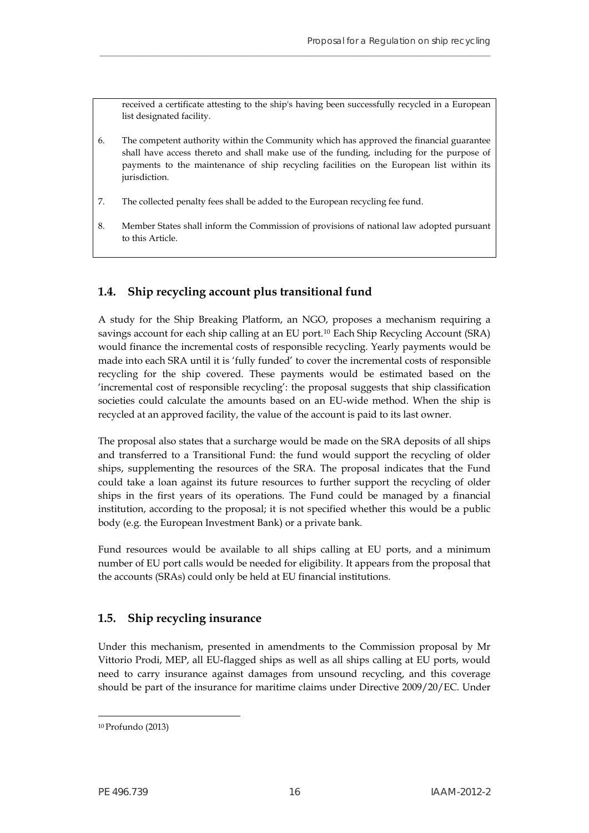received a certificate attesting to the ship's having been successfully recycled in a European list designated facility.

6. The competent authority within the Community which has approved the financial guarantee shall have access thereto and shall make use of the funding, including for the purpose of payments to the maintenance of ship recycling facilities on the European list within its jurisdiction.

**\_\_\_\_\_\_\_\_\_\_\_\_\_\_\_\_\_\_\_\_\_\_\_\_\_\_\_\_\_\_\_\_\_\_\_\_\_\_\_\_\_\_\_\_\_\_\_\_\_\_\_\_\_\_\_\_\_\_\_\_\_\_\_\_\_\_\_\_\_\_\_\_\_\_\_\_\_\_\_**

- 7. The collected penalty fees shall be added to the European recycling fee fund.
- 8. Member States shall inform the Commission of provisions of national law adopted pursuant to this Article.

# <span id="page-17-0"></span>**1.4. Ship recycling account plus transitional fund**

A study for the Ship Breaking Platform, an NGO, proposes a mechanism requiring a savings account for each ship calling at an EU port.[10](#page-17-2) Each Ship Recycling Account (SRA) would finance the incremental costs of responsible recycling. Yearly payments would be made into each SRA until it is 'fully funded' to cover the incremental costs of responsible recycling for the ship covered. These payments would be estimated based on the 'incremental cost of responsible recycling': the proposal suggests that ship classification societies could calculate the amounts based on an EU-wide method. When the ship is recycled at an approved facility, the value of the account is paid to its last owner.

The proposal also states that a surcharge would be made on the SRA deposits of all ships and transferred to a Transitional Fund: the fund would support the recycling of older ships, supplementing the resources of the SRA. The proposal indicates that the Fund could take a loan against its future resources to further support the recycling of older ships in the first years of its operations. The Fund could be managed by a financial institution, according to the proposal; it is not specified whether this would be a public body (e.g. the European Investment Bank) or a private bank.

Fund resources would be available to all ships calling at EU ports, and a minimum number of EU port calls would be needed for eligibility. It appears from the proposal that the accounts (SRAs) could only be held at EU financial institutions.

# <span id="page-17-1"></span>**1.5. Ship recycling insurance**

Under this mechanism, presented in amendments to the Commission proposal by Mr Vittorio Prodi, MEP, all EU-flagged ships as well as all ships calling at EU ports, would need to carry insurance against damages from unsound recycling, and this coverage should be part of the insurance for maritime claims under Directive 2009/20/EC. Under

<span id="page-17-2"></span><sup>10</sup> Profundo (2013)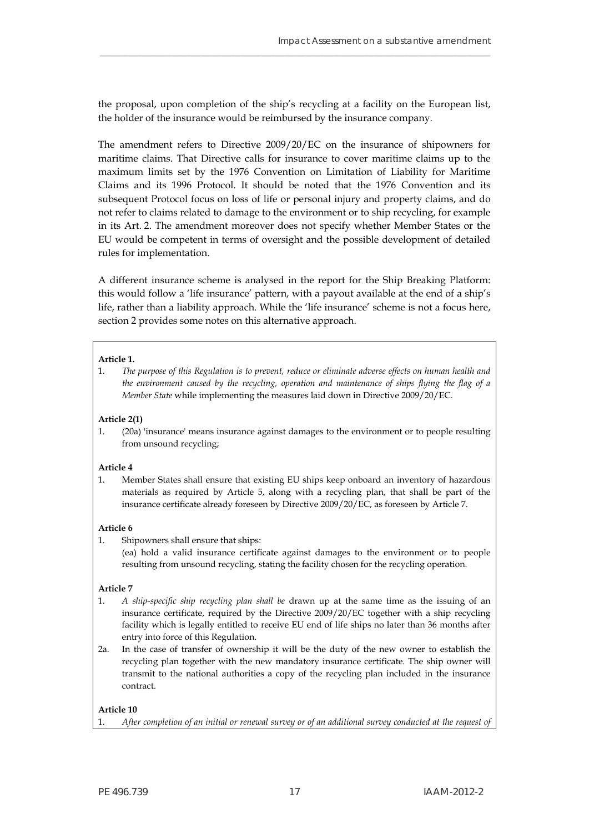the proposal, upon completion of the ship's recycling at a facility on the European list, the holder of the insurance would be reimbursed by the insurance company.

\_\_\_\_\_\_\_\_\_\_\_\_\_\_\_\_\_\_\_\_\_\_\_\_\_\_\_\_\_\_\_\_\_\_\_\_\_\_\_\_\_\_\_\_\_\_\_\_\_\_\_\_\_\_\_\_\_\_\_\_\_\_\_\_\_\_\_\_\_\_\_\_\_\_\_\_\_\_\_

The amendment refers to Directive 2009/20/EC on the insurance of shipowners for maritime claims. That Directive calls for insurance to cover maritime claims up to the maximum limits set by the 1976 Convention on Limitation of Liability for Maritime Claims and its 1996 Protocol. It should be noted that the 1976 Convention and its subsequent Protocol focus on loss of life or personal injury and property claims, and do not refer to claims related to damage to the environment or to ship recycling, for example in its Art. 2. The amendment moreover does not specify whether Member States or the EU would be competent in terms of oversight and the possible development of detailed rules for implementation.

A different insurance scheme is analysed in the report for the Ship Breaking Platform: this would follow a 'life insurance' pattern, with a payout available at the end of a ship's life, rather than a liability approach. While the 'life insurance' scheme is not a focus here, section 2 provides some notes on this alternative approach.

#### **Article 1.**

1. *The purpose of this Regulation is to prevent, reduce or eliminate adverse effects on human health and the environment caused by the recycling, operation and maintenance of ships flying the flag of a Member State* while implementing the measures laid down in Directive 2009/20/EC.

#### **Article 2(1)**

<span id="page-18-0"></span>1. (20a) 'insurance' means insurance against damages to the environment or to people resulting from unsound recycling;

#### **Article 4**

1. Member States shall ensure that existing EU ships keep onboard an inventory of hazardous materials as required by Article 5, along with a recycling plan, that shall be part of the insurance certificate already foreseen by Directive 2009/20/EC, as foreseen by Article 7.

#### **Article 6**

1. Shipowners shall ensure that ships:

(ea) hold a valid insurance certificate against damages to the environment or to people resulting from unsound recycling, stating the facility chosen for the recycling operation.

#### **Article 7**

- 1. *A ship-specific ship recycling plan shall be* drawn up at the same time as the issuing of an insurance certificate, required by the Directive 2009/20/EC together with a ship recycling facility which is legally entitled to receive EU end of life ships no later than 36 months after entry into force of this Regulation.
- 2a. In the case of transfer of ownership it will be the duty of the new owner to establish the recycling plan together with the new mandatory insurance certificate. The ship owner will transmit to the national authorities a copy of the recycling plan included in the insurance contract.

#### **Article 10**

1. *After completion of an initial or renewal survey or of an additional survey conducted at the request of*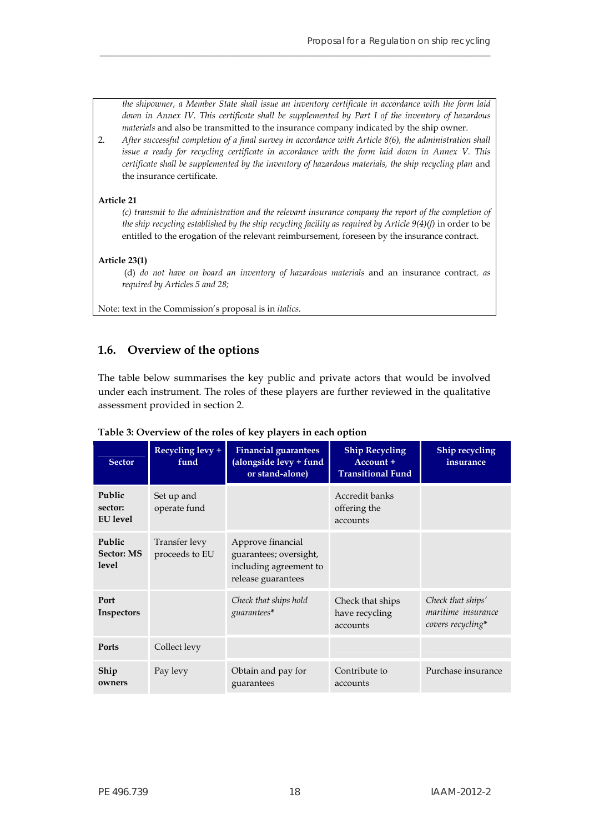*the shipowner, a Member State shall issue an inventory certificate in accordance with the form laid down in Annex IV. This certificate shall be supplemented by Part I of the inventory of hazardous materials* and also be transmitted to the insurance company indicated by the ship owner.

2. *After successful completion of a final survey in accordance with Article 8(6), the administration shall issue a ready for recycling certificate in accordance with the form laid down in Annex V. This certificate shall be supplemented by the inventory of hazardous materials, the ship recycling plan* and the insurance certificate.

**\_\_\_\_\_\_\_\_\_\_\_\_\_\_\_\_\_\_\_\_\_\_\_\_\_\_\_\_\_\_\_\_\_\_\_\_\_\_\_\_\_\_\_\_\_\_\_\_\_\_\_\_\_\_\_\_\_\_\_\_\_\_\_\_\_\_\_\_\_\_\_\_\_\_\_\_\_\_\_**

#### **Article 21**

*(c) transmit to the administration and the relevant insurance company the report of the completion of the ship recycling established by the ship recycling facility as required by Article 9(4)(f)* in order to be entitled to the erogation of the relevant reimbursement, foreseen by the insurance contract.

#### **Article 23(1)**

(d) *do not have on board an inventory of hazardous materials* and an insurance contract, *as required by Articles 5 and 28;* 

Note: text in the Commission's proposal is in *italics*.

## <span id="page-19-0"></span>**1.6. Overview of the options**

The table below summarises the key public and private actors that would be involved under each instrument. The roles of these players are further reviewed in the qualitative assessment provided in section 2.

| <b>Sector</b>                        | Recycling levy +<br>fund                     | <b>Financial guarantees</b><br>(alongside levy + fund<br>or stand-alone)                    | <b>Ship Recycling</b><br>Account +<br><b>Transitional Fund</b> | <b>Ship recycling</b><br>insurance                           |
|--------------------------------------|----------------------------------------------|---------------------------------------------------------------------------------------------|----------------------------------------------------------------|--------------------------------------------------------------|
| Public<br>sector:<br><b>EU</b> level | Set up and<br>operate fund                   |                                                                                             | Accredit banks<br>offering the<br>accounts                     |                                                              |
| Public<br><b>Sector: MS</b><br>level | Transfer levy<br>proceeds to EU              | Approve financial<br>guarantees; oversight,<br>including agreement to<br>release guarantees |                                                                |                                                              |
| Port<br>Inspectors                   |                                              | Check that ships hold<br>guarantees*                                                        | Check that ships<br>have recycling<br>accounts                 | Check that ships'<br>maritime insurance<br>covers recycling* |
| <b>Ports</b>                         | Collect levy                                 |                                                                                             |                                                                |                                                              |
| Ship<br>owners                       | Obtain and pay for<br>Pay levy<br>guarantees |                                                                                             | Contribute to<br>accounts                                      | Purchase insurance                                           |

#### **Table 3: Overview of the roles of key players in each option**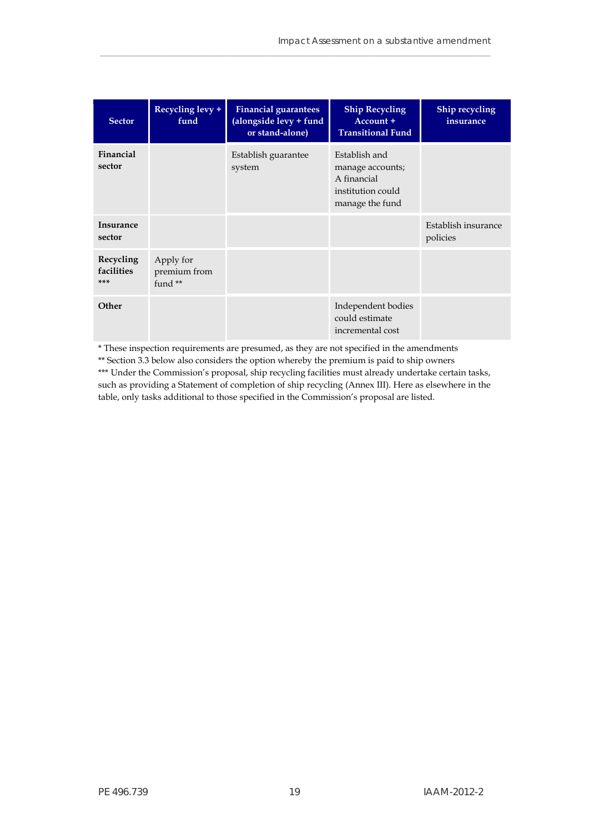| <b>Sector</b>                  | Recycling levy +<br>fund               | <b>Financial guarantees</b><br>(alongside levy + fund<br>or stand-alone) | <b>Ship Recycling</b><br>Account +<br><b>Transitional Fund</b>                           | Ship recycling<br>insurance     |
|--------------------------------|----------------------------------------|--------------------------------------------------------------------------|------------------------------------------------------------------------------------------|---------------------------------|
| Financial<br>sector            |                                        | Establish guarantee<br>system                                            | Establish and<br>manage accounts;<br>A financial<br>institution could<br>manage the fund |                                 |
| <b>Insurance</b><br>sector     |                                        |                                                                          |                                                                                          | Establish insurance<br>policies |
| Recycling<br>facilities<br>*** | Apply for<br>premium from<br>fund $**$ |                                                                          |                                                                                          |                                 |
| Other                          |                                        |                                                                          | Independent bodies<br>could estimate<br>incremental cost                                 |                                 |

\_\_\_\_\_\_\_\_\_\_\_\_\_\_\_\_\_\_\_\_\_\_\_\_\_\_\_\_\_\_\_\_\_\_\_\_\_\_\_\_\_\_\_\_\_\_\_\_\_\_\_\_\_\_\_\_\_\_\_\_\_\_\_\_\_\_\_\_\_\_\_\_\_\_\_\_\_\_\_

\* These inspection requirements are presumed, as they are not specified in the amendments

\*\* Section 3.3 below also considers the option whereby the premium is paid to ship owners \*\*\* Under the Commission's proposal, ship recycling facilities must already undertake certain tasks, such as providing a Statement of completion of ship recycling (Annex III). Here as elsewhere in the table, only tasks additional to those specified in the Commission's proposal are listed.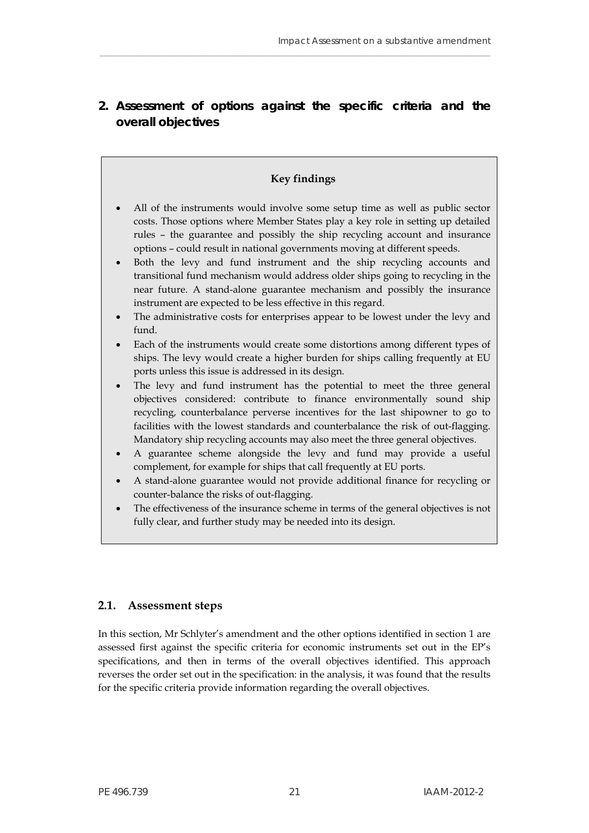# <span id="page-22-0"></span>**2. Assessment of options against the specific criteria and the overall objectives**

\_\_\_\_\_\_\_\_\_\_\_\_\_\_\_\_\_\_\_\_\_\_\_\_\_\_\_\_\_\_\_\_\_\_\_\_\_\_\_\_\_\_\_\_\_\_\_\_\_\_\_\_\_\_\_\_\_\_\_\_\_\_\_\_\_\_\_\_\_\_\_\_\_\_\_\_\_\_\_

# **Key findings**

- All of the instruments would involve some setup time as well as public sector costs. Those options where Member States play a key role in setting up detailed rules – the guarantee and possibly the ship recycling account and insurance options – could result in national governments moving at different speeds.
- Both the levy and fund instrument and the ship recycling accounts and transitional fund mechanism would address older ships going to recycling in the near future. A stand-alone guarantee mechanism and possibly the insurance instrument are expected to be less effective in this regard.
- The administrative costs for enterprises appear to be lowest under the levy and fund.
- Each of the instruments would create some distortions among different types of ships. The levy would create a higher burden for ships calling frequently at EU ports unless this issue is addressed in its design.
- The levy and fund instrument has the potential to meet the three general objectives considered: contribute to finance environmentally sound ship recycling, counterbalance perverse incentives for the last shipowner to go to facilities with the lowest standards and counterbalance the risk of out-flagging. Mandatory ship recycling accounts may also meet the three general objectives.
- A guarantee scheme alongside the levy and fund may provide a useful complement, for example for ships that call frequently at EU ports.
- A stand-alone guarantee would not provide additional finance for recycling or counter-balance the risks of out-flagging.
- The effectiveness of the insurance scheme in terms of the general objectives is not fully clear, and further study may be needed into its design.

# <span id="page-22-1"></span>**2.1. Assessment steps**

In this section, Mr Schlyter's amendment and the other options identified in section 1 are assessed first against the specific criteria for economic instruments set out in the EP's specifications, and then in terms of the overall objectives identified. This approach reverses the order set out in the specification: in the analysis, it was found that the results for the specific criteria provide information regarding the overall objectives.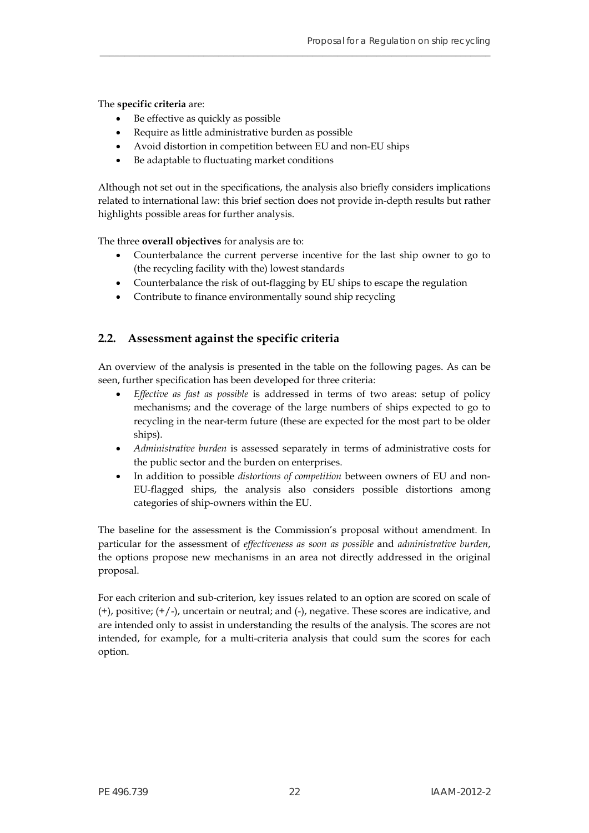The **specific criteria** are:

- Be effective as quickly as possible
- Require as little administrative burden as possible
- Avoid distortion in competition between EU and non-EU ships
- Be adaptable to fluctuating market conditions

Although not set out in the specifications, the analysis also briefly considers implications related to international law: this brief section does not provide in-depth results but rather highlights possible areas for further analysis.

**\_\_\_\_\_\_\_\_\_\_\_\_\_\_\_\_\_\_\_\_\_\_\_\_\_\_\_\_\_\_\_\_\_\_\_\_\_\_\_\_\_\_\_\_\_\_\_\_\_\_\_\_\_\_\_\_\_\_\_\_\_\_\_\_\_\_\_\_\_\_\_\_\_\_\_\_\_\_\_**

The three **overall objectives** for analysis are to:

- Counterbalance the current perverse incentive for the last ship owner to go to (the recycling facility with the) lowest standards
- Counterbalance the risk of out-flagging by EU ships to escape the regulation
- Contribute to finance environmentally sound ship recycling

## <span id="page-23-0"></span>**2.2. Assessment against the specific criteria**

An overview of the analysis is presented in the table on the following pages. As can be seen, further specification has been developed for three criteria:

- *Effective as fast as possible* is addressed in terms of two areas: setup of policy mechanisms; and the coverage of the large numbers of ships expected to go to recycling in the near-term future (these are expected for the most part to be older ships).
- *Administrative burden* is assessed separately in terms of administrative costs for the public sector and the burden on enterprises.
- In addition to possible *distortions of competition* between owners of EU and non-EU-flagged ships, the analysis also considers possible distortions among categories of ship-owners within the EU.

The baseline for the assessment is the Commission's proposal without amendment. In particular for the assessment of *effectiveness as soon as possible* and *administrative burden*, the options propose new mechanisms in an area not directly addressed in the original proposal.

For each criterion and sub-criterion, key issues related to an option are scored on scale of (+), positive; (+/-), uncertain or neutral; and (-), negative. These scores are indicative, and are intended only to assist in understanding the results of the analysis. The scores are not intended, for example, for a multi-criteria analysis that could sum the scores for each option.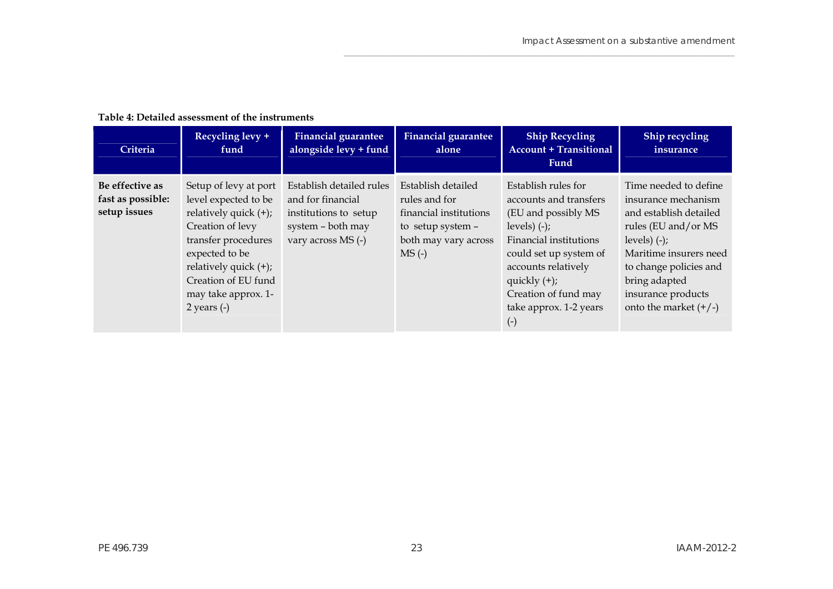$\mathcal{L}_\mathcal{L} = \{ \mathcal{L}_\mathcal{L} = \{ \mathcal{L}_\mathcal{L} = \{ \mathcal{L}_\mathcal{L} = \{ \mathcal{L}_\mathcal{L} = \{ \mathcal{L}_\mathcal{L} = \{ \mathcal{L}_\mathcal{L} = \{ \mathcal{L}_\mathcal{L} = \{ \mathcal{L}_\mathcal{L} = \{ \mathcal{L}_\mathcal{L} = \{ \mathcal{L}_\mathcal{L} = \{ \mathcal{L}_\mathcal{L} = \{ \mathcal{L}_\mathcal{L} = \{ \mathcal{L}_\mathcal{L} = \{ \mathcal{L}_\mathcal{$ 

#### **Table 4: Detailed assessment of the instruments**

<span id="page-24-0"></span>

| Criteria                                             | Recycling levy +<br>fund                                                                                                                                                                                                          | <b>Financial guarantee</b><br>alongside levy + fund                                                               | <b>Financial guarantee</b><br>alone                                                                                   | <b>Ship Recycling</b><br><b>Account + Transitional</b><br><b>Fund</b>                                                                                                                                                                            | Ship recycling<br>insurance                                                                                                                                                                                                            |
|------------------------------------------------------|-----------------------------------------------------------------------------------------------------------------------------------------------------------------------------------------------------------------------------------|-------------------------------------------------------------------------------------------------------------------|-----------------------------------------------------------------------------------------------------------------------|--------------------------------------------------------------------------------------------------------------------------------------------------------------------------------------------------------------------------------------------------|----------------------------------------------------------------------------------------------------------------------------------------------------------------------------------------------------------------------------------------|
| Be effective as<br>fast as possible:<br>setup issues | Setup of levy at port<br>level expected to be<br>relatively quick $(+)$ ;<br>Creation of levy<br>transfer procedures<br>expected to be<br>relatively quick $(+)$ ;<br>Creation of EU fund<br>may take approx. 1-<br>2 years $(-)$ | Establish detailed rules<br>and for financial<br>institutions to setup<br>system - both may<br>vary across MS (-) | Establish detailed<br>rules and for<br>financial institutions<br>to setup system -<br>both may vary across<br>$MS(-)$ | Establish rules for<br>accounts and transfers<br>(EU and possibly MS<br>levels) $(-)$ ;<br>Financial institutions<br>could set up system of<br>accounts relatively<br>quickly $(+)$ ;<br>Creation of fund may<br>take approx. 1-2 years<br>$(-)$ | Time needed to define<br>insurance mechanism<br>and establish detailed<br>rules (EU and/or MS<br>levels) $(-)$ ;<br>Maritime insurers need<br>to change policies and<br>bring adapted<br>insurance products<br>onto the market $(+/-)$ |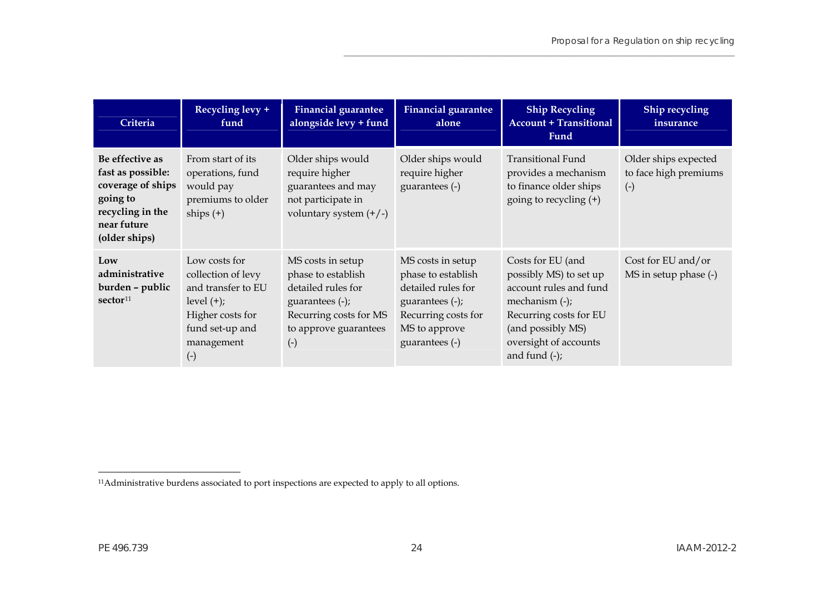| Criteria                                                                                                                  | Recycling levy +<br>fund                                                                                                                       | <b>Financial guarantee</b><br>alongside levy + fund                                                                                                    | <b>Financial guarantee</b><br>alone                                                                                                        | <b>Ship Recycling</b><br><b>Account + Transitional</b><br>Fund                                                                                                                         | Ship recycling<br>insurance                            |
|---------------------------------------------------------------------------------------------------------------------------|------------------------------------------------------------------------------------------------------------------------------------------------|--------------------------------------------------------------------------------------------------------------------------------------------------------|--------------------------------------------------------------------------------------------------------------------------------------------|----------------------------------------------------------------------------------------------------------------------------------------------------------------------------------------|--------------------------------------------------------|
| Be effective as<br>fast as possible:<br>coverage of ships<br>going to<br>recycling in the<br>near future<br>(older ships) | From start of its<br>operations, fund<br>would pay<br>premiums to older<br>ships $(+)$                                                         | Older ships would<br>require higher<br>guarantees and may<br>not participate in<br>voluntary system $(+/-)$                                            | Older ships would<br>require higher<br>guarantees (-)                                                                                      | <b>Transitional Fund</b><br>provides a mechanism<br>to finance older ships<br>going to recycling (+)                                                                                   | Older ships expected<br>to face high premiums<br>$(-)$ |
| Low<br>administrative<br>burden - public<br>sector <sup>11</sup>                                                          | Low costs for<br>collection of levy<br>and transfer to EU<br>$level (+);$<br>Higher costs for<br>fund set-up and<br>management<br>$(\text{-})$ | MS costs in setup<br>phase to establish<br>detailed rules for<br>guarantees $(-)$ ;<br>Recurring costs for MS<br>to approve guarantees<br>$(\text{-})$ | MS costs in setup<br>phase to establish<br>detailed rules for<br>guarantees (-);<br>Recurring costs for<br>MS to approve<br>guarantees (-) | Costs for EU (and<br>possibly MS) to set up<br>account rules and fund<br>mechanism $(-)$ ;<br>Recurring costs for EU<br>(and possibly MS)<br>oversight of accounts<br>and fund $(-)$ ; | Cost for EU and/or<br>MS in setup phase (-)            |

<span id="page-25-0"></span><sup>11</sup>Administrative burdens associated to port inspections are expected to apply to all options.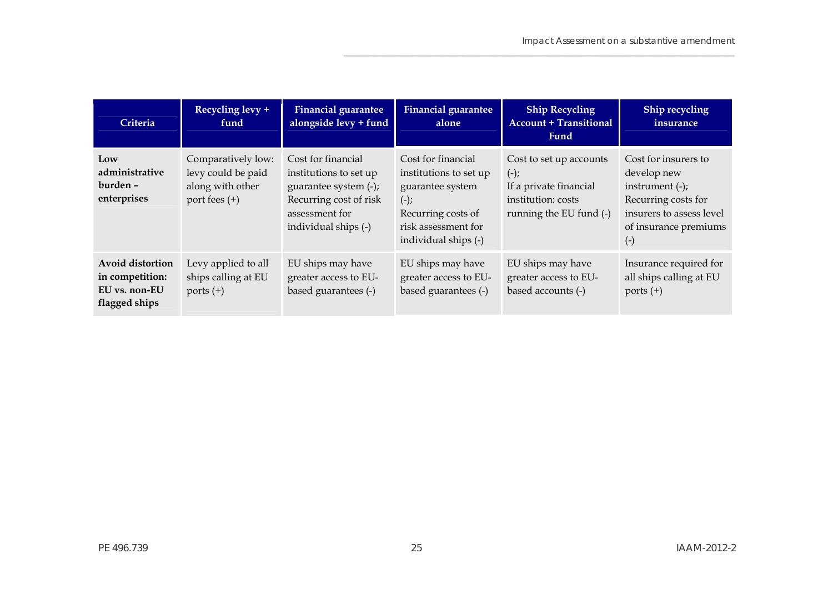$\mathcal{L}_\mathcal{L} = \{ \mathcal{L}_\mathcal{L} = \{ \mathcal{L}_\mathcal{L} = \{ \mathcal{L}_\mathcal{L} = \{ \mathcal{L}_\mathcal{L} = \{ \mathcal{L}_\mathcal{L} = \{ \mathcal{L}_\mathcal{L} = \{ \mathcal{L}_\mathcal{L} = \{ \mathcal{L}_\mathcal{L} = \{ \mathcal{L}_\mathcal{L} = \{ \mathcal{L}_\mathcal{L} = \{ \mathcal{L}_\mathcal{L} = \{ \mathcal{L}_\mathcal{L} = \{ \mathcal{L}_\mathcal{L} = \{ \mathcal{L}_\mathcal{$ 

| Criteria                                                                     | Recycling levy +<br>fund                                                      | <b>Financial guarantee</b><br>alongside levy + fund                                                                                       | <b>Financial guarantee</b><br>alone                                                                                                             | <b>Ship Recycling</b><br><b>Account + Transitional</b><br>Fund                                               | Ship recycling<br>insurance                                                                                                                    |
|------------------------------------------------------------------------------|-------------------------------------------------------------------------------|-------------------------------------------------------------------------------------------------------------------------------------------|-------------------------------------------------------------------------------------------------------------------------------------------------|--------------------------------------------------------------------------------------------------------------|------------------------------------------------------------------------------------------------------------------------------------------------|
| Low<br>administrative<br>burden-<br>enterprises                              | Comparatively low:<br>levy could be paid<br>along with other<br>port fees (+) | Cost for financial<br>institutions to set up<br>guarantee system (-);<br>Recurring cost of risk<br>assessment for<br>individual ships (-) | Cost for financial<br>institutions to set up<br>guarantee system<br>$(-);$<br>Recurring costs of<br>risk assessment for<br>individual ships (-) | Cost to set up accounts<br>$(-);$<br>If a private financial<br>institution: costs<br>running the EU fund (-) | Cost for insurers to<br>develop new<br>instrument $(-)$ ;<br>Recurring costs for<br>insurers to assess level<br>of insurance premiums<br>$(-)$ |
| <b>Avoid distortion</b><br>in competition:<br>EU vs. non-EU<br>flagged ships | Levy applied to all<br>ships calling at EU<br>ports $(+)$                     | EU ships may have<br>greater access to EU-<br>based guarantees (-)                                                                        | EU ships may have<br>greater access to EU-<br>based guarantees (-)                                                                              | EU ships may have<br>greater access to EU-<br>based accounts (-)                                             | Insurance required for<br>all ships calling at EU<br>ports $(+)$                                                                               |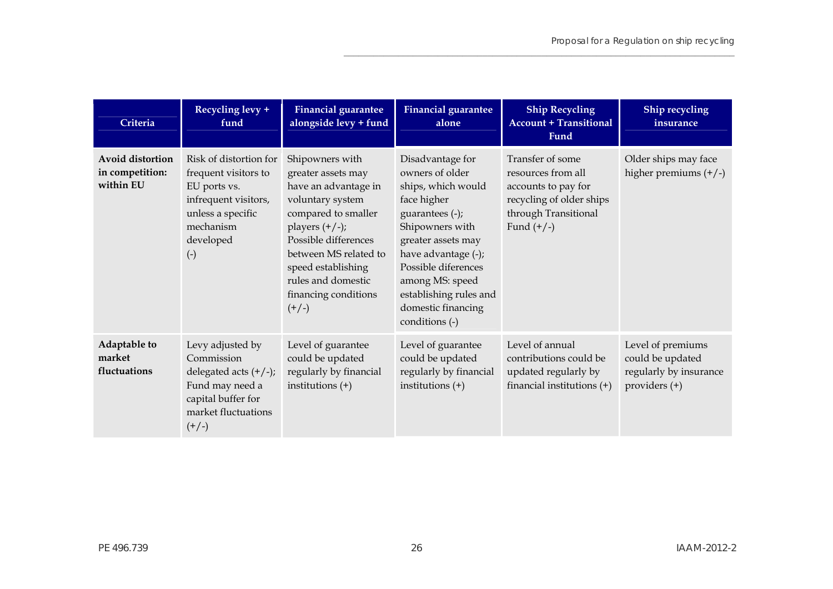| Criteria                                         | Recycling levy +<br>fund                                                                                                                              | <b>Financial guarantee</b><br>alongside levy + fund                                                                                                                                                                                                          | <b>Financial guarantee</b><br>alone                                                                                                                                                                                                                                     | <b>Ship Recycling</b><br><b>Account + Transitional</b><br>Fund                                                                    | Ship recycling<br>insurance                                                      |
|--------------------------------------------------|-------------------------------------------------------------------------------------------------------------------------------------------------------|--------------------------------------------------------------------------------------------------------------------------------------------------------------------------------------------------------------------------------------------------------------|-------------------------------------------------------------------------------------------------------------------------------------------------------------------------------------------------------------------------------------------------------------------------|-----------------------------------------------------------------------------------------------------------------------------------|----------------------------------------------------------------------------------|
| Avoid distortion<br>in competition:<br>within EU | Risk of distortion for<br>frequent visitors to<br>EU ports vs.<br>infrequent visitors,<br>unless a specific<br>mechanism<br>developed<br>$(\text{-})$ | Shipowners with<br>greater assets may<br>have an advantage in<br>voluntary system<br>compared to smaller<br>players $(+/-);$<br>Possible differences<br>between MS related to<br>speed establishing<br>rules and domestic<br>financing conditions<br>$(+/-)$ | Disadvantage for<br>owners of older<br>ships, which would<br>face higher<br>guarantees (-);<br>Shipowners with<br>greater assets may<br>have advantage (-);<br>Possible diferences<br>among MS: speed<br>establishing rules and<br>domestic financing<br>conditions (-) | Transfer of some<br>resources from all<br>accounts to pay for<br>recycling of older ships<br>through Transitional<br>Fund $(+/-)$ | Older ships may face<br>higher premiums $(+/-)$                                  |
| Adaptable to<br>market<br>fluctuations           | Levy adjusted by<br>Commission<br>delegated acts $(+/-);$<br>Fund may need a<br>capital buffer for<br>market fluctuations<br>$(+/-)$                  | Level of guarantee<br>could be updated<br>regularly by financial<br>institutions $(+)$                                                                                                                                                                       | Level of guarantee<br>could be updated<br>regularly by financial<br>institutions $(+)$                                                                                                                                                                                  | Level of annual<br>contributions could be<br>updated regularly by<br>financial institutions $(+)$                                 | Level of premiums<br>could be updated<br>regularly by insurance<br>providers (+) |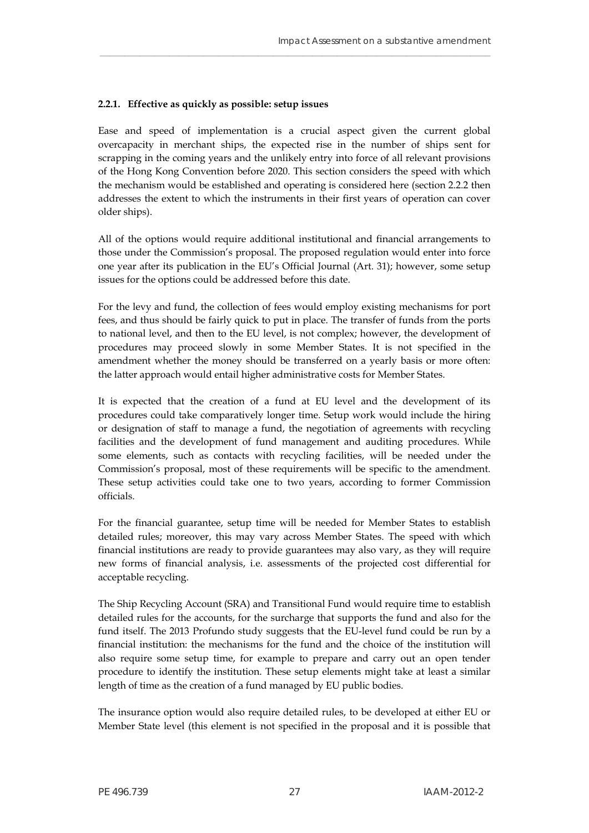#### **2.2.1. Effective as quickly as possible: setup issues**

Ease and speed of implementation is a crucial aspect given the current global overcapacity in merchant ships, the expected rise in the number of ships sent for scrapping in the coming years and the unlikely entry into force of all relevant provisions of the Hong Kong Convention before 2020. This section considers the speed with which the mechanism would be established and operating is considered here (section 2.2.2 then addresses the extent to which the instruments in their first years of operation can cover older ships).

\_\_\_\_\_\_\_\_\_\_\_\_\_\_\_\_\_\_\_\_\_\_\_\_\_\_\_\_\_\_\_\_\_\_\_\_\_\_\_\_\_\_\_\_\_\_\_\_\_\_\_\_\_\_\_\_\_\_\_\_\_\_\_\_\_\_\_\_\_\_\_\_\_\_\_\_\_\_\_

All of the options would require additional institutional and financial arrangements to those under the Commission's proposal. The proposed regulation would enter into force one year after its publication in the EU's Official Journal (Art. 31); however, some setup issues for the options could be addressed before this date.

For the levy and fund, the collection of fees would employ existing mechanisms for port fees, and thus should be fairly quick to put in place. The transfer of funds from the ports to national level, and then to the EU level, is not complex; however, the development of procedures may proceed slowly in some Member States. It is not specified in the amendment whether the money should be transferred on a yearly basis or more often: the latter approach would entail higher administrative costs for Member States.

It is expected that the creation of a fund at EU level and the development of its procedures could take comparatively longer time. Setup work would include the hiring or designation of staff to manage a fund, the negotiation of agreements with recycling facilities and the development of fund management and auditing procedures. While some elements, such as contacts with recycling facilities, will be needed under the Commission's proposal, most of these requirements will be specific to the amendment. These setup activities could take one to two years, according to former Commission officials.

For the financial guarantee, setup time will be needed for Member States to establish detailed rules; moreover, this may vary across Member States. The speed with which financial institutions are ready to provide guarantees may also vary, as they will require new forms of financial analysis, i.e. assessments of the projected cost differential for acceptable recycling.

The Ship Recycling Account (SRA) and Transitional Fund would require time to establish detailed rules for the accounts, for the surcharge that supports the fund and also for the fund itself. The 2013 Profundo study suggests that the EU-level fund could be run by a financial institution: the mechanisms for the fund and the choice of the institution will also require some setup time, for example to prepare and carry out an open tender procedure to identify the institution. These setup elements might take at least a similar length of time as the creation of a fund managed by EU public bodies.

The insurance option would also require detailed rules, to be developed at either EU or Member State level (this element is not specified in the proposal and it is possible that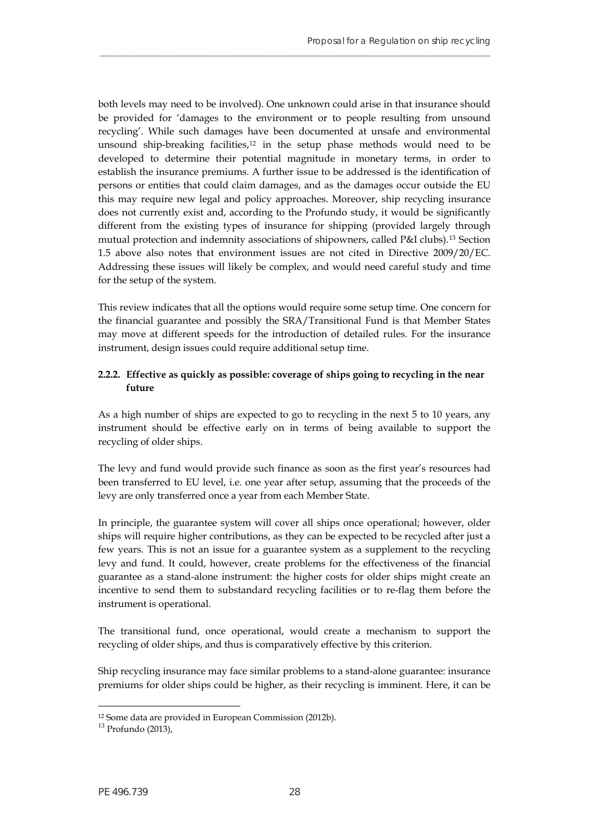both levels may need to be involved). One unknown could arise in that insurance should be provided for 'damages to the environment or to people resulting from unsound recycling'. While such damages have been documented at unsafe and environmental unsound ship-breaking facilities,<sup>[12](#page-29-0)</sup> in the setup phase methods would need to be developed to determine their potential magnitude in monetary terms, in order to establish the insurance premiums. A further issue to be addressed is the identification of persons or entities that could claim damages, and as the damages occur outside the EU this may require new legal and policy approaches. Moreover, ship recycling insurance does not currently exist and, according to the Profundo study, it would be significantly different from the existing types of insurance for shipping (provided largely through mutual protection and indemnity associations of shipowners, called P&I clubs).[13](#page-29-1) Section 1.5 above also notes that environment issues are not cited in Directive 2009/20/EC. Addressing these issues will likely be complex, and would need careful study and time for the setup of the system.

**\_\_\_\_\_\_\_\_\_\_\_\_\_\_\_\_\_\_\_\_\_\_\_\_\_\_\_\_\_\_\_\_\_\_\_\_\_\_\_\_\_\_\_\_\_\_\_\_\_\_\_\_\_\_\_\_\_\_\_\_\_\_\_\_\_\_\_\_\_\_\_\_\_\_\_\_\_\_\_**

This review indicates that all the options would require some setup time. One concern for the financial guarantee and possibly the SRA/Transitional Fund is that Member States may move at different speeds for the introduction of detailed rules. For the insurance instrument, design issues could require additional setup time.

## **2.2.2. Effective as quickly as possible: coverage of ships going to recycling in the near future**

As a high number of ships are expected to go to recycling in the next 5 to 10 years, any instrument should be effective early on in terms of being available to support the recycling of older ships.

The levy and fund would provide such finance as soon as the first year's resources had been transferred to EU level, i.e. one year after setup, assuming that the proceeds of the levy are only transferred once a year from each Member State.

In principle, the guarantee system will cover all ships once operational; however, older ships will require higher contributions, as they can be expected to be recycled after just a few years. This is not an issue for a guarantee system as a supplement to the recycling levy and fund. It could, however, create problems for the effectiveness of the financial guarantee as a stand-alone instrument: the higher costs for older ships might create an incentive to send them to substandard recycling facilities or to re-flag them before the instrument is operational.

The transitional fund, once operational, would create a mechanism to support the recycling of older ships, and thus is comparatively effective by this criterion.

Ship recycling insurance may face similar problems to a stand-alone guarantee: insurance premiums for older ships could be higher, as their recycling is imminent. Here, it can be

<span id="page-29-0"></span><sup>12</sup> Some data are provided in European Commission (2012b).

<span id="page-29-1"></span><sup>13</sup> Profundo (2013),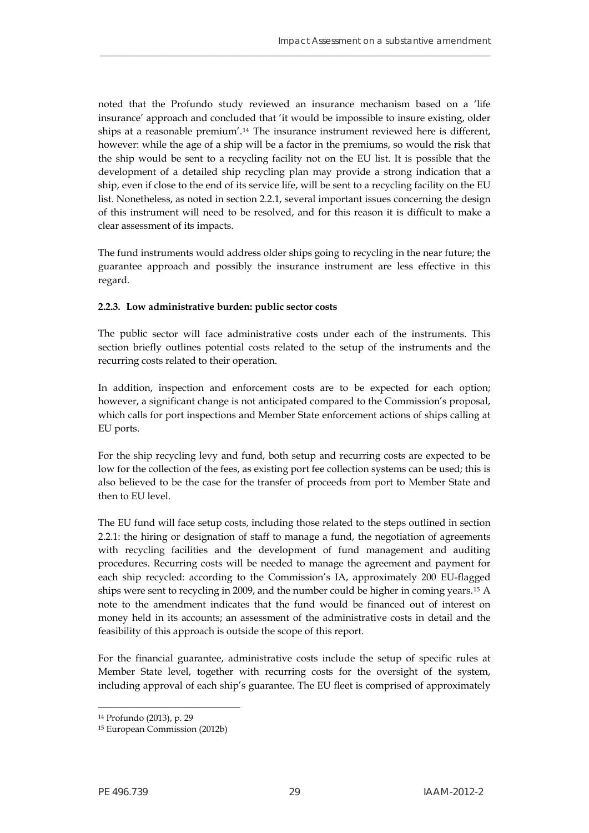noted that the Profundo study reviewed an insurance mechanism based on a 'life insurance' approach and concluded that 'it would be impossible to insure existing, older ships at a reasonable premium'.[14](#page-30-0) The insurance instrument reviewed here is different, however: while the age of a ship will be a factor in the premiums, so would the risk that the ship would be sent to a recycling facility not on the EU list. It is possible that the development of a detailed ship recycling plan may provide a strong indication that a ship, even if close to the end of its service life, will be sent to a recycling facility on the EU list. Nonetheless, as noted in section 2.2.1, several important issues concerning the design of this instrument will need to be resolved, and for this reason it is difficult to make a clear assessment of its impacts.

\_\_\_\_\_\_\_\_\_\_\_\_\_\_\_\_\_\_\_\_\_\_\_\_\_\_\_\_\_\_\_\_\_\_\_\_\_\_\_\_\_\_\_\_\_\_\_\_\_\_\_\_\_\_\_\_\_\_\_\_\_\_\_\_\_\_\_\_\_\_\_\_\_\_\_\_\_\_\_

The fund instruments would address older ships going to recycling in the near future; the guarantee approach and possibly the insurance instrument are less effective in this regard.

#### **2.2.3. Low administrative burden: public sector costs**

The public sector will face administrative costs under each of the instruments. This section briefly outlines potential costs related to the setup of the instruments and the recurring costs related to their operation.

In addition, inspection and enforcement costs are to be expected for each option; however, a significant change is not anticipated compared to the Commission's proposal, which calls for port inspections and Member State enforcement actions of ships calling at EU ports.

For the ship recycling levy and fund, both setup and recurring costs are expected to be low for the collection of the fees, as existing port fee collection systems can be used; this is also believed to be the case for the transfer of proceeds from port to Member State and then to EU level.

The EU fund will face setup costs, including those related to the steps outlined in section 2.2.1: the hiring or designation of staff to manage a fund, the negotiation of agreements with recycling facilities and the development of fund management and auditing procedures. Recurring costs will be needed to manage the agreement and payment for each ship recycled: according to the Commission's IA, approximately 200 EU-flagged ships were sent to recycling in 2009, and the number could be higher in coming years.[15](#page-30-1) A note to the amendment indicates that the fund would be financed out of interest on money held in its accounts; an assessment of the administrative costs in detail and the feasibility of this approach is outside the scope of this report.

For the financial guarantee, administrative costs include the setup of specific rules at Member State level, together with recurring costs for the oversight of the system, including approval of each ship's guarantee. The EU fleet is comprised of approximately

 $\overline{a}$ 14 Profundo (2013), p. 29

<span id="page-30-1"></span><span id="page-30-0"></span><sup>15</sup> European Commission (2012b)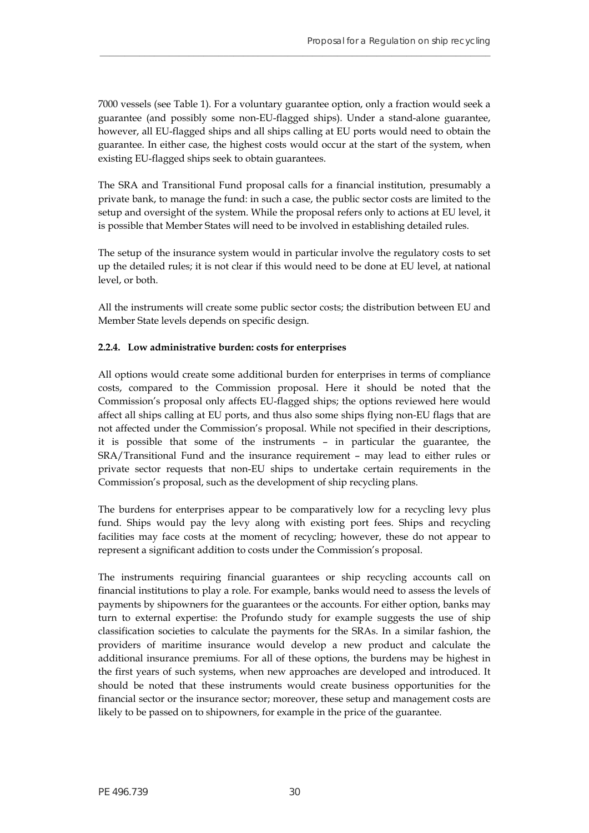7000 vessels (see Table 1). For a voluntary guarantee option, only a fraction would seek a guarantee (and possibly some non-EU-flagged ships). Under a stand-alone guarantee, however, all EU-flagged ships and all ships calling at EU ports would need to obtain the guarantee. In either case, the highest costs would occur at the start of the system, when existing EU-flagged ships seek to obtain guarantees.

**\_\_\_\_\_\_\_\_\_\_\_\_\_\_\_\_\_\_\_\_\_\_\_\_\_\_\_\_\_\_\_\_\_\_\_\_\_\_\_\_\_\_\_\_\_\_\_\_\_\_\_\_\_\_\_\_\_\_\_\_\_\_\_\_\_\_\_\_\_\_\_\_\_\_\_\_\_\_\_**

The SRA and Transitional Fund proposal calls for a financial institution, presumably a private bank, to manage the fund: in such a case, the public sector costs are limited to the setup and oversight of the system. While the proposal refers only to actions at EU level, it is possible that Member States will need to be involved in establishing detailed rules.

The setup of the insurance system would in particular involve the regulatory costs to set up the detailed rules; it is not clear if this would need to be done at EU level, at national level, or both.

All the instruments will create some public sector costs; the distribution between EU and Member State levels depends on specific design.

## **2.2.4. Low administrative burden: costs for enterprises**

All options would create some additional burden for enterprises in terms of compliance costs, compared to the Commission proposal. Here it should be noted that the Commission's proposal only affects EU-flagged ships; the options reviewed here would affect all ships calling at EU ports, and thus also some ships flying non-EU flags that are not affected under the Commission's proposal. While not specified in their descriptions, it is possible that some of the instruments – in particular the guarantee, the SRA/Transitional Fund and the insurance requirement – may lead to either rules or private sector requests that non-EU ships to undertake certain requirements in the Commission's proposal, such as the development of ship recycling plans.

The burdens for enterprises appear to be comparatively low for a recycling levy plus fund. Ships would pay the levy along with existing port fees. Ships and recycling facilities may face costs at the moment of recycling; however, these do not appear to represent a significant addition to costs under the Commission's proposal.

The instruments requiring financial guarantees or ship recycling accounts call on financial institutions to play a role. For example, banks would need to assess the levels of payments by shipowners for the guarantees or the accounts. For either option, banks may turn to external expertise: the Profundo study for example suggests the use of ship classification societies to calculate the payments for the SRAs. In a similar fashion, the providers of maritime insurance would develop a new product and calculate the additional insurance premiums. For all of these options, the burdens may be highest in the first years of such systems, when new approaches are developed and introduced. It should be noted that these instruments would create business opportunities for the financial sector or the insurance sector; moreover, these setup and management costs are likely to be passed on to shipowners, for example in the price of the guarantee.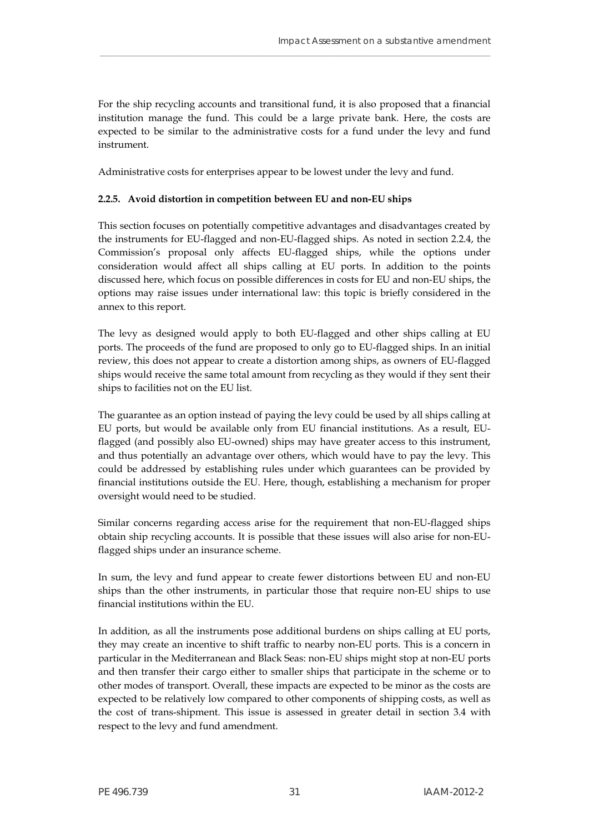For the ship recycling accounts and transitional fund, it is also proposed that a financial institution manage the fund. This could be a large private bank. Here, the costs are expected to be similar to the administrative costs for a fund under the levy and fund instrument.

\_\_\_\_\_\_\_\_\_\_\_\_\_\_\_\_\_\_\_\_\_\_\_\_\_\_\_\_\_\_\_\_\_\_\_\_\_\_\_\_\_\_\_\_\_\_\_\_\_\_\_\_\_\_\_\_\_\_\_\_\_\_\_\_\_\_\_\_\_\_\_\_\_\_\_\_\_\_\_

Administrative costs for enterprises appear to be lowest under the levy and fund.

## **2.2.5. Avoid distortion in competition between EU and non-EU ships**

This section focuses on potentially competitive advantages and disadvantages created by the instruments for EU-flagged and non-EU-flagged ships. As noted in section 2.2.4, the Commission's proposal only affects EU-flagged ships, while the options under consideration would affect all ships calling at EU ports. In addition to the points discussed here, which focus on possible differences in costs for EU and non-EU ships, the options may raise issues under international law: this topic is briefly considered in the annex to this report.

The levy as designed would apply to both EU-flagged and other ships calling at EU ports. The proceeds of the fund are proposed to only go to EU-flagged ships. In an initial review, this does not appear to create a distortion among ships, as owners of EU-flagged ships would receive the same total amount from recycling as they would if they sent their ships to facilities not on the EU list.

The guarantee as an option instead of paying the levy could be used by all ships calling at EU ports, but would be available only from EU financial institutions. As a result, EUflagged (and possibly also EU-owned) ships may have greater access to this instrument, and thus potentially an advantage over others, which would have to pay the levy. This could be addressed by establishing rules under which guarantees can be provided by financial institutions outside the EU. Here, though, establishing a mechanism for proper oversight would need to be studied.

Similar concerns regarding access arise for the requirement that non-EU-flagged ships obtain ship recycling accounts. It is possible that these issues will also arise for non-EUflagged ships under an insurance scheme.

In sum, the levy and fund appear to create fewer distortions between EU and non-EU ships than the other instruments, in particular those that require non-EU ships to use financial institutions within the EU.

In addition, as all the instruments pose additional burdens on ships calling at EU ports, they may create an incentive to shift traffic to nearby non-EU ports. This is a concern in particular in the Mediterranean and Black Seas: non-EU ships might stop at non-EU ports and then transfer their cargo either to smaller ships that participate in the scheme or to other modes of transport. Overall, these impacts are expected to be minor as the costs are expected to be relatively low compared to other components of shipping costs, as well as the cost of trans-shipment. This issue is assessed in greater detail in section 3.4 with respect to the levy and fund amendment.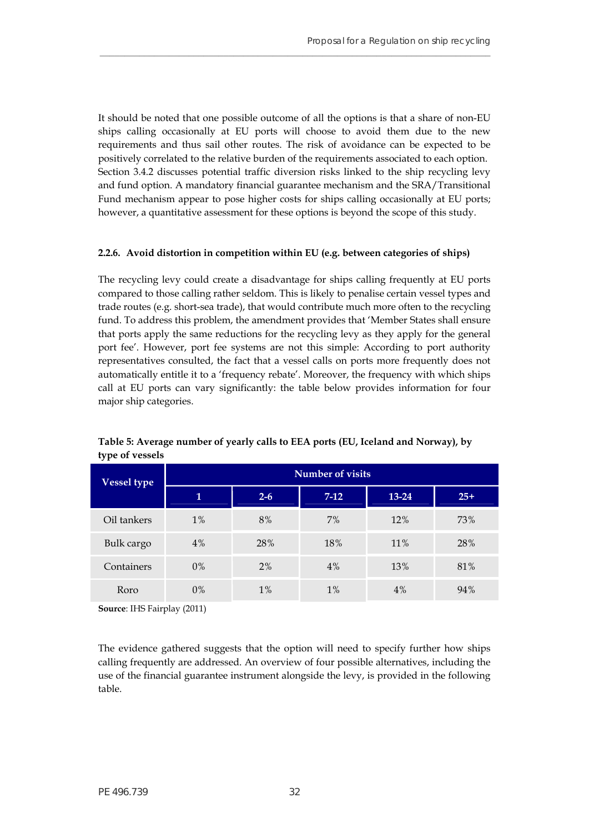It should be noted that one possible outcome of all the options is that a share of non-EU ships calling occasionally at EU ports will choose to avoid them due to the new requirements and thus sail other routes. The risk of avoidance can be expected to be positively correlated to the relative burden of the requirements associated to each option. Section 3.4.2 discusses potential traffic diversion risks linked to the ship recycling levy and fund option. A mandatory financial guarantee mechanism and the SRA/Transitional Fund mechanism appear to pose higher costs for ships calling occasionally at EU ports; however, a quantitative assessment for these options is beyond the scope of this study.

**\_\_\_\_\_\_\_\_\_\_\_\_\_\_\_\_\_\_\_\_\_\_\_\_\_\_\_\_\_\_\_\_\_\_\_\_\_\_\_\_\_\_\_\_\_\_\_\_\_\_\_\_\_\_\_\_\_\_\_\_\_\_\_\_\_\_\_\_\_\_\_\_\_\_\_\_\_\_\_**

#### **2.2.6. Avoid distortion in competition within EU (e.g. between categories of ships)**

The recycling levy could create a disadvantage for ships calling frequently at EU ports compared to those calling rather seldom. This is likely to penalise certain vessel types and trade routes (e.g. short-sea trade), that would contribute much more often to the recycling fund. To address this problem, the amendment provides that 'Member States shall ensure that ports apply the same reductions for the recycling levy as they apply for the general port fee'. However, port fee systems are not this simple: According to port authority representatives consulted, the fact that a vessel calls on ports more frequently does not automatically entitle it to a 'frequency rebate'. Moreover, the frequency with which ships call at EU ports can vary significantly: the table below provides information for four major ship categories.

<span id="page-33-0"></span>

| Vessel type | <b>Number of visits</b> |         |        |           |       |  |
|-------------|-------------------------|---------|--------|-----------|-------|--|
|             | 1                       | $2 - 6$ | $7-12$ | $13 - 24$ | $25+$ |  |
| Oil tankers | $1\%$                   | 8%      | 7%     | 12%       | 73%   |  |
| Bulk cargo  | 4%                      | 28%     | 18%    | 11%       | 28%   |  |
| Containers  | $0\%$                   | 2%      | 4%     | 13%       | 81%   |  |
| Roro        | $0\%$                   | 1%      | 1%     | 4%        | 94%   |  |

**Table 5: Average number of yearly calls to EEA ports (EU, Iceland and Norway), by type of vessels** 

**Source**: IHS Fairplay (2011)

The evidence gathered suggests that the option will need to specify further how ships calling frequently are addressed. An overview of four possible alternatives, including the use of the financial guarantee instrument alongside the levy, is provided in the following table.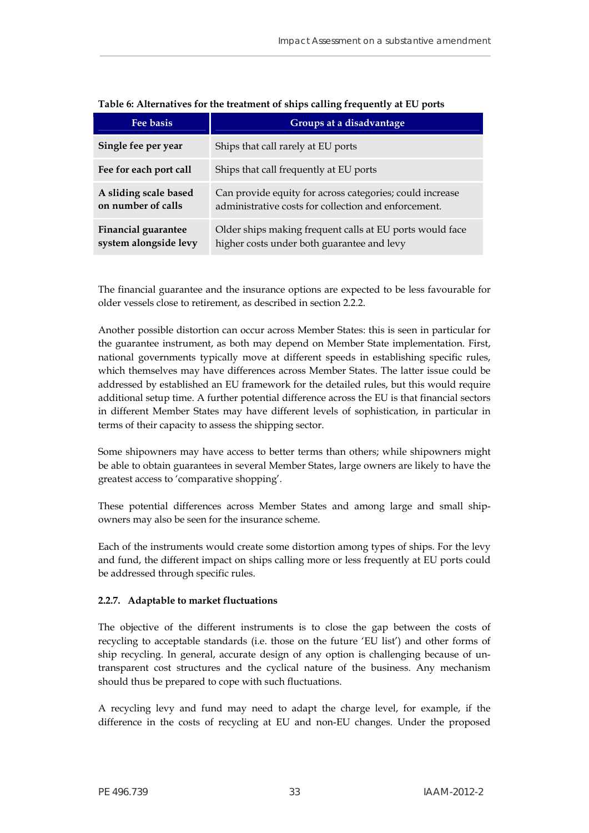<span id="page-34-0"></span>

| Fee basis                                           | Groups at a disadvantage                                                                                         |
|-----------------------------------------------------|------------------------------------------------------------------------------------------------------------------|
| Single fee per year                                 | Ships that call rarely at EU ports                                                                               |
| Fee for each port call                              | Ships that call frequently at EU ports                                                                           |
| A sliding scale based<br>on number of calls         | Can provide equity for across categories; could increase<br>administrative costs for collection and enforcement. |
| <b>Financial guarantee</b><br>system alongside levy | Older ships making frequent calls at EU ports would face<br>higher costs under both guarantee and levy           |

|  |  | Table 6: Alternatives for the treatment of ships calling frequently at EU ports |
|--|--|---------------------------------------------------------------------------------|
|  |  |                                                                                 |

\_\_\_\_\_\_\_\_\_\_\_\_\_\_\_\_\_\_\_\_\_\_\_\_\_\_\_\_\_\_\_\_\_\_\_\_\_\_\_\_\_\_\_\_\_\_\_\_\_\_\_\_\_\_\_\_\_\_\_\_\_\_\_\_\_\_\_\_\_\_\_\_\_\_\_\_\_\_\_

The financial guarantee and the insurance options are expected to be less favourable for older vessels close to retirement, as described in section 2.2.2.

Another possible distortion can occur across Member States: this is seen in particular for the guarantee instrument, as both may depend on Member State implementation. First, national governments typically move at different speeds in establishing specific rules, which themselves may have differences across Member States. The latter issue could be addressed by established an EU framework for the detailed rules, but this would require additional setup time. A further potential difference across the EU is that financial sectors in different Member States may have different levels of sophistication, in particular in terms of their capacity to assess the shipping sector.

Some shipowners may have access to better terms than others; while shipowners might be able to obtain guarantees in several Member States, large owners are likely to have the greatest access to 'comparative shopping'.

These potential differences across Member States and among large and small shipowners may also be seen for the insurance scheme.

Each of the instruments would create some distortion among types of ships. For the levy and fund, the different impact on ships calling more or less frequently at EU ports could be addressed through specific rules.

#### **2.2.7. Adaptable to market fluctuations**

The objective of the different instruments is to close the gap between the costs of recycling to acceptable standards (i.e. those on the future 'EU list') and other forms of ship recycling. In general, accurate design of any option is challenging because of untransparent cost structures and the cyclical nature of the business. Any mechanism should thus be prepared to cope with such fluctuations.

A recycling levy and fund may need to adapt the charge level, for example, if the difference in the costs of recycling at EU and non-EU changes. Under the proposed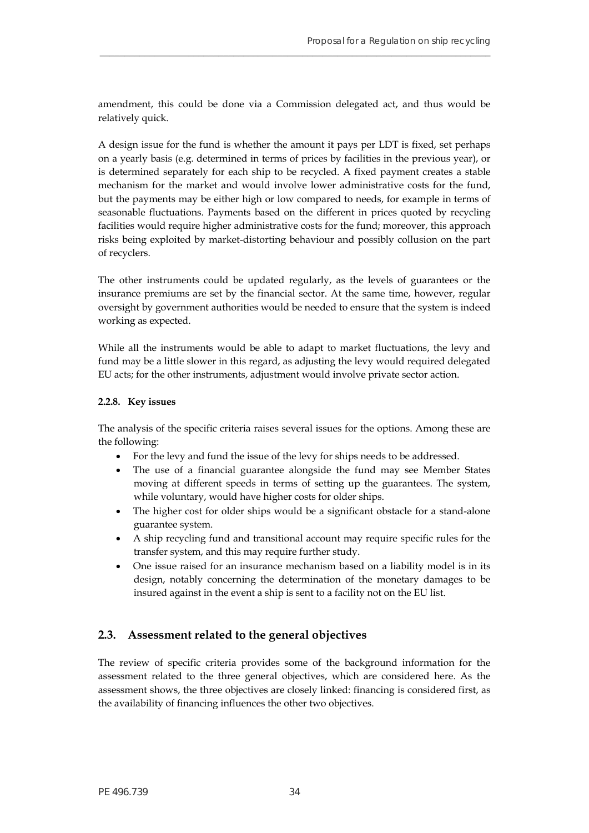amendment, this could be done via a Commission delegated act, and thus would be relatively quick.

**\_\_\_\_\_\_\_\_\_\_\_\_\_\_\_\_\_\_\_\_\_\_\_\_\_\_\_\_\_\_\_\_\_\_\_\_\_\_\_\_\_\_\_\_\_\_\_\_\_\_\_\_\_\_\_\_\_\_\_\_\_\_\_\_\_\_\_\_\_\_\_\_\_\_\_\_\_\_\_**

A design issue for the fund is whether the amount it pays per LDT is fixed, set perhaps on a yearly basis (e.g. determined in terms of prices by facilities in the previous year), or is determined separately for each ship to be recycled. A fixed payment creates a stable mechanism for the market and would involve lower administrative costs for the fund, but the payments may be either high or low compared to needs, for example in terms of seasonable fluctuations. Payments based on the different in prices quoted by recycling facilities would require higher administrative costs for the fund; moreover, this approach risks being exploited by market-distorting behaviour and possibly collusion on the part of recyclers.

The other instruments could be updated regularly, as the levels of guarantees or the insurance premiums are set by the financial sector. At the same time, however, regular oversight by government authorities would be needed to ensure that the system is indeed working as expected.

While all the instruments would be able to adapt to market fluctuations, the levy and fund may be a little slower in this regard, as adjusting the levy would required delegated EU acts; for the other instruments, adjustment would involve private sector action.

#### **2.2.8. Key issues**

The analysis of the specific criteria raises several issues for the options. Among these are the following:

- For the levy and fund the issue of the levy for ships needs to be addressed.
- The use of a financial guarantee alongside the fund may see Member States moving at different speeds in terms of setting up the guarantees. The system, while voluntary, would have higher costs for older ships.
- The higher cost for older ships would be a significant obstacle for a stand-alone guarantee system.
- A ship recycling fund and transitional account may require specific rules for the transfer system, and this may require further study.
- One issue raised for an insurance mechanism based on a liability model is in its design, notably concerning the determination of the monetary damages to be insured against in the event a ship is sent to a facility not on the EU list.

# <span id="page-35-0"></span>**2.3. Assessment related to the general objectives**

The review of specific criteria provides some of the background information for the assessment related to the three general objectives, which are considered here. As the assessment shows, the three objectives are closely linked: financing is considered first, as the availability of financing influences the other two objectives.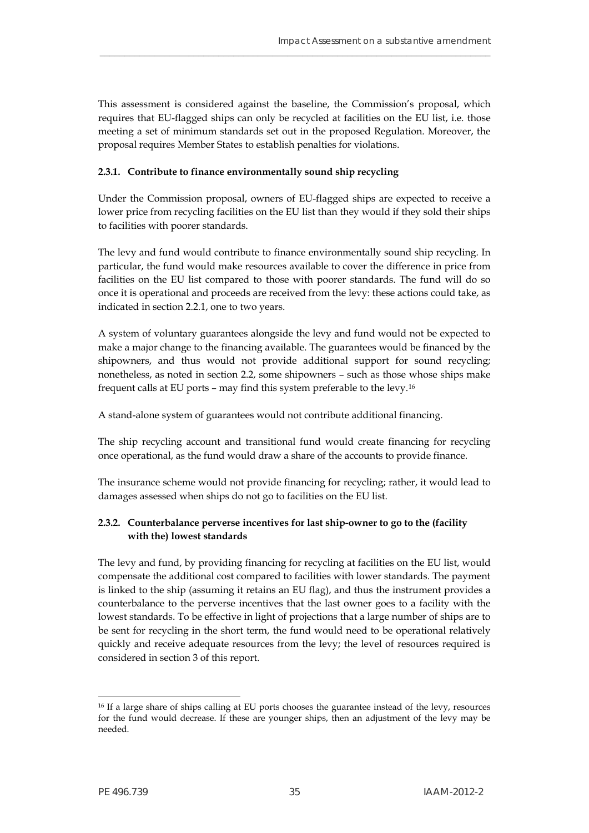This assessment is considered against the baseline, the Commission's proposal, which requires that EU-flagged ships can only be recycled at facilities on the EU list, i.e. those meeting a set of minimum standards set out in the proposed Regulation. Moreover, the proposal requires Member States to establish penalties for violations.

\_\_\_\_\_\_\_\_\_\_\_\_\_\_\_\_\_\_\_\_\_\_\_\_\_\_\_\_\_\_\_\_\_\_\_\_\_\_\_\_\_\_\_\_\_\_\_\_\_\_\_\_\_\_\_\_\_\_\_\_\_\_\_\_\_\_\_\_\_\_\_\_\_\_\_\_\_\_\_

## **2.3.1. Contribute to finance environmentally sound ship recycling**

Under the Commission proposal, owners of EU-flagged ships are expected to receive a lower price from recycling facilities on the EU list than they would if they sold their ships to facilities with poorer standards.

The levy and fund would contribute to finance environmentally sound ship recycling. In particular, the fund would make resources available to cover the difference in price from facilities on the EU list compared to those with poorer standards. The fund will do so once it is operational and proceeds are received from the levy: these actions could take, as indicated in section 2.2.1, one to two years.

A system of voluntary guarantees alongside the levy and fund would not be expected to make a major change to the financing available. The guarantees would be financed by the shipowners, and thus would not provide additional support for sound recycling; nonetheless, as noted in section 2.2, some shipowners – such as those whose ships make frequent calls at EU ports – may find this system preferable to the levy.[16](#page-36-0)

A stand-alone system of guarantees would not contribute additional financing.

The ship recycling account and transitional fund would create financing for recycling once operational, as the fund would draw a share of the accounts to provide finance.

The insurance scheme would not provide financing for recycling; rather, it would lead to damages assessed when ships do not go to facilities on the EU list.

## **2.3.2. Counterbalance perverse incentives for last ship-owner to go to the (facility with the) lowest standards**

The levy and fund, by providing financing for recycling at facilities on the EU list, would compensate the additional cost compared to facilities with lower standards. The payment is linked to the ship (assuming it retains an EU flag), and thus the instrument provides a counterbalance to the perverse incentives that the last owner goes to a facility with the lowest standards. To be effective in light of projections that a large number of ships are to be sent for recycling in the short term, the fund would need to be operational relatively quickly and receive adequate resources from the levy; the level of resources required is considered in section 3 of this report.

<span id="page-36-0"></span> $\overline{a}$ 16 If a large share of ships calling at EU ports chooses the guarantee instead of the levy, resources for the fund would decrease. If these are younger ships, then an adjustment of the levy may be needed.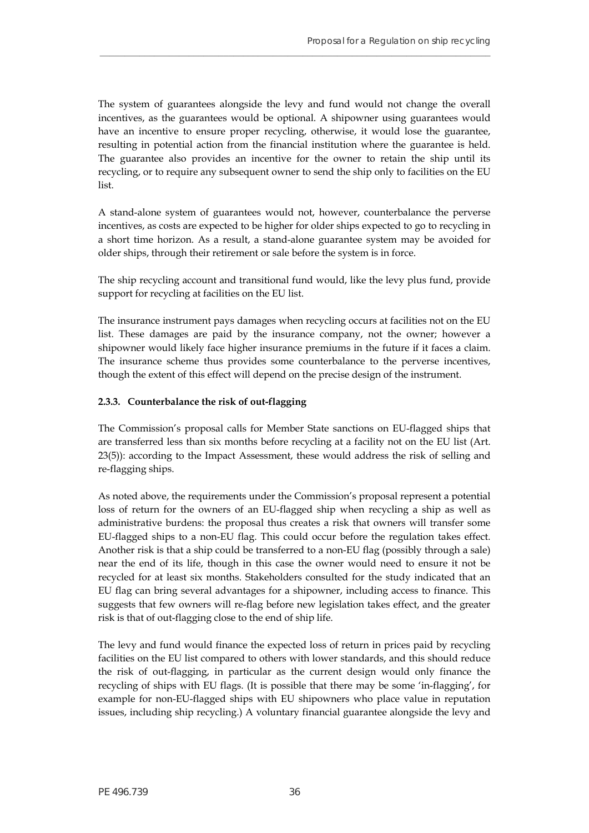The system of guarantees alongside the levy and fund would not change the overall incentives, as the guarantees would be optional. A shipowner using guarantees would have an incentive to ensure proper recycling, otherwise, it would lose the guarantee, resulting in potential action from the financial institution where the guarantee is held. The guarantee also provides an incentive for the owner to retain the ship until its recycling, or to require any subsequent owner to send the ship only to facilities on the EU list.

**\_\_\_\_\_\_\_\_\_\_\_\_\_\_\_\_\_\_\_\_\_\_\_\_\_\_\_\_\_\_\_\_\_\_\_\_\_\_\_\_\_\_\_\_\_\_\_\_\_\_\_\_\_\_\_\_\_\_\_\_\_\_\_\_\_\_\_\_\_\_\_\_\_\_\_\_\_\_\_**

A stand-alone system of guarantees would not, however, counterbalance the perverse incentives, as costs are expected to be higher for older ships expected to go to recycling in a short time horizon. As a result, a stand-alone guarantee system may be avoided for older ships, through their retirement or sale before the system is in force.

The ship recycling account and transitional fund would, like the levy plus fund, provide support for recycling at facilities on the EU list.

The insurance instrument pays damages when recycling occurs at facilities not on the EU list. These damages are paid by the insurance company, not the owner; however a shipowner would likely face higher insurance premiums in the future if it faces a claim. The insurance scheme thus provides some counterbalance to the perverse incentives, though the extent of this effect will depend on the precise design of the instrument.

## **2.3.3. Counterbalance the risk of out-flagging**

The Commission's proposal calls for Member State sanctions on EU-flagged ships that are transferred less than six months before recycling at a facility not on the EU list (Art. 23(5)): according to the Impact Assessment, these would address the risk of selling and re-flagging ships.

As noted above, the requirements under the Commission's proposal represent a potential loss of return for the owners of an EU-flagged ship when recycling a ship as well as administrative burdens: the proposal thus creates a risk that owners will transfer some EU-flagged ships to a non-EU flag. This could occur before the regulation takes effect. Another risk is that a ship could be transferred to a non-EU flag (possibly through a sale) near the end of its life, though in this case the owner would need to ensure it not be recycled for at least six months. Stakeholders consulted for the study indicated that an EU flag can bring several advantages for a shipowner, including access to finance. This suggests that few owners will re-flag before new legislation takes effect, and the greater risk is that of out-flagging close to the end of ship life.

The levy and fund would finance the expected loss of return in prices paid by recycling facilities on the EU list compared to others with lower standards, and this should reduce the risk of out-flagging, in particular as the current design would only finance the recycling of ships with EU flags. (It is possible that there may be some 'in-flagging', for example for non-EU-flagged ships with EU shipowners who place value in reputation issues, including ship recycling.) A voluntary financial guarantee alongside the levy and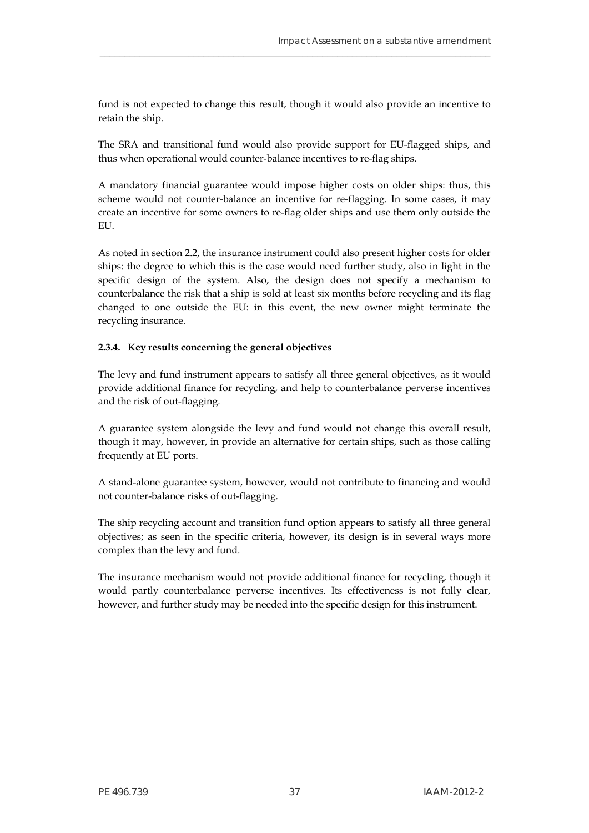fund is not expected to change this result, though it would also provide an incentive to retain the ship.

\_\_\_\_\_\_\_\_\_\_\_\_\_\_\_\_\_\_\_\_\_\_\_\_\_\_\_\_\_\_\_\_\_\_\_\_\_\_\_\_\_\_\_\_\_\_\_\_\_\_\_\_\_\_\_\_\_\_\_\_\_\_\_\_\_\_\_\_\_\_\_\_\_\_\_\_\_\_\_

The SRA and transitional fund would also provide support for EU-flagged ships, and thus when operational would counter-balance incentives to re-flag ships.

A mandatory financial guarantee would impose higher costs on older ships: thus, this scheme would not counter-balance an incentive for re-flagging. In some cases, it may create an incentive for some owners to re-flag older ships and use them only outside the EU.

As noted in section 2.2, the insurance instrument could also present higher costs for older ships: the degree to which this is the case would need further study, also in light in the specific design of the system. Also, the design does not specify a mechanism to counterbalance the risk that a ship is sold at least six months before recycling and its flag changed to one outside the EU: in this event, the new owner might terminate the recycling insurance.

## **2.3.4. Key results concerning the general objectives**

The levy and fund instrument appears to satisfy all three general objectives, as it would provide additional finance for recycling, and help to counterbalance perverse incentives and the risk of out-flagging.

A guarantee system alongside the levy and fund would not change this overall result, though it may, however, in provide an alternative for certain ships, such as those calling frequently at EU ports.

A stand-alone guarantee system, however, would not contribute to financing and would not counter-balance risks of out-flagging.

The ship recycling account and transition fund option appears to satisfy all three general objectives; as seen in the specific criteria, however, its design is in several ways more complex than the levy and fund.

The insurance mechanism would not provide additional finance for recycling, though it would partly counterbalance perverse incentives. Its effectiveness is not fully clear, however, and further study may be needed into the specific design for this instrument.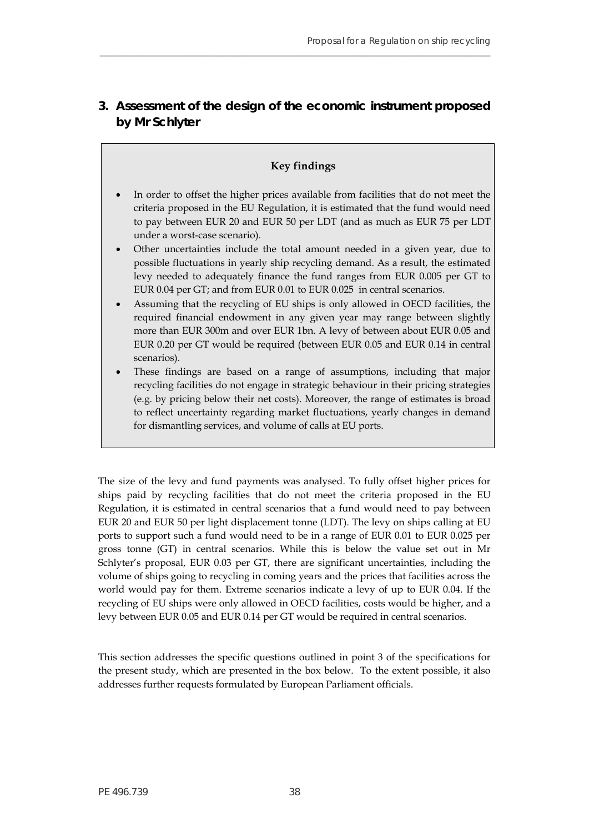# <span id="page-39-0"></span>**3. Assessment of the design of the economic instrument proposed by Mr Schlyter**

**\_\_\_\_\_\_\_\_\_\_\_\_\_\_\_\_\_\_\_\_\_\_\_\_\_\_\_\_\_\_\_\_\_\_\_\_\_\_\_\_\_\_\_\_\_\_\_\_\_\_\_\_\_\_\_\_\_\_\_\_\_\_\_\_\_\_\_\_\_\_\_\_\_\_\_\_\_\_\_**

## **Key findings**

- In order to offset the higher prices available from facilities that do not meet the criteria proposed in the EU Regulation, it is estimated that the fund would need to pay between EUR 20 and EUR 50 per LDT (and as much as EUR 75 per LDT under a worst-case scenario).
- Other uncertainties include the total amount needed in a given year, due to possible fluctuations in yearly ship recycling demand. As a result, the estimated levy needed to adequately finance the fund ranges from EUR 0.005 per GT to EUR 0.04 per GT; and from EUR 0.01 to EUR 0.025 in central scenarios.
- Assuming that the recycling of EU ships is only allowed in OECD facilities, the required financial endowment in any given year may range between slightly more than EUR 300m and over EUR 1bn. A levy of between about EUR 0.05 and EUR 0.20 per GT would be required (between EUR 0.05 and EUR 0.14 in central scenarios).
- These findings are based on a range of assumptions, including that major recycling facilities do not engage in strategic behaviour in their pricing strategies (e.g. by pricing below their net costs). Moreover, the range of estimates is broad to reflect uncertainty regarding market fluctuations, yearly changes in demand for dismantling services, and volume of calls at EU ports.

The size of the levy and fund payments was analysed. To fully offset higher prices for ships paid by recycling facilities that do not meet the criteria proposed in the EU Regulation, it is estimated in central scenarios that a fund would need to pay between EUR 20 and EUR 50 per light displacement tonne (LDT). The levy on ships calling at EU ports to support such a fund would need to be in a range of EUR 0.01 to EUR 0.025 per gross tonne (GT) in central scenarios. While this is below the value set out in Mr Schlyter's proposal, EUR 0.03 per GT, there are significant uncertainties, including the volume of ships going to recycling in coming years and the prices that facilities across the world would pay for them. Extreme scenarios indicate a levy of up to EUR 0.04. If the recycling of EU ships were only allowed in OECD facilities, costs would be higher, and a levy between EUR 0.05 and EUR 0.14 per GT would be required in central scenarios.

This section addresses the specific questions outlined in point 3 of the specifications for the present study, which are presented in the box below. To the extent possible, it also addresses further requests formulated by European Parliament officials.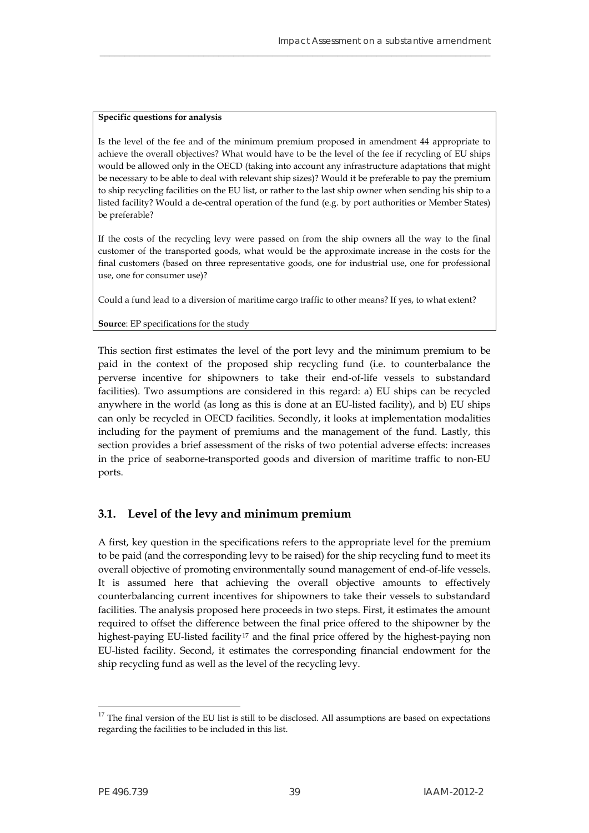#### **Specific questions for analysis**

Is the level of the fee and of the minimum premium proposed in amendment 44 appropriate to achieve the overall objectives? What would have to be the level of the fee if recycling of EU ships would be allowed only in the OECD (taking into account any infrastructure adaptations that might be necessary to be able to deal with relevant ship sizes)? Would it be preferable to pay the premium to ship recycling facilities on the EU list, or rather to the last ship owner when sending his ship to a listed facility? Would a de-central operation of the fund (e.g. by port authorities or Member States) be preferable?

\_\_\_\_\_\_\_\_\_\_\_\_\_\_\_\_\_\_\_\_\_\_\_\_\_\_\_\_\_\_\_\_\_\_\_\_\_\_\_\_\_\_\_\_\_\_\_\_\_\_\_\_\_\_\_\_\_\_\_\_\_\_\_\_\_\_\_\_\_\_\_\_\_\_\_\_\_\_\_

If the costs of the recycling levy were passed on from the ship owners all the way to the final customer of the transported goods, what would be the approximate increase in the costs for the final customers (based on three representative goods, one for industrial use, one for professional use, one for consumer use)?

Could a fund lead to a diversion of maritime cargo traffic to other means? If yes, to what extent?

#### **Source**: EP specifications for the study

This section first estimates the level of the port levy and the minimum premium to be paid in the context of the proposed ship recycling fund (i.e. to counterbalance the perverse incentive for shipowners to take their end-of-life vessels to substandard facilities). Two assumptions are considered in this regard: a) EU ships can be recycled anywhere in the world (as long as this is done at an EU-listed facility), and b) EU ships can only be recycled in OECD facilities. Secondly, it looks at implementation modalities including for the payment of premiums and the management of the fund. Lastly, this section provides a brief assessment of the risks of two potential adverse effects: increases in the price of seaborne-transported goods and diversion of maritime traffic to non-EU ports.

# <span id="page-40-0"></span>**3.1. Level of the levy and minimum premium**

A first, key question in the specifications refers to the appropriate level for the premium to be paid (and the corresponding levy to be raised) for the ship recycling fund to meet its overall objective of promoting environmentally sound management of end-of-life vessels. It is assumed here that achieving the overall objective amounts to effectively counterbalancing current incentives for shipowners to take their vessels to substandard facilities. The analysis proposed here proceeds in two steps. First, it estimates the amount required to offset the difference between the final price offered to the shipowner by the highest-paying EU-listed facility<sup>[17](#page-40-1)</sup> and the final price offered by the highest-paying non EU-listed facility. Second, it estimates the corresponding financial endowment for the ship recycling fund as well as the level of the recycling levy.

<span id="page-40-1"></span> $17$  The final version of the EU list is still to be disclosed. All assumptions are based on expectations regarding the facilities to be included in this list.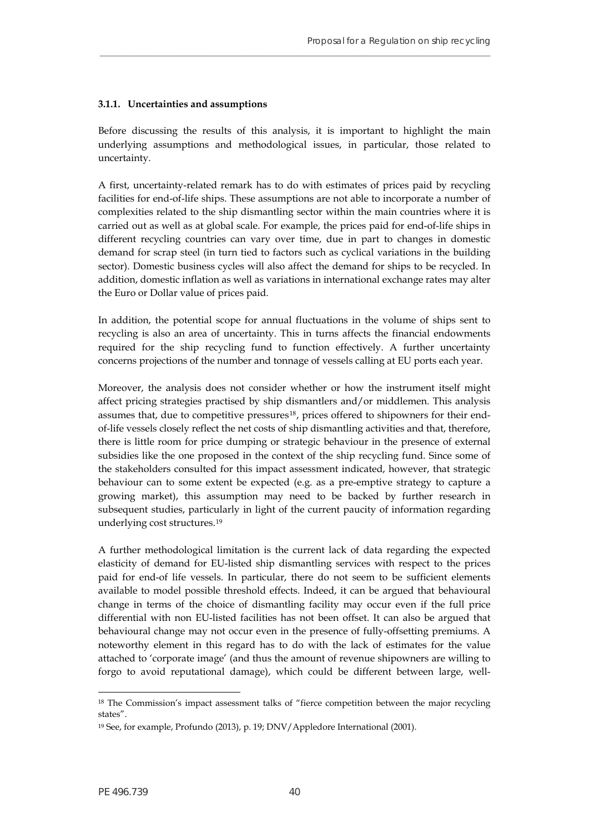#### **3.1.1. Uncertainties and assumptions**

Before discussing the results of this analysis, it is important to highlight the main underlying assumptions and methodological issues, in particular, those related to uncertainty.

**\_\_\_\_\_\_\_\_\_\_\_\_\_\_\_\_\_\_\_\_\_\_\_\_\_\_\_\_\_\_\_\_\_\_\_\_\_\_\_\_\_\_\_\_\_\_\_\_\_\_\_\_\_\_\_\_\_\_\_\_\_\_\_\_\_\_\_\_\_\_\_\_\_\_\_\_\_\_\_**

A first, uncertainty-related remark has to do with estimates of prices paid by recycling facilities for end-of-life ships. These assumptions are not able to incorporate a number of complexities related to the ship dismantling sector within the main countries where it is carried out as well as at global scale. For example, the prices paid for end-of-life ships in different recycling countries can vary over time, due in part to changes in domestic demand for scrap steel (in turn tied to factors such as cyclical variations in the building sector). Domestic business cycles will also affect the demand for ships to be recycled. In addition, domestic inflation as well as variations in international exchange rates may alter the Euro or Dollar value of prices paid.

In addition, the potential scope for annual fluctuations in the volume of ships sent to recycling is also an area of uncertainty. This in turns affects the financial endowments required for the ship recycling fund to function effectively. A further uncertainty concerns projections of the number and tonnage of vessels calling at EU ports each year.

Moreover, the analysis does not consider whether or how the instrument itself might affect pricing strategies practised by ship dismantlers and/or middlemen. This analysis assumes that, due to competitive pressures<sup>[18](#page-41-0)</sup>, prices offered to shipowners for their endof-life vessels closely reflect the net costs of ship dismantling activities and that, therefore, there is little room for price dumping or strategic behaviour in the presence of external subsidies like the one proposed in the context of the ship recycling fund. Since some of the stakeholders consulted for this impact assessment indicated, however, that strategic behaviour can to some extent be expected (e.g. as a pre-emptive strategy to capture a growing market), this assumption may need to be backed by further research in subsequent studies, particularly in light of the current paucity of information regarding underlying cost structures.[19](#page-41-1)

A further methodological limitation is the current lack of data regarding the expected elasticity of demand for EU-listed ship dismantling services with respect to the prices paid for end-of life vessels. In particular, there do not seem to be sufficient elements available to model possible threshold effects. Indeed, it can be argued that behavioural change in terms of the choice of dismantling facility may occur even if the full price differential with non EU-listed facilities has not been offset. It can also be argued that behavioural change may not occur even in the presence of fully-offsetting premiums. A noteworthy element in this regard has to do with the lack of estimates for the value attached to 'corporate image' (and thus the amount of revenue shipowners are willing to forgo to avoid reputational damage), which could be different between large, well-

<span id="page-41-0"></span><sup>&</sup>lt;sup>18</sup> The Commission's impact assessment talks of "fierce competition between the major recycling states".

<span id="page-41-1"></span><sup>19</sup> See, for example, Profundo (2013), p. 19; DNV/Appledore International (2001).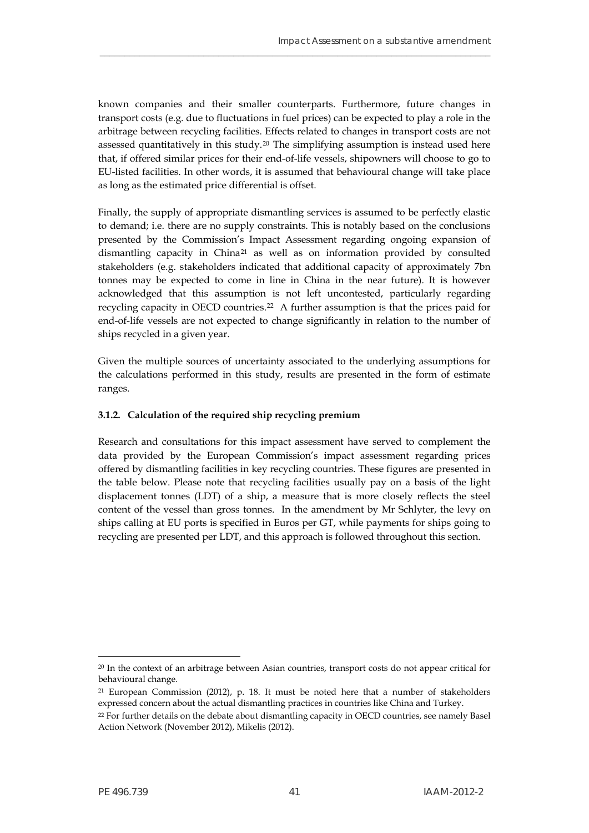known companies and their smaller counterparts. Furthermore, future changes in transport costs (e.g. due to fluctuations in fuel prices) can be expected to play a role in the arbitrage between recycling facilities. Effects related to changes in transport costs are not assessed quantitatively in this study.[20](#page-42-0) The simplifying assumption is instead used here that, if offered similar prices for their end-of-life vessels, shipowners will choose to go to EU-listed facilities. In other words, it is assumed that behavioural change will take place as long as the estimated price differential is offset.

\_\_\_\_\_\_\_\_\_\_\_\_\_\_\_\_\_\_\_\_\_\_\_\_\_\_\_\_\_\_\_\_\_\_\_\_\_\_\_\_\_\_\_\_\_\_\_\_\_\_\_\_\_\_\_\_\_\_\_\_\_\_\_\_\_\_\_\_\_\_\_\_\_\_\_\_\_\_\_

Finally, the supply of appropriate dismantling services is assumed to be perfectly elastic to demand; i.e. there are no supply constraints. This is notably based on the conclusions presented by the Commission's Impact Assessment regarding ongoing expansion of dismantling capacity in China[21](#page-42-1) as well as on information provided by consulted stakeholders (e.g. stakeholders indicated that additional capacity of approximately 7bn tonnes may be expected to come in line in China in the near future). It is however acknowledged that this assumption is not left uncontested, particularly regarding recycling capacity in OECD countries.[22](#page-42-2) A further assumption is that the prices paid for end-of-life vessels are not expected to change significantly in relation to the number of ships recycled in a given year.

Given the multiple sources of uncertainty associated to the underlying assumptions for the calculations performed in this study, results are presented in the form of estimate ranges.

## **3.1.2. Calculation of the required ship recycling premium**

Research and consultations for this impact assessment have served to complement the data provided by the European Commission's impact assessment regarding prices offered by dismantling facilities in key recycling countries. These figures are presented in the table below. Please note that recycling facilities usually pay on a basis of the light displacement tonnes (LDT) of a ship, a measure that is more closely reflects the steel content of the vessel than gross tonnes. In the amendment by Mr Schlyter, the levy on ships calling at EU ports is specified in Euros per GT, while payments for ships going to recycling are presented per LDT, and this approach is followed throughout this section.

<span id="page-42-0"></span><sup>20</sup> In the context of an arbitrage between Asian countries, transport costs do not appear critical for behavioural change.

<span id="page-42-1"></span><sup>21</sup> European Commission (2012), p. 18. It must be noted here that a number of stakeholders expressed concern about the actual dismantling practices in countries like China and Turkey.

<span id="page-42-2"></span><sup>22</sup> For further details on the debate about dismantling capacity in OECD countries, see namely Basel Action Network (November 2012), Mikelis (2012).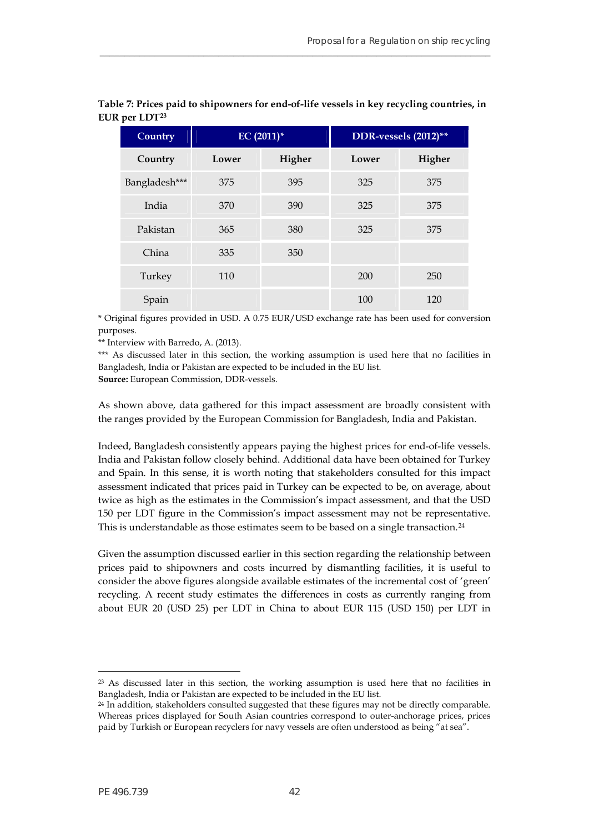| <b>Country</b> | $EC (2011)^*$ |        |       | DDR-vessels (2012)** |
|----------------|---------------|--------|-------|----------------------|
| Country        | Lower         | Higher | Lower | Higher               |
| Bangladesh***  | 375           | 395    | 325   | 375                  |
| India          | 370           | 390    | 325   | 375                  |
| Pakistan       | 365           | 380    | 325   | 375                  |
| China          | 335           | 350    |       |                      |
| Turkey         | 110           |        | 200   | 250                  |
| Spain          |               |        | 100   | 120                  |

## **Table 7: Prices paid to shipowners for end-of-life vessels in key recycling countries, in EUR per LDT[23](#page-43-1)**

**\_\_\_\_\_\_\_\_\_\_\_\_\_\_\_\_\_\_\_\_\_\_\_\_\_\_\_\_\_\_\_\_\_\_\_\_\_\_\_\_\_\_\_\_\_\_\_\_\_\_\_\_\_\_\_\_\_\_\_\_\_\_\_\_\_\_\_\_\_\_\_\_\_\_\_\_\_\_\_**

\* Original figures provided in USD. A 0.75 EUR/USD exchange rate has been used for conversion purposes.

\*\* Interview with Barredo, A. (2013).

\*\*\* As discussed later in this section, the working assumption is used here that no facilities in Bangladesh, India or Pakistan are expected to be included in the EU list.

**Source:** European Commission, DDR-vessels.

As shown above, data gathered for this impact assessment are broadly consistent with the ranges provided by the European Commission for Bangladesh, India and Pakistan.

Indeed, Bangladesh consistently appears paying the highest prices for end-of-life vessels. India and Pakistan follow closely behind. Additional data have been obtained for Turkey and Spain. In this sense, it is worth noting that stakeholders consulted for this impact assessment indicated that prices paid in Turkey can be expected to be, on average, about twice as high as the estimates in the Commission's impact assessment, and that the USD 150 per LDT figure in the Commission's impact assessment may not be representative. This is understandable as those estimates seem to be based on a single transaction.<sup>[24](#page-43-2)</sup>

<span id="page-43-0"></span>Given the assumption discussed earlier in this section regarding the relationship between prices paid to shipowners and costs incurred by dismantling facilities, it is useful to consider the above figures alongside available estimates of the incremental cost of 'green' recycling. A recent study estimates the differences in costs as currently ranging from about EUR 20 (USD 25) per LDT in China to about EUR 115 (USD 150) per LDT in

<span id="page-43-1"></span>23 As discussed later in this section, the working assumption is used here that no facilities in Bangladesh, India or Pakistan are expected to be included in the EU list.

<span id="page-43-2"></span><sup>&</sup>lt;sup>24</sup> In addition, stakeholders consulted suggested that these figures may not be directly comparable. Whereas prices displayed for South Asian countries correspond to outer-anchorage prices, prices paid by Turkish or European recyclers for navy vessels are often understood as being "at sea".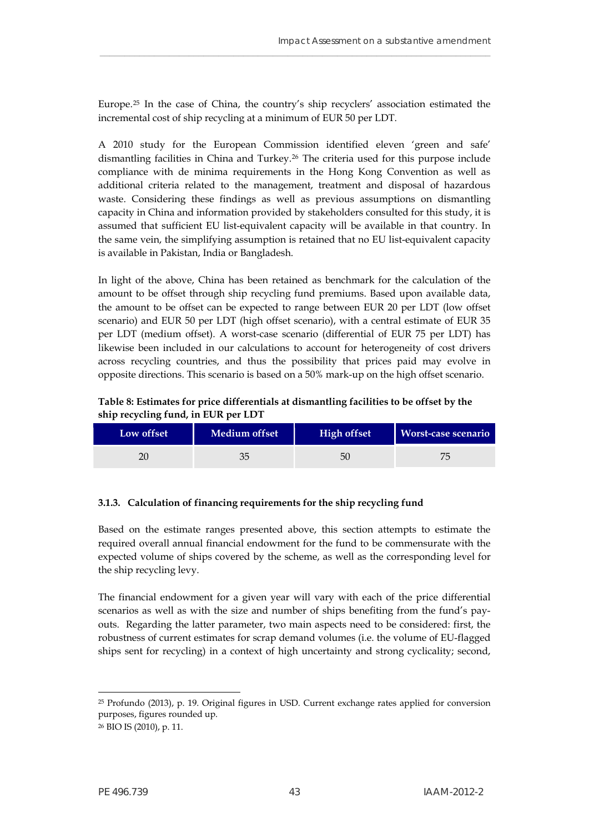Europe.[25](#page-44-1) In the case of China, the country's ship recyclers' association estimated the incremental cost of ship recycling at a minimum of EUR 50 per LDT.

\_\_\_\_\_\_\_\_\_\_\_\_\_\_\_\_\_\_\_\_\_\_\_\_\_\_\_\_\_\_\_\_\_\_\_\_\_\_\_\_\_\_\_\_\_\_\_\_\_\_\_\_\_\_\_\_\_\_\_\_\_\_\_\_\_\_\_\_\_\_\_\_\_\_\_\_\_\_\_

A 2010 study for the European Commission identified eleven 'green and safe' dismantling facilities in China and Turkey.[26](#page-44-2) The criteria used for this purpose include compliance with de minima requirements in the Hong Kong Convention as well as additional criteria related to the management, treatment and disposal of hazardous waste. Considering these findings as well as previous assumptions on dismantling capacity in China and information provided by stakeholders consulted for this study, it is assumed that sufficient EU list-equivalent capacity will be available in that country. In the same vein, the simplifying assumption is retained that no EU list-equivalent capacity is available in Pakistan, India or Bangladesh.

In light of the above, China has been retained as benchmark for the calculation of the amount to be offset through ship recycling fund premiums. Based upon available data, the amount to be offset can be expected to range between EUR 20 per LDT (low offset scenario) and EUR 50 per LDT (high offset scenario), with a central estimate of EUR 35 per LDT (medium offset). A worst-case scenario (differential of EUR 75 per LDT) has likewise been included in our calculations to account for heterogeneity of cost drivers across recycling countries, and thus the possibility that prices paid may evolve in opposite directions. This scenario is based on a 50% mark-up on the high offset scenario.

**Table 8: Estimates for price differentials at dismantling facilities to be offset by the ship recycling fund, in EUR per LDT**

<span id="page-44-0"></span>

| Low offset | Medium offset | <b>High offset</b> | <b>Worst-case scenario</b> |
|------------|---------------|--------------------|----------------------------|
|            |               | 50                 |                            |

#### **3.1.3. Calculation of financing requirements for the ship recycling fund**

Based on the estimate ranges presented above, this section attempts to estimate the required overall annual financial endowment for the fund to be commensurate with the expected volume of ships covered by the scheme, as well as the corresponding level for the ship recycling levy.

The financial endowment for a given year will vary with each of the price differential scenarios as well as with the size and number of ships benefiting from the fund's payouts. Regarding the latter parameter, two main aspects need to be considered: first, the robustness of current estimates for scrap demand volumes (i.e. the volume of EU-flagged ships sent for recycling) in a context of high uncertainty and strong cyclicality; second,

<span id="page-44-1"></span><sup>25</sup> Profundo (2013), p. 19. Original figures in USD. Current exchange rates applied for conversion purposes, figures rounded up.

<span id="page-44-2"></span><sup>26</sup> BIO IS (2010), p. 11.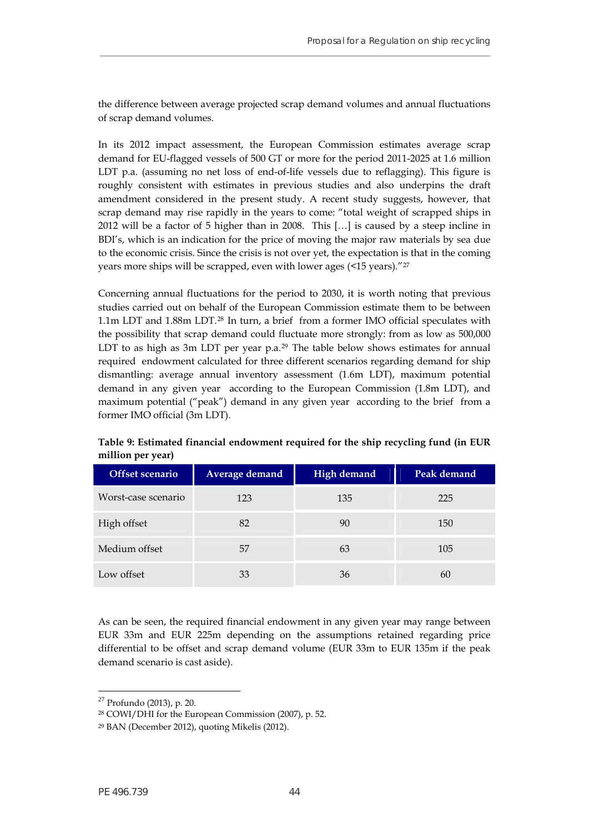the difference between average projected scrap demand volumes and annual fluctuations of scrap demand volumes.

**\_\_\_\_\_\_\_\_\_\_\_\_\_\_\_\_\_\_\_\_\_\_\_\_\_\_\_\_\_\_\_\_\_\_\_\_\_\_\_\_\_\_\_\_\_\_\_\_\_\_\_\_\_\_\_\_\_\_\_\_\_\_\_\_\_\_\_\_\_\_\_\_\_\_\_\_\_\_\_**

In its 2012 impact assessment, the European Commission estimates average scrap demand for EU-flagged vessels of 500 GT or more for the period 2011-2025 at 1.6 million LDT p.a. (assuming no net loss of end-of-life vessels due to reflagging). This figure is roughly consistent with estimates in previous studies and also underpins the draft amendment considered in the present study. A recent study suggests, however, that scrap demand may rise rapidly in the years to come: "total weight of scrapped ships in 2012 will be a factor of 5 higher than in 2008. This […] is caused by a steep incline in BDI's, which is an indication for the price of moving the major raw materials by sea due to the economic crisis. Since the crisis is not over yet, the expectation is that in the coming years more ships will be scrapped, even with lower ages (<15 years)."[27](#page-45-1)

Concerning annual fluctuations for the period to 2030, it is worth noting that previous studies carried out on behalf of the European Commission estimate them to be between 1.1m LDT and 1.88m LDT.[28](#page-45-2) In turn, a brief from a former IMO official speculates with the possibility that scrap demand could fluctuate more strongly: from as low as 500,000 LDT to as high as 3m LDT per year p.a.<sup>[29](#page-45-3)</sup> The table below shows estimates for annual required endowment calculated for three different scenarios regarding demand for ship dismantling: average annual inventory assessment (1.6m LDT), maximum potential demand in any given year according to the European Commission (1.8m LDT), and maximum potential ("peak") demand in any given year according to the brief from a former IMO official (3m LDT).

| Offset scenario     | Average demand | <b>High demand</b> | Peak demand |
|---------------------|----------------|--------------------|-------------|
| Worst-case scenario | 123            | 135                | 225         |
| High offset         | 82             | 90                 | 150         |
| Medium offset       | 57             | 63                 | 105         |
| Low offset          | 33             | 36                 | 60          |

<span id="page-45-0"></span>**Table 9: Estimated financial endowment required for the ship recycling fund (in EUR million per year)** 

As can be seen, the required financial endowment in any given year may range between EUR 33m and EUR 225m depending on the assumptions retained regarding price differential to be offset and scrap demand volume (EUR 33m to EUR 135m if the peak demand scenario is cast aside).

<span id="page-45-1"></span><sup>27</sup> Profundo (2013), p. 20.

<span id="page-45-2"></span><sup>28</sup> COWI/DHI for the European Commission (2007), p. 52.

<span id="page-45-3"></span><sup>29</sup> BAN (December 2012), quoting Mikelis (2012).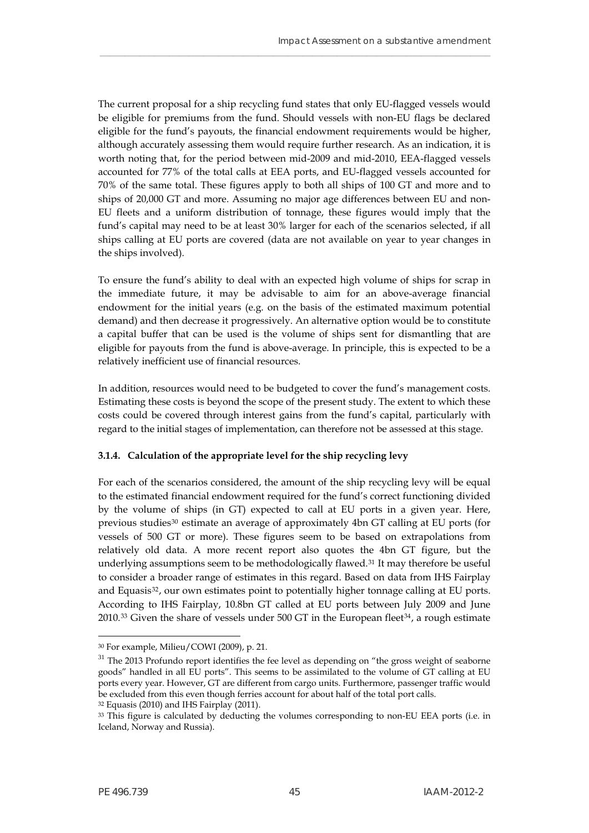The current proposal for a ship recycling fund states that only EU-flagged vessels would be eligible for premiums from the fund. Should vessels with non-EU flags be declared eligible for the fund's payouts, the financial endowment requirements would be higher, although accurately assessing them would require further research. As an indication, it is worth noting that, for the period between mid-2009 and mid-2010, EEA-flagged vessels accounted for 77% of the total calls at EEA ports, and EU-flagged vessels accounted for 70% of the same total. These figures apply to both all ships of 100 GT and more and to ships of 20,000 GT and more. Assuming no major age differences between EU and non-EU fleets and a uniform distribution of tonnage, these figures would imply that the fund's capital may need to be at least 30% larger for each of the scenarios selected, if all ships calling at EU ports are covered (data are not available on year to year changes in the ships involved).

\_\_\_\_\_\_\_\_\_\_\_\_\_\_\_\_\_\_\_\_\_\_\_\_\_\_\_\_\_\_\_\_\_\_\_\_\_\_\_\_\_\_\_\_\_\_\_\_\_\_\_\_\_\_\_\_\_\_\_\_\_\_\_\_\_\_\_\_\_\_\_\_\_\_\_\_\_\_\_

To ensure the fund's ability to deal with an expected high volume of ships for scrap in the immediate future, it may be advisable to aim for an above-average financial endowment for the initial years (e.g. on the basis of the estimated maximum potential demand) and then decrease it progressively. An alternative option would be to constitute a capital buffer that can be used is the volume of ships sent for dismantling that are eligible for payouts from the fund is above-average. In principle, this is expected to be a relatively inefficient use of financial resources.

In addition, resources would need to be budgeted to cover the fund's management costs. Estimating these costs is beyond the scope of the present study. The extent to which these costs could be covered through interest gains from the fund's capital, particularly with regard to the initial stages of implementation, can therefore not be assessed at this stage.

#### **3.1.4. Calculation of the appropriate level for the ship recycling levy**

For each of the scenarios considered, the amount of the ship recycling levy will be equal to the estimated financial endowment required for the fund's correct functioning divided by the volume of ships (in GT) expected to call at EU ports in a given year. Here, previous studies<sup>[30](#page-46-0)</sup> estimate an average of approximately 4bn GT calling at EU ports (for vessels of 500 GT or more). These figures seem to be based on extrapolations from relatively old data. A more recent report also quotes the 4bn GT figure, but the underlying assumptions seem to be methodologically flawed.<sup>31</sup> It may therefore be useful to consider a broader range of estimates in this regard. Based on data from IHS Fairplay and Equasis<sup>[32](#page-46-2)</sup>, our own estimates point to potentially higher tonnage calling at EU ports. According to IHS Fairplay, 10.8bn GT called at EU ports between July 2009 and June  $2010^{33}$  $2010^{33}$  $2010^{33}$  Given the share of vessels under 500 GT in the European fleet<sup>[34](#page-46-4)</sup>, a rough estimate

<span id="page-46-0"></span><sup>30</sup> For example, Milieu/COWI (2009), p. 21.

<span id="page-46-1"></span><sup>&</sup>lt;sup>31</sup> The 2013 Profundo report identifies the fee level as depending on "the gross weight of seaborne goods" handled in all EU ports". This seems to be assimilated to the volume of GT calling at EU ports every year. However, GT are different from cargo units. Furthermore, passenger traffic would be excluded from this even though ferries account for about half of the total port calls.

<span id="page-46-4"></span><span id="page-46-2"></span><sup>32</sup> Equasis (2010) and IHS Fairplay (2011).

<span id="page-46-3"></span><sup>&</sup>lt;sup>33</sup> This figure is calculated by deducting the volumes corresponding to non-EU EEA ports (i.e. in Iceland, Norway and Russia).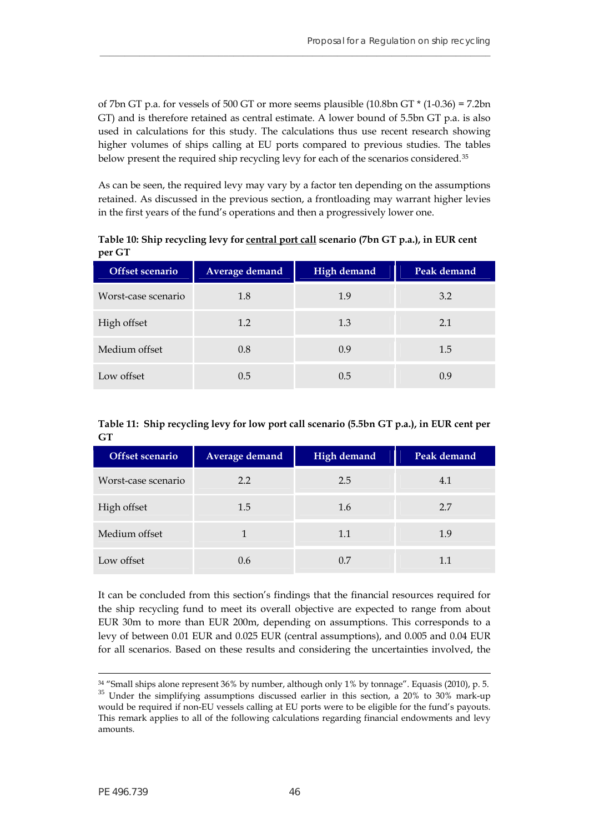of 7bn GT p.a. for vessels of 500 GT or more seems plausible  $(10.8$ bn GT  $*$   $(1-0.36) = 7.2$ bn GT) and is therefore retained as central estimate. A lower bound of 5.5bn GT p.a. is also used in calculations for this study. The calculations thus use recent research showing higher volumes of ships calling at EU ports compared to previous studies. The tables below present the required ship recycling levy for each of the scenarios considered.<sup>[35](#page-47-2)</sup>

**\_\_\_\_\_\_\_\_\_\_\_\_\_\_\_\_\_\_\_\_\_\_\_\_\_\_\_\_\_\_\_\_\_\_\_\_\_\_\_\_\_\_\_\_\_\_\_\_\_\_\_\_\_\_\_\_\_\_\_\_\_\_\_\_\_\_\_\_\_\_\_\_\_\_\_\_\_\_\_**

As can be seen, the required levy may vary by a factor ten depending on the assumptions retained. As discussed in the previous section, a frontloading may warrant higher levies in the first years of the fund's operations and then a progressively lower one.

**Table 10: Ship recycling levy for central port call scenario (7bn GT p.a.), in EUR cent per GT** 

<span id="page-47-0"></span>

| Offset scenario     | <b>Average demand</b> | <b>High demand</b> | Peak demand |
|---------------------|-----------------------|--------------------|-------------|
| Worst-case scenario | 1.8                   | 1.9                | 3.2         |
| High offset         | 1.2                   | 1.3                | 2.1         |
| Medium offset       | 0.8                   | 0.9                | 1.5         |
| Low offset          | 0.5                   | 0.5                | 0.9         |

<span id="page-47-1"></span>**Table 11: Ship recycling levy for low port call scenario (5.5bn GT p.a.), in EUR cent per GT**

| Offset scenario     | Average demand | High demand | Peak demand |
|---------------------|----------------|-------------|-------------|
| Worst-case scenario | 2.2            | 2.5         | 4.1         |
| High offset         | 1.5            | 1.6         | 2.7         |
| Medium offset       |                | 1.1         | 1.9         |
| Low offset          | 0.6            | 0.7         | 1.1         |

It can be concluded from this section's findings that the financial resources required for the ship recycling fund to meet its overall objective are expected to range from about EUR 30m to more than EUR 200m, depending on assumptions. This corresponds to a levy of between 0.01 EUR and 0.025 EUR (central assumptions), and 0.005 and 0.04 EUR for all scenarios. Based on these results and considering the uncertainties involved, the

1

<span id="page-47-2"></span><sup>34 &</sup>quot;Small ships alone represent 36% by number, although only 1% by tonnage". Equasis (2010), p. 5. <sup>35</sup> Under the simplifying assumptions discussed earlier in this section, a 20% to 30% mark-up would be required if non-EU vessels calling at EU ports were to be eligible for the fund's payouts. This remark applies to all of the following calculations regarding financial endowments and levy amounts.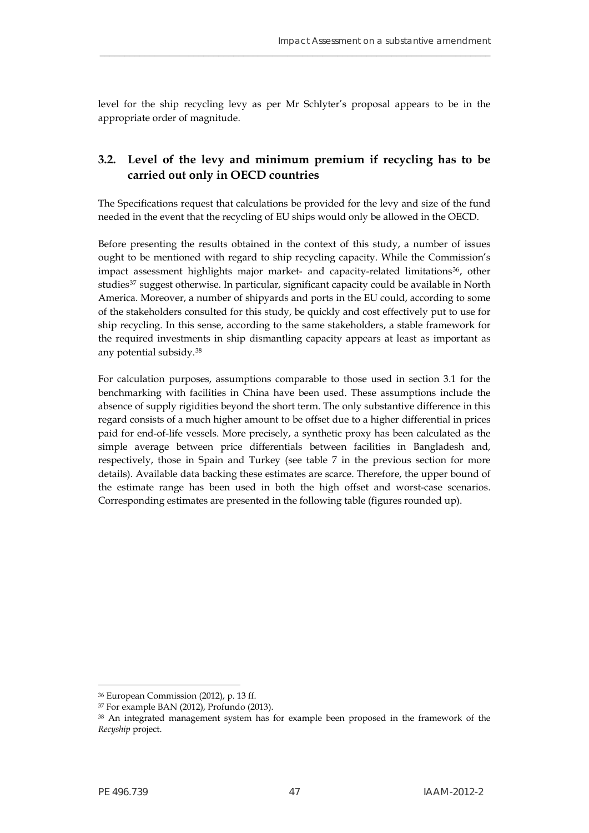level for the ship recycling levy as per Mr Schlyter's proposal appears to be in the appropriate order of magnitude.

\_\_\_\_\_\_\_\_\_\_\_\_\_\_\_\_\_\_\_\_\_\_\_\_\_\_\_\_\_\_\_\_\_\_\_\_\_\_\_\_\_\_\_\_\_\_\_\_\_\_\_\_\_\_\_\_\_\_\_\_\_\_\_\_\_\_\_\_\_\_\_\_\_\_\_\_\_\_\_

# <span id="page-48-0"></span>**3.2. Level of the levy and minimum premium if recycling has to be carried out only in OECD countries**

The Specifications request that calculations be provided for the levy and size of the fund needed in the event that the recycling of EU ships would only be allowed in the OECD.

Before presenting the results obtained in the context of this study, a number of issues ought to be mentioned with regard to ship recycling capacity. While the Commission's impact assessment highlights major market- and capacity-related limitations<sup>[36](#page-48-1)</sup>, other studies<sup>[37](#page-48-2)</sup> suggest otherwise. In particular, significant capacity could be available in North America. Moreover, a number of shipyards and ports in the EU could, according to some of the stakeholders consulted for this study, be quickly and cost effectively put to use for ship recycling. In this sense, according to the same stakeholders, a stable framework for the required investments in ship dismantling capacity appears at least as important as any potential subsidy.[38](#page-48-3)

For calculation purposes, assumptions comparable to those used in section 3.1 for the benchmarking with facilities in China have been used. These assumptions include the absence of supply rigidities beyond the short term. The only substantive difference in this regard consists of a much higher amount to be offset due to a higher differential in prices paid for end-of-life vessels. More precisely, a synthetic proxy has been calculated as the simple average between price differentials between facilities in Bangladesh and, respectively, those in Spain and Turkey (see table 7 in the previous section for more details). Available data backing these estimates are scarce. Therefore, the upper bound of the estimate range has been used in both the high offset and worst-case scenarios. Corresponding estimates are presented in the following table (figures rounded up).

<span id="page-48-1"></span><sup>36</sup> European Commission (2012), p. 13 ff.

<span id="page-48-2"></span><sup>37</sup> For example BAN (2012), Profundo (2013).

<span id="page-48-3"></span><sup>38</sup> An integrated management system has for example been proposed in the framework of the *Recyship* project.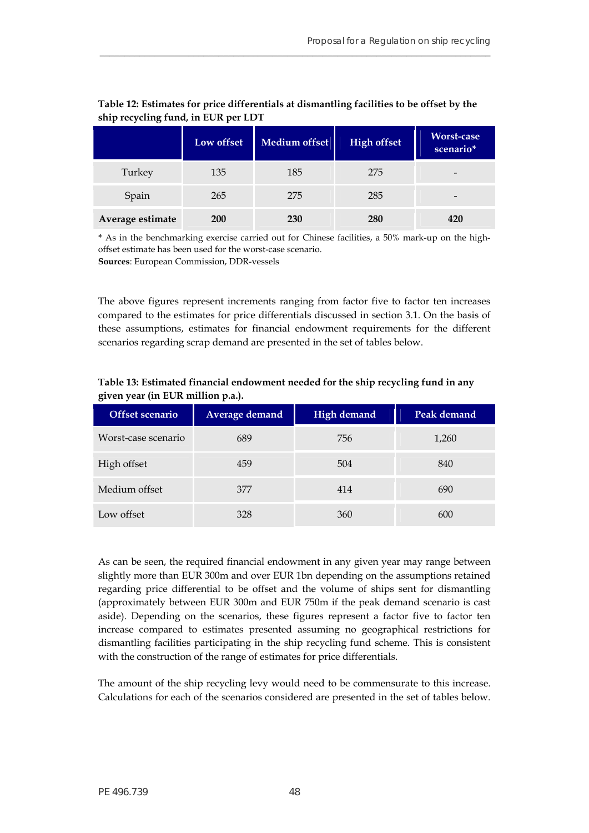|                  | Low offset | <b>Medium offset</b> | <b>High offset</b> | Worst-case<br>scenario*  |
|------------------|------------|----------------------|--------------------|--------------------------|
| Turkey           | 135        | 185                  | 275                | -                        |
| Spain            | 265        | 275                  | 285                | $\overline{\phantom{0}}$ |
| Average estimate | <b>200</b> | 230                  | 280                | 420                      |

## **Table 12: Estimates for price differentials at dismantling facilities to be offset by the ship recycling fund, in EUR per LDT**

**\_\_\_\_\_\_\_\_\_\_\_\_\_\_\_\_\_\_\_\_\_\_\_\_\_\_\_\_\_\_\_\_\_\_\_\_\_\_\_\_\_\_\_\_\_\_\_\_\_\_\_\_\_\_\_\_\_\_\_\_\_\_\_\_\_\_\_\_\_\_\_\_\_\_\_\_\_\_\_**

**\*** As in the benchmarking exercise carried out for Chinese facilities, a 50% mark-up on the highoffset estimate has been used for the worst-case scenario. **Sources**: European Commission, DDR-vessels

The above figures represent increments ranging from factor five to factor ten increases compared to the estimates for price differentials discussed in section 3.1. On the basis of these assumptions, estimates for financial endowment requirements for the different scenarios regarding scrap demand are presented in the set of tables below.

<span id="page-49-1"></span>

| Offset scenario     | Average demand | High demand | Peak demand |
|---------------------|----------------|-------------|-------------|
| Worst-case scenario | 689            | 756         | 1,260       |
| High offset         | 459            | 504         | 840         |
| Medium offset       | 377            | 414         | 690         |
| Low offset          | 328            | 360         | 600         |

## **Table 13: Estimated financial endowment needed for the ship recycling fund in any given year (in EUR million p.a.).**

<span id="page-49-0"></span>As can be seen, the required financial endowment in any given year may range between slightly more than EUR 300m and over EUR 1bn depending on the assumptions retained regarding price differential to be offset and the volume of ships sent for dismantling (approximately between EUR 300m and EUR 750m if the peak demand scenario is cast aside). Depending on the scenarios, these figures represent a factor five to factor ten increase compared to estimates presented assuming no geographical restrictions for dismantling facilities participating in the ship recycling fund scheme. This is consistent with the construction of the range of estimates for price differentials.

The amount of the ship recycling levy would need to be commensurate to this increase. Calculations for each of the scenarios considered are presented in the set of tables below.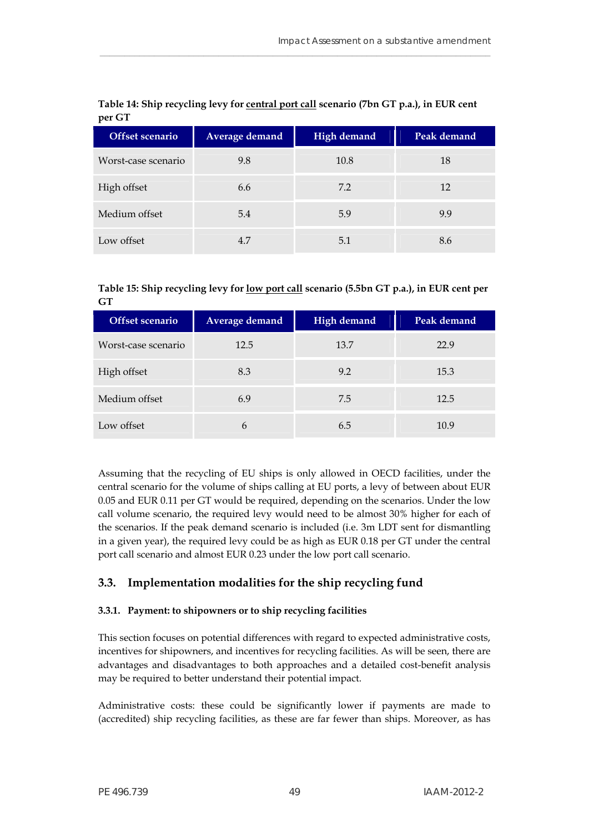<span id="page-50-1"></span>

| Offset scenario     | Average demand | <b>High demand</b> | Peak demand |
|---------------------|----------------|--------------------|-------------|
| Worst-case scenario | 9.8            | 10.8               | 18          |
| High offset         | 6.6            | 7.2                | 12          |
| Medium offset       | 5.4            | 5.9                | 9.9         |
| Low offset          | 4.7            | 5.1                | 8.6         |

## **Table 14: Ship recycling levy for central port call scenario (7bn GT p.a.), in EUR cent per GT**

\_\_\_\_\_\_\_\_\_\_\_\_\_\_\_\_\_\_\_\_\_\_\_\_\_\_\_\_\_\_\_\_\_\_\_\_\_\_\_\_\_\_\_\_\_\_\_\_\_\_\_\_\_\_\_\_\_\_\_\_\_\_\_\_\_\_\_\_\_\_\_\_\_\_\_\_\_\_\_

<span id="page-50-2"></span>

| Table 15: Ship recycling levy for <u>low port call</u> scenario (5.5bn GT p.a.), in EUR cent per |  |
|--------------------------------------------------------------------------------------------------|--|
| GT                                                                                               |  |

| Offset scenario     | Average demand | <b>High demand</b> | Peak demand |
|---------------------|----------------|--------------------|-------------|
| Worst-case scenario | 12.5           | 13.7               | 22.9        |
| High offset         | 8.3            | 9.2                | 15.3        |
| Medium offset       | 6.9            | 7.5                | 12.5        |
| Low offset          | 6              | 6.5                | 10.9        |

Assuming that the recycling of EU ships is only allowed in OECD facilities, under the central scenario for the volume of ships calling at EU ports, a levy of between about EUR 0.05 and EUR 0.11 per GT would be required, depending on the scenarios. Under the low call volume scenario, the required levy would need to be almost 30% higher for each of the scenarios. If the peak demand scenario is included (i.e. 3m LDT sent for dismantling in a given year), the required levy could be as high as EUR 0.18 per GT under the central port call scenario and almost EUR 0.23 under the low port call scenario.

# <span id="page-50-0"></span>**3.3. Implementation modalities for the ship recycling fund**

# **3.3.1. Payment: to shipowners or to ship recycling facilities**

This section focuses on potential differences with regard to expected administrative costs, incentives for shipowners, and incentives for recycling facilities. As will be seen, there are advantages and disadvantages to both approaches and a detailed cost-benefit analysis may be required to better understand their potential impact.

Administrative costs: these could be significantly lower if payments are made to (accredited) ship recycling facilities, as these are far fewer than ships. Moreover, as has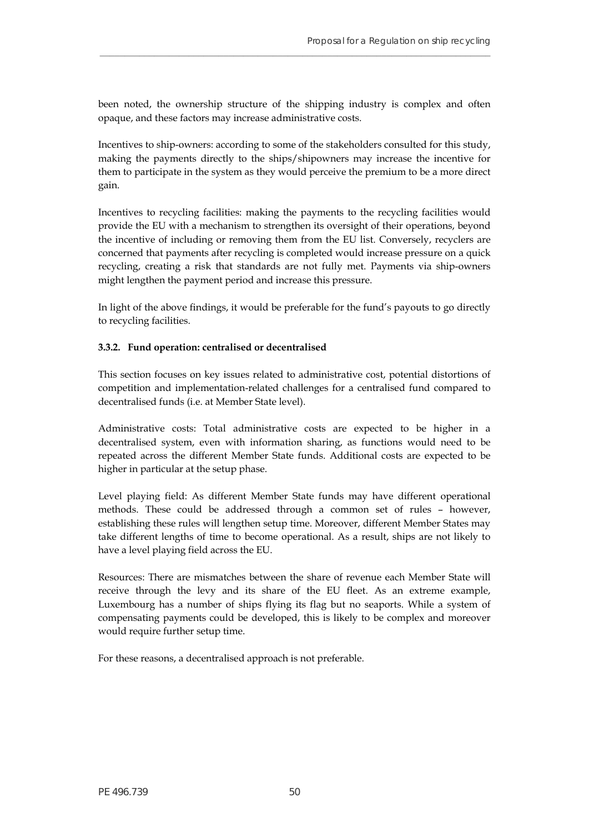been noted, the ownership structure of the shipping industry is complex and often opaque, and these factors may increase administrative costs.

**\_\_\_\_\_\_\_\_\_\_\_\_\_\_\_\_\_\_\_\_\_\_\_\_\_\_\_\_\_\_\_\_\_\_\_\_\_\_\_\_\_\_\_\_\_\_\_\_\_\_\_\_\_\_\_\_\_\_\_\_\_\_\_\_\_\_\_\_\_\_\_\_\_\_\_\_\_\_\_**

Incentives to ship-owners: according to some of the stakeholders consulted for this study, making the payments directly to the ships/shipowners may increase the incentive for them to participate in the system as they would perceive the premium to be a more direct gain.

Incentives to recycling facilities: making the payments to the recycling facilities would provide the EU with a mechanism to strengthen its oversight of their operations, beyond the incentive of including or removing them from the EU list. Conversely, recyclers are concerned that payments after recycling is completed would increase pressure on a quick recycling, creating a risk that standards are not fully met. Payments via ship-owners might lengthen the payment period and increase this pressure.

In light of the above findings, it would be preferable for the fund's payouts to go directly to recycling facilities.

#### **3.3.2. Fund operation: centralised or decentralised**

This section focuses on key issues related to administrative cost, potential distortions of competition and implementation-related challenges for a centralised fund compared to decentralised funds (i.e. at Member State level).

Administrative costs: Total administrative costs are expected to be higher in a decentralised system, even with information sharing, as functions would need to be repeated across the different Member State funds. Additional costs are expected to be higher in particular at the setup phase.

Level playing field: As different Member State funds may have different operational methods. These could be addressed through a common set of rules – however, establishing these rules will lengthen setup time. Moreover, different Member States may take different lengths of time to become operational. As a result, ships are not likely to have a level playing field across the EU.

Resources: There are mismatches between the share of revenue each Member State will receive through the levy and its share of the EU fleet. As an extreme example, Luxembourg has a number of ships flying its flag but no seaports. While a system of compensating payments could be developed, this is likely to be complex and moreover would require further setup time.

For these reasons, a decentralised approach is not preferable.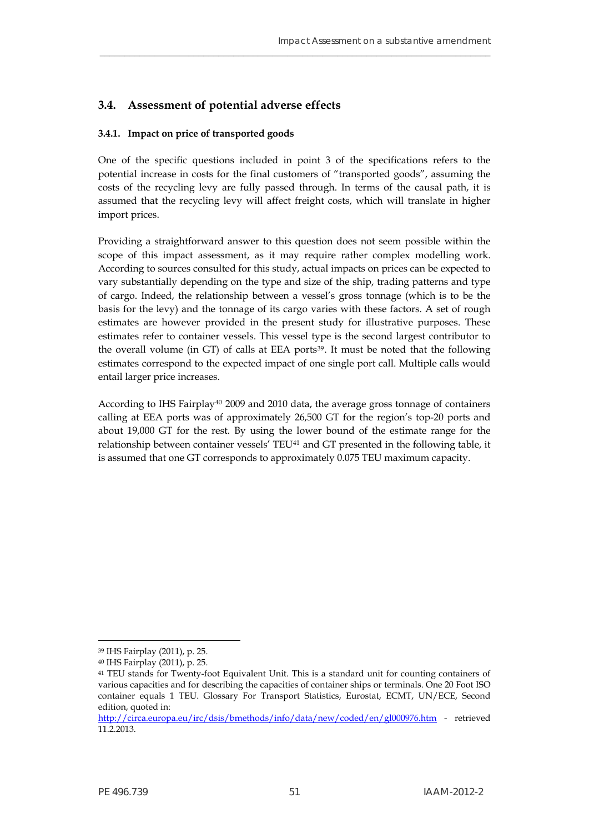## **3.4. Assessment of potential adverse effects**

#### **3.4.1. Impact on price of transported goods**

One of the specific questions included in point 3 of the specifications refers to the potential increase in costs for the final customers of "transported goods", assuming the costs of the recycling levy are fully passed through. In terms of the causal path, it is assumed that the recycling levy will affect freight costs, which will translate in higher import prices.

\_\_\_\_\_\_\_\_\_\_\_\_\_\_\_\_\_\_\_\_\_\_\_\_\_\_\_\_\_\_\_\_\_\_\_\_\_\_\_\_\_\_\_\_\_\_\_\_\_\_\_\_\_\_\_\_\_\_\_\_\_\_\_\_\_\_\_\_\_\_\_\_\_\_\_\_\_\_\_

Providing a straightforward answer to this question does not seem possible within the scope of this impact assessment, as it may require rather complex modelling work. According to sources consulted for this study, actual impacts on prices can be expected to vary substantially depending on the type and size of the ship, trading patterns and type of cargo. Indeed, the relationship between a vessel's gross tonnage (which is to be the basis for the levy) and the tonnage of its cargo varies with these factors. A set of rough estimates are however provided in the present study for illustrative purposes. These estimates refer to container vessels. This vessel type is the second largest contributor to the overall volume (in GT) of calls at EEA ports<sup>[39](#page-52-1)</sup>. It must be noted that the following estimates correspond to the expected impact of one single port call. Multiple calls would entail larger price increases.

According to IHS Fairplay[40](#page-52-2) 2009 and 2010 data, the average gross tonnage of containers calling at EEA ports was of approximately 26,500 GT for the region's top-20 ports and about 19,000 GT for the rest. By using the lower bound of the estimate range for the relationship between container vessels' TEU<sup>[41](#page-52-3)</sup> and GT presented in the following table, it is assumed that one GT corresponds to approximately 0.075 TEU maximum capacity.

<span id="page-52-1"></span><sup>39</sup> IHS Fairplay (2011), p. 25.

<span id="page-52-2"></span><sup>40</sup> IHS Fairplay (2011), p. 25.

<span id="page-52-3"></span><sup>41</sup> TEU stands for Twenty-foot Equivalent Unit. This is a standard unit for counting containers of various capacities and for describing the capacities of container ships or terminals. One 20 Foot ISO container equals 1 TEU. Glossary For Transport Statistics, Eurostat, ECMT, UN/ECE, Second edition, quoted in:

<span id="page-52-0"></span><http://circa.europa.eu/irc/dsis/bmethods/info/data/new/coded/en/gl000976.htm>- retrieved 11.2.2013.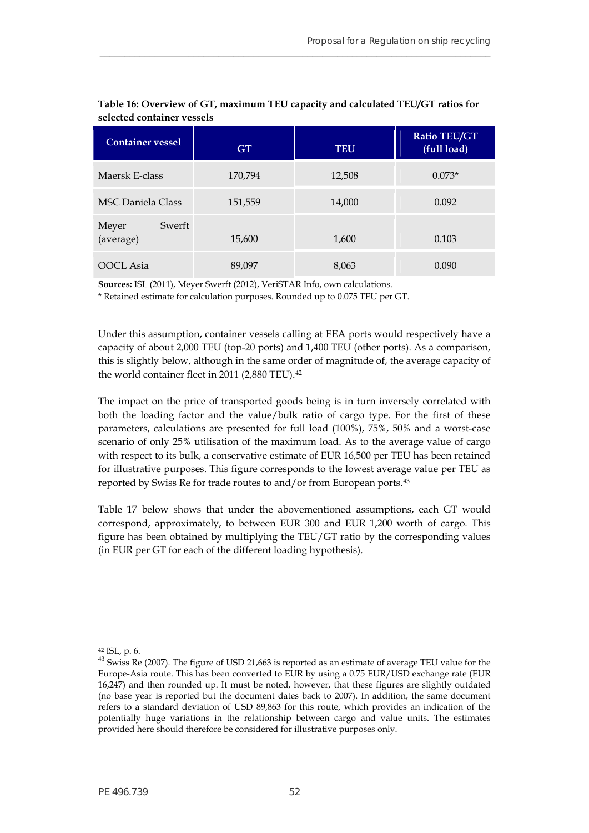| <b>Container vessel</b>      | <b>GT</b> | <b>TEU</b> | <b>Ratio TEU/GT</b><br>(full load) |
|------------------------------|-----------|------------|------------------------------------|
| Maersk E-class               | 170,794   | 12,508     | $0.073*$                           |
| <b>MSC Daniela Class</b>     | 151,559   | 14,000     | 0.092                              |
| Swerft<br>Meyer<br>(average) | 15,600    | 1,600      | 0.103                              |
| OOCL Asia                    | 89,097    | 8,063      | 0.090                              |

#### **Table 16: Overview of GT, maximum TEU capacity and calculated TEU/GT ratios for selected container vessels**

**\_\_\_\_\_\_\_\_\_\_\_\_\_\_\_\_\_\_\_\_\_\_\_\_\_\_\_\_\_\_\_\_\_\_\_\_\_\_\_\_\_\_\_\_\_\_\_\_\_\_\_\_\_\_\_\_\_\_\_\_\_\_\_\_\_\_\_\_\_\_\_\_\_\_\_\_\_\_\_**

**Sources:** ISL (2011), Meyer Swerft (2012), VeriSTAR Info, own calculations.

\* Retained estimate for calculation purposes. Rounded up to 0.075 TEU per GT.

Under this assumption, container vessels calling at EEA ports would respectively have a capacity of about 2,000 TEU (top-20 ports) and 1,400 TEU (other ports). As a comparison, this is slightly below, although in the same order of magnitude of, the average capacity of the world container fleet in 2011 (2,880 TEU).<sup>[42](#page-53-1)</sup>

The impact on the price of transported goods being is in turn inversely correlated with both the loading factor and the value/bulk ratio of cargo type. For the first of these parameters, calculations are presented for full load (100%), 75%, 50% and a worst-case scenario of only 25% utilisation of the maximum load. As to the average value of cargo with respect to its bulk, a conservative estimate of EUR 16,500 per TEU has been retained for illustrative purposes. This figure corresponds to the lowest average value per TEU as reported by Swiss Re for trade routes to and/or from European ports.[43](#page-53-2)

<span id="page-53-0"></span>Table 17 below shows that under the abovementioned assumptions, each GT would correspond, approximately, to between EUR 300 and EUR 1,200 worth of cargo. This figure has been obtained by multiplying the TEU/GT ratio by the corresponding values (in EUR per GT for each of the different loading hypothesis).

<span id="page-53-1"></span><sup>42</sup> ISL, p. 6.

<span id="page-53-2"></span><sup>&</sup>lt;sup>43</sup> Swiss Re (2007). The figure of USD 21,663 is reported as an estimate of average TEU value for the Europe-Asia route. This has been converted to EUR by using a 0.75 EUR/USD exchange rate (EUR 16,247) and then rounded up. It must be noted, however, that these figures are slightly outdated (no base year is reported but the document dates back to 2007). In addition, the same document refers to a standard deviation of USD 89,863 for this route, which provides an indication of the potentially huge variations in the relationship between cargo and value units. The estimates provided here should therefore be considered for illustrative purposes only.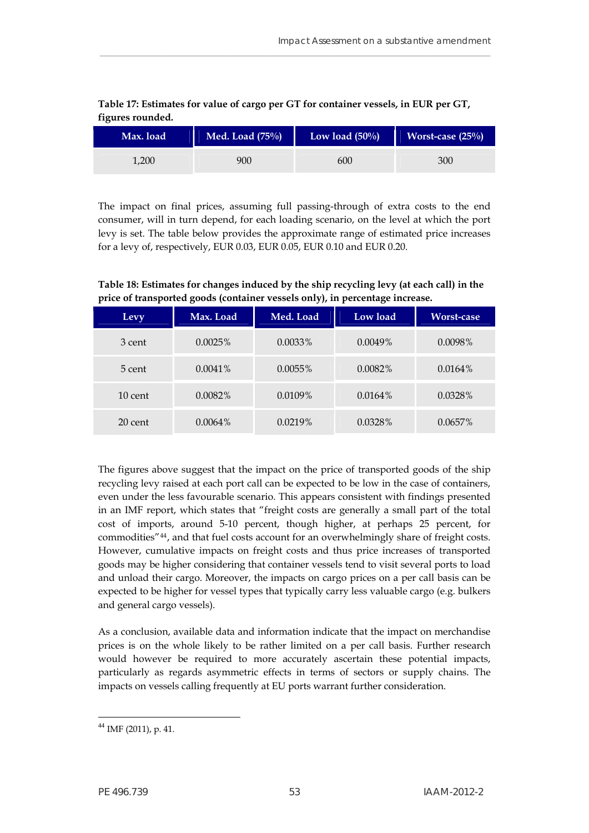<span id="page-54-0"></span>

| Max. load | Med. Load $(75\%)$ | Low load $(50\%)$ | Worst-case $(25\%)$ |
|-----------|--------------------|-------------------|---------------------|
| 1.200     | 900                | 600               | 300                 |

\_\_\_\_\_\_\_\_\_\_\_\_\_\_\_\_\_\_\_\_\_\_\_\_\_\_\_\_\_\_\_\_\_\_\_\_\_\_\_\_\_\_\_\_\_\_\_\_\_\_\_\_\_\_\_\_\_\_\_\_\_\_\_\_\_\_\_\_\_\_\_\_\_\_\_\_\_\_\_

**Table 17: Estimates for value of cargo per GT for container vessels, in EUR per GT, figures rounded.** 

The impact on final prices, assuming full passing-through of extra costs to the end consumer, will in turn depend, for each loading scenario, on the level at which the port levy is set. The table below provides the approximate range of estimated price increases for a levy of, respectively, EUR 0.03, EUR 0.05, EUR 0.10 and EUR 0.20.

<span id="page-54-1"></span>

| Table 18: Estimates for changes induced by the ship recycling levy (at each call) in the |
|------------------------------------------------------------------------------------------|
| price of transported goods (container vessels only), in percentage increase.             |

| Levy      | Max. Load  | Med. Load  | Low load   | <b>Worst-case</b> |
|-----------|------------|------------|------------|-------------------|
| 3 cent    | 0.0025%    | $0.0033\%$ | $0.0049\%$ | 0.0098%           |
| 5 cent    | $0.0041\%$ | $0.0055\%$ | $0.0082\%$ | $0.0164\%$        |
| $10$ cent | $0.0082\%$ | $0.0109\%$ | $0.0164\%$ | 0.0328%           |
| 20 cent   | $0.0064\%$ | 0.0219%    | 0.0328%    | 0.0657%           |

The figures above suggest that the impact on the price of transported goods of the ship recycling levy raised at each port call can be expected to be low in the case of containers, even under the less favourable scenario. This appears consistent with findings presented in an IMF report, which states that "freight costs are generally a small part of the total cost of imports, around 5-10 percent, though higher, at perhaps 25 percent, for commodities"[44](#page-54-2), and that fuel costs account for an overwhelmingly share of freight costs. However, cumulative impacts on freight costs and thus price increases of transported goods may be higher considering that container vessels tend to visit several ports to load and unload their cargo. Moreover, the impacts on cargo prices on a per call basis can be expected to be higher for vessel types that typically carry less valuable cargo (e.g. bulkers and general cargo vessels).

As a conclusion, available data and information indicate that the impact on merchandise prices is on the whole likely to be rather limited on a per call basis. Further research would however be required to more accurately ascertain these potential impacts, particularly as regards asymmetric effects in terms of sectors or supply chains. The impacts on vessels calling frequently at EU ports warrant further consideration.

<span id="page-54-2"></span><sup>44</sup> IMF (2011), p. 41.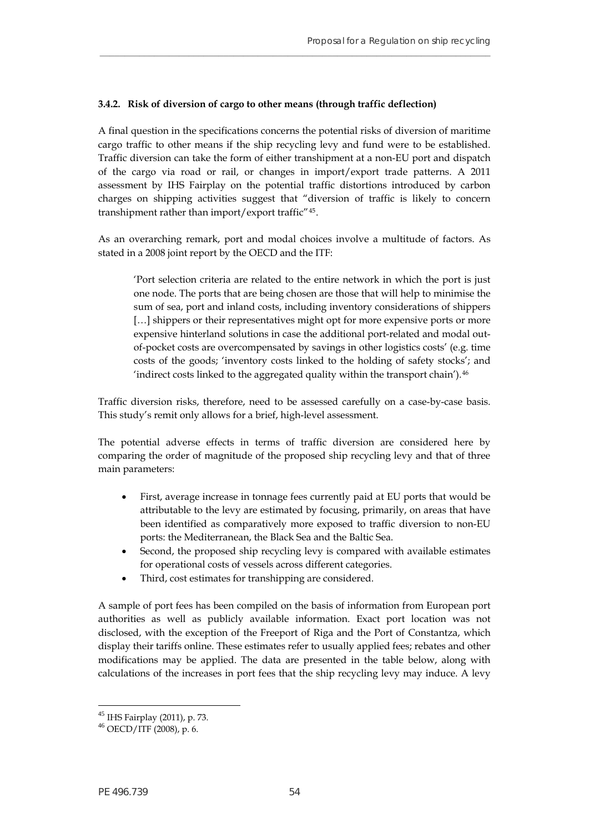#### **3.4.2. Risk of diversion of cargo to other means (through traffic deflection)**

A final question in the specifications concerns the potential risks of diversion of maritime cargo traffic to other means if the ship recycling levy and fund were to be established. Traffic diversion can take the form of either transhipment at a non-EU port and dispatch of the cargo via road or rail, or changes in import/export trade patterns. A 2011 assessment by IHS Fairplay on the potential traffic distortions introduced by carbon charges on shipping activities suggest that "diversion of traffic is likely to concern transhipment rather than import/export traffic"[45](#page-55-0).

**\_\_\_\_\_\_\_\_\_\_\_\_\_\_\_\_\_\_\_\_\_\_\_\_\_\_\_\_\_\_\_\_\_\_\_\_\_\_\_\_\_\_\_\_\_\_\_\_\_\_\_\_\_\_\_\_\_\_\_\_\_\_\_\_\_\_\_\_\_\_\_\_\_\_\_\_\_\_\_**

As an overarching remark, port and modal choices involve a multitude of factors. As stated in a 2008 joint report by the OECD and the ITF:

'Port selection criteria are related to the entire network in which the port is just one node. The ports that are being chosen are those that will help to minimise the sum of sea, port and inland costs, including inventory considerations of shippers [...] shippers or their representatives might opt for more expensive ports or more expensive hinterland solutions in case the additional port-related and modal outof-pocket costs are overcompensated by savings in other logistics costs' (e.g. time costs of the goods; 'inventory costs linked to the holding of safety stocks'; and 'indirect costs linked to the aggregated quality within the transport chain').[46](#page-55-1)

Traffic diversion risks, therefore, need to be assessed carefully on a case-by-case basis. This study's remit only allows for a brief, high-level assessment.

The potential adverse effects in terms of traffic diversion are considered here by comparing the order of magnitude of the proposed ship recycling levy and that of three main parameters:

- First, average increase in tonnage fees currently paid at EU ports that would be attributable to the levy are estimated by focusing, primarily, on areas that have been identified as comparatively more exposed to traffic diversion to non-EU ports: the Mediterranean, the Black Sea and the Baltic Sea.
- Second, the proposed ship recycling levy is compared with available estimates for operational costs of vessels across different categories.
- Third, cost estimates for transhipping are considered.

A sample of port fees has been compiled on the basis of information from European port authorities as well as publicly available information. Exact port location was not disclosed, with the exception of the Freeport of Riga and the Port of Constantza, which display their tariffs online. These estimates refer to usually applied fees; rebates and other modifications may be applied. The data are presented in the table below, along with calculations of the increases in port fees that the ship recycling levy may induce. A levy

<span id="page-55-1"></span><span id="page-55-0"></span><sup>45</sup> IHS Fairplay (2011), p. 73. 46 OECD/ITF (2008), p. 6.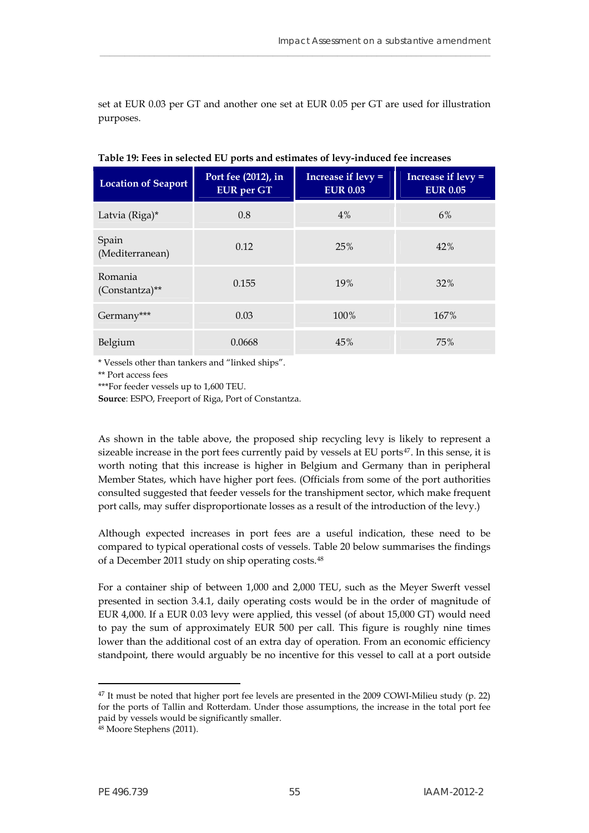set at EUR 0.03 per GT and another one set at EUR 0.05 per GT are used for illustration purposes.

\_\_\_\_\_\_\_\_\_\_\_\_\_\_\_\_\_\_\_\_\_\_\_\_\_\_\_\_\_\_\_\_\_\_\_\_\_\_\_\_\_\_\_\_\_\_\_\_\_\_\_\_\_\_\_\_\_\_\_\_\_\_\_\_\_\_\_\_\_\_\_\_\_\_\_\_\_\_\_

<span id="page-56-0"></span>

| <b>Location of Seaport</b> | Port fee (2012), in<br><b>EUR</b> per GT | Increase if $levy =$<br><b>EUR 0.03</b> | Increase if $levy =$<br><b>EUR 0.05</b> |  |
|----------------------------|------------------------------------------|-----------------------------------------|-----------------------------------------|--|
| Latvia (Riga)*             | 0.8                                      | 4%                                      | 6%                                      |  |
| Spain<br>(Mediterranean)   | 0.12                                     | 25%                                     | 42%                                     |  |
| Romania<br>(Constantza)**  | 0.155                                    | 19%                                     | 32%                                     |  |
| Germany***                 | 0.03                                     | 100%                                    | 167%                                    |  |
| Belgium                    | 0.0668                                   | 45%                                     | 75%                                     |  |

**Table 19: Fees in selected EU ports and estimates of levy-induced fee increases** 

\* Vessels other than tankers and "linked ships".

\*\* Port access fees

\*\*\*For feeder vessels up to 1,600 TEU.

**Source**: ESPO, Freeport of Riga, Port of Constantza.

As shown in the table above, the proposed ship recycling levy is likely to represent a sizeable increase in the port fees currently paid by vessels at EU ports $47$ . In this sense, it is worth noting that this increase is higher in Belgium and Germany than in peripheral Member States, which have higher port fees. (Officials from some of the port authorities consulted suggested that feeder vessels for the transhipment sector, which make frequent port calls, may suffer disproportionate losses as a result of the introduction of the levy.)

Although expected increases in port fees are a useful indication, these need to be compared to typical operational costs of vessels. Table 20 below summarises the findings of a December 2011 study on ship operating costs.<sup>[48](#page-56-2)</sup>

For a container ship of between 1,000 and 2,000 TEU, such as the Meyer Swerft vessel presented in section 3.4.1, daily operating costs would be in the order of magnitude of EUR 4,000. If a EUR 0.03 levy were applied, this vessel (of about 15,000 GT) would need to pay the sum of approximately EUR 500 per call. This figure is roughly nine times lower than the additional cost of an extra day of operation. From an economic efficiency standpoint, there would arguably be no incentive for this vessel to call at a port outside

<span id="page-56-1"></span> $47$  It must be noted that higher port fee levels are presented in the 2009 COWI-Milieu study (p. 22) for the ports of Tallin and Rotterdam. Under those assumptions, the increase in the total port fee paid by vessels would be significantly smaller. 48 Moore Stephens (2011).

<span id="page-56-2"></span>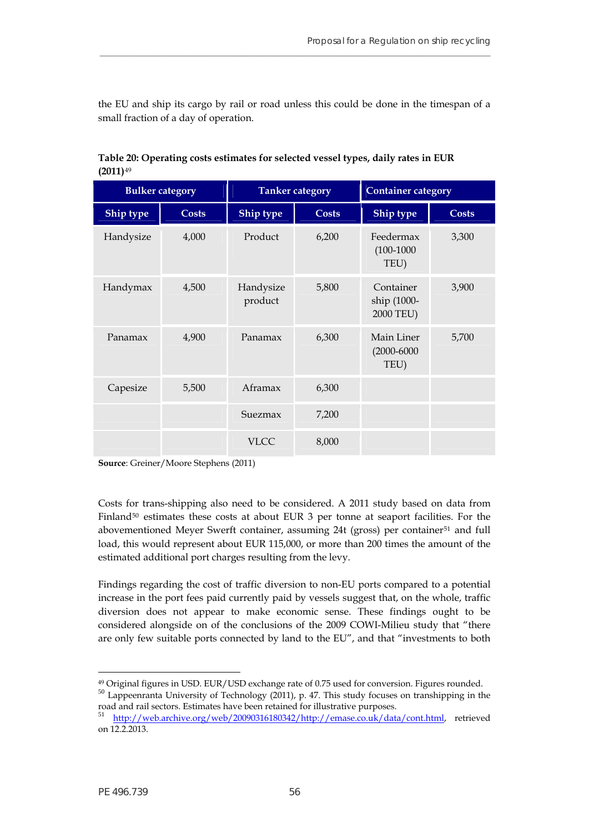the EU and ship its cargo by rail or road unless this could be done in the timespan of a small fraction of a day of operation.

**\_\_\_\_\_\_\_\_\_\_\_\_\_\_\_\_\_\_\_\_\_\_\_\_\_\_\_\_\_\_\_\_\_\_\_\_\_\_\_\_\_\_\_\_\_\_\_\_\_\_\_\_\_\_\_\_\_\_\_\_\_\_\_\_\_\_\_\_\_\_\_\_\_\_\_\_\_\_\_**

<span id="page-57-0"></span>

| <b>Bulker category</b> |       | <b>Tanker</b> category |              | <b>Container category</b>             |       |
|------------------------|-------|------------------------|--------------|---------------------------------------|-------|
| Ship type              | Costs | Ship type              | <b>Costs</b> | Ship type                             | Costs |
| Handysize              | 4,000 | Product                | 6,200        | Feedermax<br>$(100-1000)$<br>TEU)     | 3,300 |
| Handymax               | 4,500 | Handysize<br>product   | 5,800        | Container<br>ship (1000-<br>2000 TEU) | 3,900 |
| Panamax                | 4,900 | Panamax                | 6,300        | Main Liner<br>$(2000 - 6000)$<br>TEU) | 5,700 |
| Capesize               | 5,500 | Aframax                | 6,300        |                                       |       |
|                        |       | Suezmax                | 7,200        |                                       |       |
|                        |       | <b>VLCC</b>            | 8,000        |                                       |       |

**Table 20: Operating costs estimates for selected vessel types, daily rates in EUR**  <sup>49</sup> **(2011)**

**Source**: Greiner/Moore Stephens (2011)

load, this would represent about EUR 115,000, or more than 200 times the amount of the estimated additional port charges resulting from the levy. Costs for trans-shipping also need to be considered. A 2011 study based on data from Finland $50$  estimates these costs at about EUR 3 per tonne at seaport facilities. For the abovementioned Meyer Swerft container, assuming 24t (gross) per container<sup>[51](#page-57-2)</sup> and full

are only few suitable ports connected by land to the EU", and that "investments to both Findings regarding the cost of traffic diversion to non-EU ports compared to a potential increase in the port fees paid currently paid by vessels suggest that, on the whole, traffic diversion does not appear to make economic sense. These findings ought to be considered alongside on of the conclusions of the 2009 COWI-Milieu study that "there

<sup>49</sup> Original figures in USD. EUR/USD exchange rate of 0.75 used for conversion. Figures rounded. <sup>50</sup> Lappeenranta University of Technology (2011), p. 47. This study focuses on transhipping in the

<span id="page-57-1"></span>road and rail sectors. Estimates have been retained for illustrative purposes.<br>
<sup>51</sup> <http://web.archive.org/web/20090316180342/http://emase.co.uk/data/cont.html>, retrieved

<span id="page-57-2"></span>on 12.2.2013.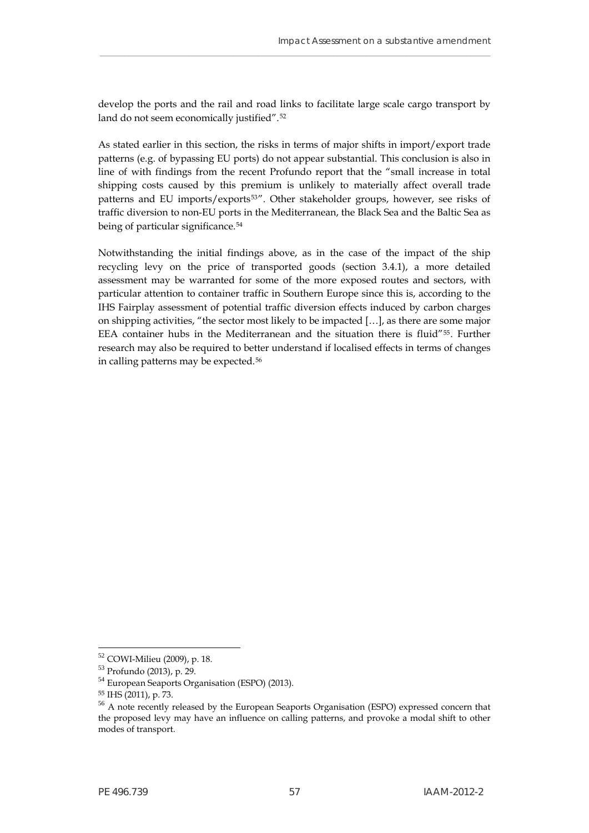develop the ports and the rail and road links to facilitate large scale cargo transport by land do not seem economically justified".<sup>[52](#page-58-0)</sup>

\_\_\_\_\_\_\_\_\_\_\_\_\_\_\_\_\_\_\_\_\_\_\_\_\_\_\_\_\_\_\_\_\_\_\_\_\_\_\_\_\_\_\_\_\_\_\_\_\_\_\_\_\_\_\_\_\_\_\_\_\_\_\_\_\_\_\_\_\_\_\_\_\_\_\_\_\_\_\_

As stated earlier in this section, the risks in terms of major shifts in import/export trade patterns (e.g. of bypassing EU ports) do not appear substantial. This conclusion is also in line of with findings from the recent Profundo report that the "small increase in total shipping costs caused by this premium is unlikely to materially affect overall trade patterns and EU imports/exports<sup>[53](#page-58-1)"</sup>. Other stakeholder groups, however, see risks of traffic diversion to non-EU ports in the Mediterranean, the Black Sea and the Baltic Sea as being of particular significance.<sup>[54](#page-58-2)</sup>

Notwithstanding the initial findings above, as in the case of the impact of the ship recycling levy on the price of transported goods (section 3.4.1), a more detailed assessment may be warranted for some of the more exposed routes and sectors, with particular attention to container traffic in Southern Europe since this is, according to the IHS Fairplay assessment of potential traffic diversion effects induced by carbon charges on shipping activities, "the sector most likely to be impacted […], as there are some major EEA container hubs in the Mediterranean and the situation there is fluid"[55](#page-58-3). Further research may also be required to better understand if localised effects in terms of changes in calling patterns may be expected.[56](#page-58-4)

<span id="page-58-0"></span><sup>52</sup> COWI-Milieu (2009), p. 18.

<sup>53</sup> Profundo (2013), p. 29.

<span id="page-58-2"></span><span id="page-58-1"></span><sup>54</sup> European Seaports Organisation (ESPO) (2013).

<span id="page-58-3"></span><sup>55</sup> IHS (2011), p. 73.

<span id="page-58-4"></span><sup>&</sup>lt;sup>56</sup> A note recently released by the European Seaports Organisation (ESPO) expressed concern that the proposed levy may have an influence on calling patterns, and provoke a modal shift to other modes of transport.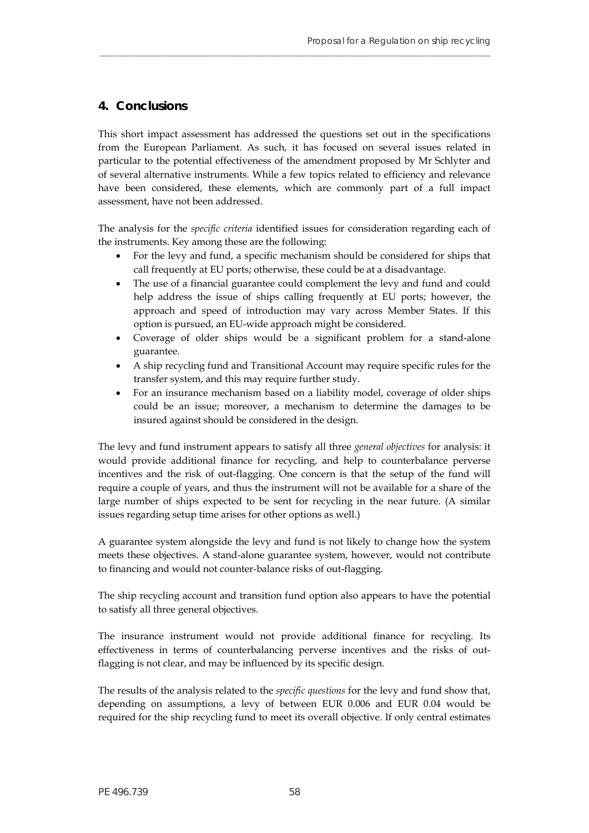## <span id="page-59-0"></span>**4. Conclusions**

This short impact assessment has addressed the questions set out in the specifications from the European Parliament. As such, it has focused on several issues related in particular to the potential effectiveness of the amendment proposed by Mr Schlyter and of several alternative instruments. While a few topics related to efficiency and relevance have been considered, these elements, which are commonly part of a full impact assessment, have not been addressed.

**\_\_\_\_\_\_\_\_\_\_\_\_\_\_\_\_\_\_\_\_\_\_\_\_\_\_\_\_\_\_\_\_\_\_\_\_\_\_\_\_\_\_\_\_\_\_\_\_\_\_\_\_\_\_\_\_\_\_\_\_\_\_\_\_\_\_\_\_\_\_\_\_\_\_\_\_\_\_\_**

The analysis for the *specific criteria* identified issues for consideration regarding each of the instruments. Key among these are the following:

- For the levy and fund, a specific mechanism should be considered for ships that call frequently at EU ports; otherwise, these could be at a disadvantage.
- The use of a financial guarantee could complement the levy and fund and could help address the issue of ships calling frequently at EU ports; however, the approach and speed of introduction may vary across Member States. If this option is pursued, an EU-wide approach might be considered.
- Coverage of older ships would be a significant problem for a stand-alone guarantee.
- A ship recycling fund and Transitional Account may require specific rules for the transfer system, and this may require further study.
- For an insurance mechanism based on a liability model, coverage of older ships could be an issue; moreover, a mechanism to determine the damages to be insured against should be considered in the design.

The levy and fund instrument appears to satisfy all three *general objectives* for analysis: it would provide additional finance for recycling, and help to counterbalance perverse incentives and the risk of out-flagging. One concern is that the setup of the fund will require a couple of years, and thus the instrument will not be available for a share of the large number of ships expected to be sent for recycling in the near future. (A similar issues regarding setup time arises for other options as well.)

A guarantee system alongside the levy and fund is not likely to change how the system meets these objectives. A stand-alone guarantee system, however, would not contribute to financing and would not counter-balance risks of out-flagging.

The ship recycling account and transition fund option also appears to have the potential to satisfy all three general objectives.

The insurance instrument would not provide additional finance for recycling. Its effectiveness in terms of counterbalancing perverse incentives and the risks of outflagging is not clear, and may be influenced by its specific design.

The results of the analysis related to the *specific questions* for the levy and fund show that, depending on assumptions, a levy of between EUR 0.006 and EUR 0.04 would be required for the ship recycling fund to meet its overall objective. If only central estimates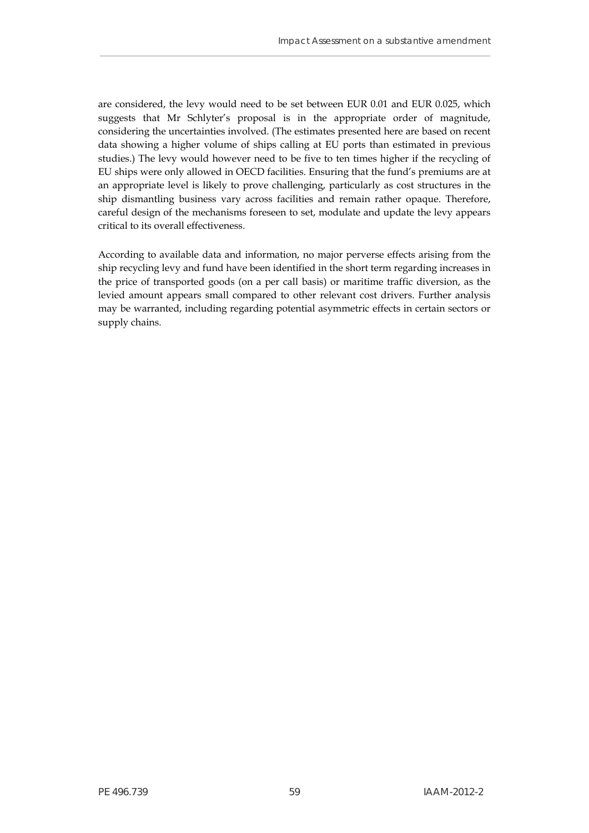are considered, the levy would need to be set between EUR 0.01 and EUR 0.025, which suggests that Mr Schlyter's proposal is in the appropriate order of magnitude, considering the uncertainties involved. (The estimates presented here are based on recent data showing a higher volume of ships calling at EU ports than estimated in previous studies.) The levy would however need to be five to ten times higher if the recycling of EU ships were only allowed in OECD facilities. Ensuring that the fund's premiums are at an appropriate level is likely to prove challenging, particularly as cost structures in the ship dismantling business vary across facilities and remain rather opaque. Therefore, careful design of the mechanisms foreseen to set, modulate and update the levy appears critical to its overall effectiveness.

\_\_\_\_\_\_\_\_\_\_\_\_\_\_\_\_\_\_\_\_\_\_\_\_\_\_\_\_\_\_\_\_\_\_\_\_\_\_\_\_\_\_\_\_\_\_\_\_\_\_\_\_\_\_\_\_\_\_\_\_\_\_\_\_\_\_\_\_\_\_\_\_\_\_\_\_\_\_\_

According to available data and information, no major perverse effects arising from the ship recycling levy and fund have been identified in the short term regarding increases in the price of transported goods (on a per call basis) or maritime traffic diversion, as the levied amount appears small compared to other relevant cost drivers. Further analysis may be warranted, including regarding potential asymmetric effects in certain sectors or supply chains.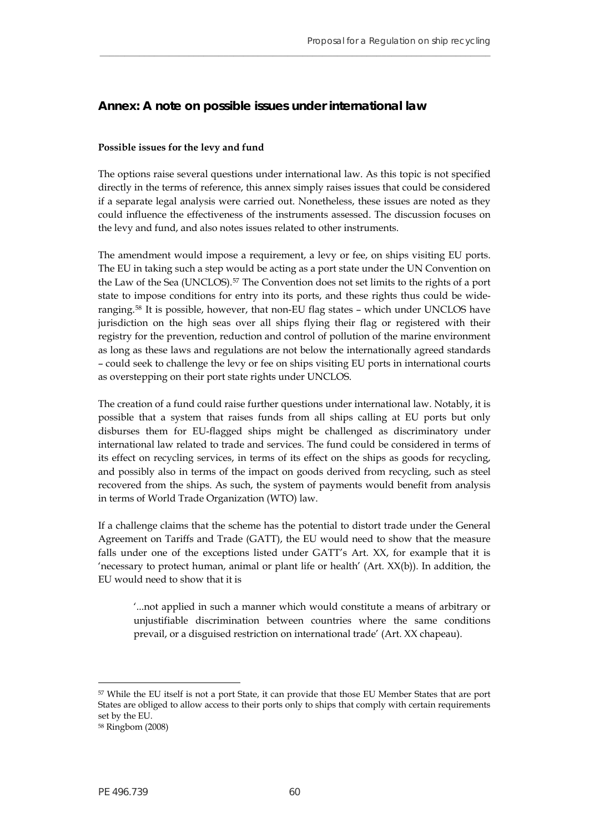## <span id="page-61-0"></span>**Annex: A note on possible issues under international law**

#### **Possible issues for the levy and fund**

The options raise several questions under international law. As this topic is not specified directly in the terms of reference, this annex simply raises issues that could be considered if a separate legal analysis were carried out. Nonetheless, these issues are noted as they could influence the effectiveness of the instruments assessed. The discussion focuses on the levy and fund, and also notes issues related to other instruments.

**\_\_\_\_\_\_\_\_\_\_\_\_\_\_\_\_\_\_\_\_\_\_\_\_\_\_\_\_\_\_\_\_\_\_\_\_\_\_\_\_\_\_\_\_\_\_\_\_\_\_\_\_\_\_\_\_\_\_\_\_\_\_\_\_\_\_\_\_\_\_\_\_\_\_\_\_\_\_\_**

The amendment would impose a requirement, a levy or fee, on ships visiting EU ports. The EU in taking such a step would be acting as a port state under the UN Convention on the Law of the Sea (UNCLOS).[57](#page-61-1) The Convention does not set limits to the rights of a port state to impose conditions for entry into its ports, and these rights thus could be wideranging.[58](#page-61-2) It is possible, however, that non-EU flag states – which under UNCLOS have jurisdiction on the high seas over all ships flying their flag or registered with their registry for the prevention, reduction and control of pollution of the marine environment as long as these laws and regulations are not below the internationally agreed standards – could seek to challenge the levy or fee on ships visiting EU ports in international courts as overstepping on their port state rights under UNCLOS.

The creation of a fund could raise further questions under international law. Notably, it is possible that a system that raises funds from all ships calling at EU ports but only disburses them for EU-flagged ships might be challenged as discriminatory under international law related to trade and services. The fund could be considered in terms of its effect on recycling services, in terms of its effect on the ships as goods for recycling, and possibly also in terms of the impact on goods derived from recycling, such as steel recovered from the ships. As such, the system of payments would benefit from analysis in terms of World Trade Organization (WTO) law.

If a challenge claims that the scheme has the potential to distort trade under the General Agreement on Tariffs and Trade (GATT), the EU would need to show that the measure falls under one of the exceptions listed under GATT's Art. XX, for example that it is 'necessary to protect human, animal or plant life or health' (Art. XX(b)). In addition, the EU would need to show that it is

'...not applied in such a manner which would constitute a means of arbitrary or unjustifiable discrimination between countries where the same conditions prevail, or a disguised restriction on international trade' (Art. XX chapeau).

<span id="page-61-1"></span><sup>57</sup> While the EU itself is not a port State, it can provide that those EU Member States that are port States are obliged to allow access to their ports only to ships that comply with certain requirements set by the EU.

<span id="page-61-2"></span><sup>58</sup> Ringbom (2008)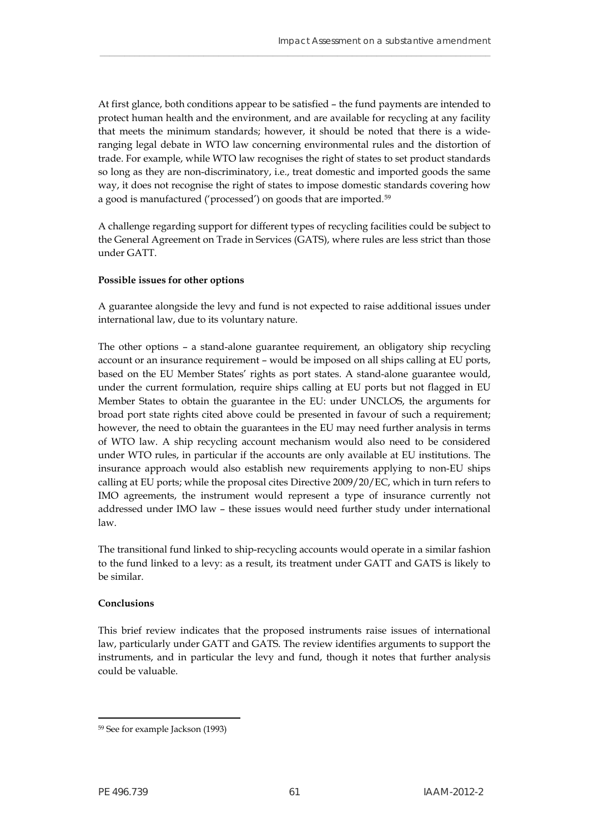At first glance, both conditions appear to be satisfied – the fund payments are intended to protect human health and the environment, and are available for recycling at any facility that meets the minimum standards; however, it should be noted that there is a wideranging legal debate in WTO law concerning environmental rules and the distortion of trade. For example, while WTO law recognises the right of states to set product standards so long as they are non-discriminatory, i.e., treat domestic and imported goods the same way, it does not recognise the right of states to impose domestic standards covering how a good is manufactured ('processed') on goods that are imported.[59](#page-62-0)

\_\_\_\_\_\_\_\_\_\_\_\_\_\_\_\_\_\_\_\_\_\_\_\_\_\_\_\_\_\_\_\_\_\_\_\_\_\_\_\_\_\_\_\_\_\_\_\_\_\_\_\_\_\_\_\_\_\_\_\_\_\_\_\_\_\_\_\_\_\_\_\_\_\_\_\_\_\_\_

A challenge regarding support for different types of recycling facilities could be subject to the General Agreement on Trade in Services (GATS), where rules are less strict than those under GATT.

#### **Possible issues for other options**

A guarantee alongside the levy and fund is not expected to raise additional issues under international law, due to its voluntary nature.

The other options – a stand-alone guarantee requirement, an obligatory ship recycling account or an insurance requirement – would be imposed on all ships calling at EU ports, based on the EU Member States' rights as port states. A stand-alone guarantee would, under the current formulation, require ships calling at EU ports but not flagged in EU Member States to obtain the guarantee in the EU: under UNCLOS, the arguments for broad port state rights cited above could be presented in favour of such a requirement; however, the need to obtain the guarantees in the EU may need further analysis in terms of WTO law. A ship recycling account mechanism would also need to be considered under WTO rules, in particular if the accounts are only available at EU institutions. The insurance approach would also establish new requirements applying to non-EU ships calling at EU ports; while the proposal cites Directive 2009/20/EC, which in turn refers to IMO agreements, the instrument would represent a type of insurance currently not addressed under IMO law – these issues would need further study under international law.

The transitional fund linked to ship-recycling accounts would operate in a similar fashion to the fund linked to a levy: as a result, its treatment under GATT and GATS is likely to be similar.

#### **Conclusions**

This brief review indicates that the proposed instruments raise issues of international law, particularly under GATT and GATS. The review identifies arguments to support the instruments, and in particular the levy and fund, though it notes that further analysis could be valuable.

<span id="page-62-0"></span><sup>59</sup> See for example Jackson (1993)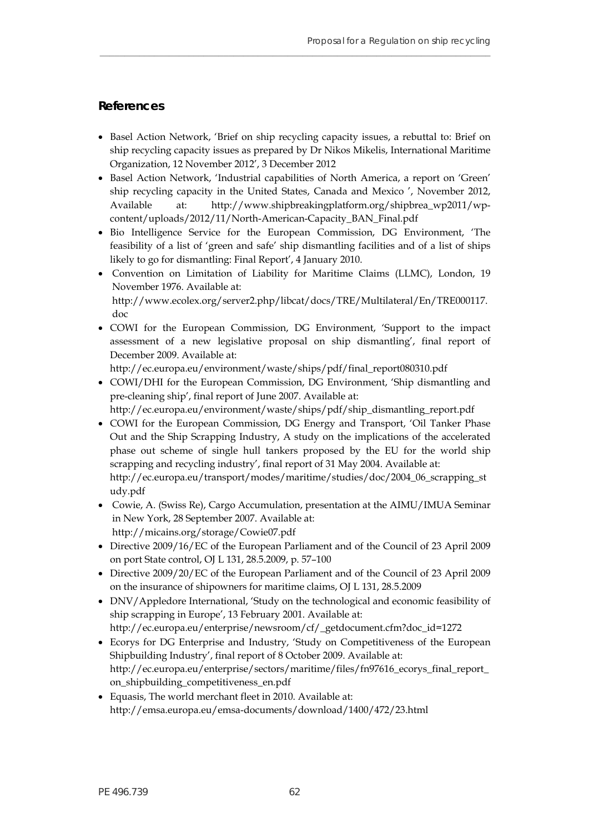## <span id="page-63-0"></span>**References**

 Basel Action Network, 'Brief on ship recycling capacity issues, a rebuttal to: Brief on ship recycling capacity issues as prepared by Dr Nikos Mikelis, International Maritime Organization, 12 November 2012', 3 December 2012

**\_\_\_\_\_\_\_\_\_\_\_\_\_\_\_\_\_\_\_\_\_\_\_\_\_\_\_\_\_\_\_\_\_\_\_\_\_\_\_\_\_\_\_\_\_\_\_\_\_\_\_\_\_\_\_\_\_\_\_\_\_\_\_\_\_\_\_\_\_\_\_\_\_\_\_\_\_\_\_**

- Basel Action Network, 'Industrial capabilities of North America, a report on 'Green' ship recycling capacity in the United States, Canada and Mexico ', November 2012, Available at: [http://www.shipbreakingplatform.org/shipbrea\\_wp2011/wp](http://www.shipbreakingplatform.org/shipbrea_wp2011/wp-content/uploads/2012/11/North-American-Capacity_BAN_Final.pdf)[content/uploads/2012/11/North-American-Capacity\\_BAN\\_Final.pdf](http://www.shipbreakingplatform.org/shipbrea_wp2011/wp-content/uploads/2012/11/North-American-Capacity_BAN_Final.pdf)
- Bio Intelligence Service for the European Commission, DG Environment, 'The feasibility of a list of 'green and safe' ship dismantling facilities and of a list of ships likely to go for dismantling: Final Report', 4 January 2010.
- Convention on Limitation of Liability for Maritime Claims (LLMC), London, 19 November 1976. Available at: [http://www.ecolex.org/server2.php/libcat/docs/TRE/Multilateral/En/TRE000117.](http://www.ecolex.org/server2.php/libcat/docs/TRE/Multilateral/En/TRE000117.doc) [doc](http://www.ecolex.org/server2.php/libcat/docs/TRE/Multilateral/En/TRE000117.doc)
- COWI for the European Commission, DG Environment, 'Support to the impact assessment of a new legislative proposal on ship dismantling', final report of December 2009. Available at:

[http://ec.europa.eu/environment/waste/ships/pdf/final\\_report080310.pdf](http://ec.europa.eu/environment/waste/ships/pdf/final_report080310.pdf)

 COWI/DHI for the European Commission, DG Environment, 'Ship dismantling and pre-cleaning ship', final report of June 2007. Available at:

[http://ec.europa.eu/environment/waste/ships/pdf/ship\\_dismantling\\_report.pdf](http://ec.europa.eu/environment/waste/ships/pdf/ship_dismantling_report.pdf) 

- COWI for the European Commission, DG Energy and Transport, 'Oil Tanker Phase Out and the Ship Scrapping Industry, A study on the implications of the accelerated phase out scheme of single hull tankers proposed by the EU for the world ship scrapping and recycling industry', final report of 31 May 2004. Available at: [http://ec.europa.eu/transport/modes/maritime/studies/doc/2004\\_06\\_scrapping\\_st](http://ec.europa.eu/transport/modes/maritime/studies/doc/2004_06_scrapping_study.pdf) [udy.pdf](http://ec.europa.eu/transport/modes/maritime/studies/doc/2004_06_scrapping_study.pdf)
- Cowie, A. (Swiss Re), Cargo Accumulation, presentation at the AIMU/IMUA Seminar in New York, 28 September 2007. Available at: <http://micains.org/storage/Cowie07.pdf>
- Directive 2009/16/EC of the European Parliament and of the Council of 23 April 2009 on port State control, OJ L 131, 28.5.2009, p. 57–100
- Directive 2009/20/EC of the European Parliament and of the Council of 23 April 2009 on the insurance of shipowners for maritime claims, OJ L 131, 28.5.2009
- DNV/Appledore International, 'Study on the technological and economic feasibility of ship scrapping in Europe', 13 February 2001. Available at: [http://ec.europa.eu/enterprise/newsroom/cf/\\_getdocument.cfm?doc\\_id=1272](http://ec.europa.eu/enterprise/newsroom/cf/_getdocument.cfm?doc_id=1272)
- Ecorys for DG Enterprise and Industry, 'Study on Competitiveness of the European Shipbuilding Industry', final report of 8 October 2009. Available at: [http://ec.europa.eu/enterprise/sectors/maritime/files/fn97616\\_ecorys\\_final\\_report\\_](http://ec.europa.eu/enterprise/sectors/maritime/files/fn97616_ecorys_final_report_on_shipbuilding_competitiveness_en.pdf) [on\\_shipbuilding\\_competitiveness\\_en.pdf](http://ec.europa.eu/enterprise/sectors/maritime/files/fn97616_ecorys_final_report_on_shipbuilding_competitiveness_en.pdf)
- Equasis, The world merchant fleet in 2010. Available at: <http://emsa.europa.eu/emsa-documents/download/1400/472/23.html>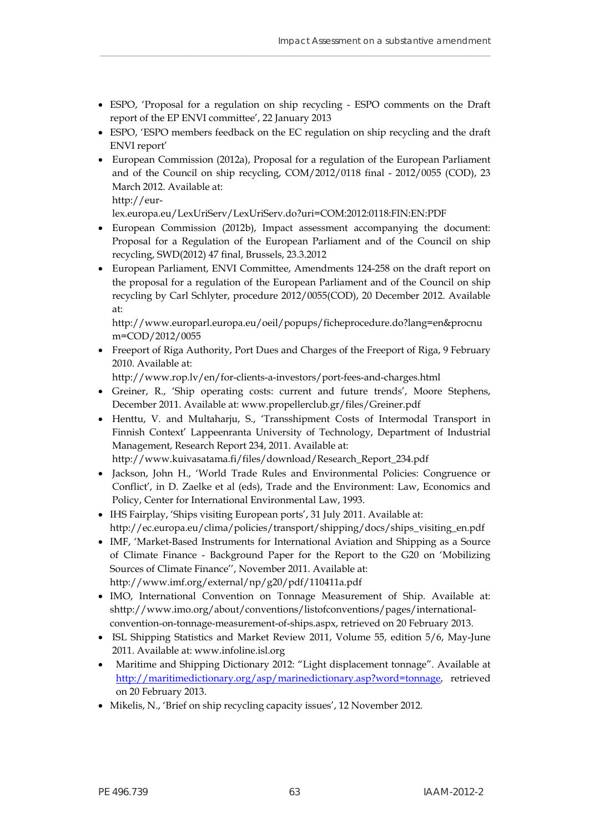ESPO, 'Proposal for a regulation on ship recycling - ESPO comments on the Draft report of the EP ENVI committee', 22 January 2013

\_\_\_\_\_\_\_\_\_\_\_\_\_\_\_\_\_\_\_\_\_\_\_\_\_\_\_\_\_\_\_\_\_\_\_\_\_\_\_\_\_\_\_\_\_\_\_\_\_\_\_\_\_\_\_\_\_\_\_\_\_\_\_\_\_\_\_\_\_\_\_\_\_\_\_\_\_\_\_

- ESPO, 'ESPO members feedback on the EC regulation on ship recycling and the draft ENVI report'
- European Commission (2012a), Proposal for a regulation of the European Parliament and of the Council on ship recycling, COM/2012/0118 final - 2012/0055 (COD), 23 March 2012. Available at:

[http://eur-](http://eur-lex.europa.eu/LexUriServ/LexUriServ.do?uri=COM:2012:0118:FIN:EN:PDF)

[lex.europa.eu/LexUriServ/LexUriServ.do?uri=COM:2012:0118:FIN:EN:PDF](http://eur-lex.europa.eu/LexUriServ/LexUriServ.do?uri=COM:2012:0118:FIN:EN:PDF) 

- European Commission (2012b), Impact assessment accompanying the document: Proposal for a Regulation of the European Parliament and of the Council on ship recycling, SWD(2012) 47 final, Brussels, 23.3.2012
- European Parliament, ENVI Committee, Amendments 124-258 on the draft report on the proposal for a regulation of the European Parliament and of the Council on ship recycling by Carl Schlyter, procedure 2012/0055(COD), 20 December 2012. Available at:

[http://www.europarl.europa.eu/oeil/popups/ficheprocedure.do?lang=en&procnu](http://www.europarl.europa.eu/oeil/popups/ficheprocedure.do?lang=en&procnum=COD/2012/0055) [m=COD/2012/0055](http://www.europarl.europa.eu/oeil/popups/ficheprocedure.do?lang=en&procnum=COD/2012/0055)

 Freeport of Riga Authority, Port Dues and Charges of the Freeport of Riga, 9 February 2010. Available at:

<http://www.rop.lv/en/for-clients-a-investors/port-fees-and-charges.html>

- Greiner, R., 'Ship operating costs: current and future trends', Moore Stephens, December 2011. Available at: [www.propellerclub.gr/files/Greiner.pdf](http://www.propellerclub.gr/files/Greiner.pdf)
- Henttu, V. and Multaharju, S., 'Transshipment Costs of Intermodal Transport in Finnish Context' Lappeenranta University of Technology, Department of Industrial Management, Research Report 234, 2011. Available at:

[http://www.kuivasatama.fi/files/download/Research\\_Report\\_234.pdf](http://www.kuivasatama.fi/files/download/Research_Report_234.pdf) 

- Jackson, John H., 'World Trade Rules and Environmental Policies: Congruence or Conflict', in D. Zaelke et al (eds), Trade and the Environment: Law, Economics and Policy, Center for International Environmental Law, 1993.
- IHS Fairplay, 'Ships visiting European ports', 31 July 2011. Available at: [http://ec.europa.eu/clima/policies/transport/shipping/docs/ships\\_visiting\\_en.pdf](http://ec.europa.eu/clima/policies/transport/shipping/docs/ships_visiting_en.pdf)
- IMF, 'Market-Based Instruments for International Aviation and Shipping as a Source of Climate Finance - Background Paper for the Report to the G20 on 'Mobilizing Sources of Climate Finance'', November 2011. Available at: <http://www.imf.org/external/np/g20/pdf/110411a.pdf>
- IMO, International Convention on Tonnage Measurement of Ship. Available at: shttp://www.imo.org/about/conventions/listofconventions/pages/internationalconvention-on-tonnage-measurement-of-ships.aspx, retrieved on 20 February 2013.
- ISL Shipping Statistics and Market Review 2011, Volume 55, edition 5/6, May-June 2011. Available at: [www.infoline.isl.org](http://www.infoline.isl.org/)
- Maritime and Shipping Dictionary 2012: "Light displacement tonnage". Available at [http://maritimedictionary.org/asp/marinedictionary.asp?word=tonnage,](http://maritimedictionary.org/asp/marinedictionary.asp?word=tonnage) retrieved on 20 February 2013.
- Mikelis, N., 'Brief on ship recycling capacity issues', 12 November 2012.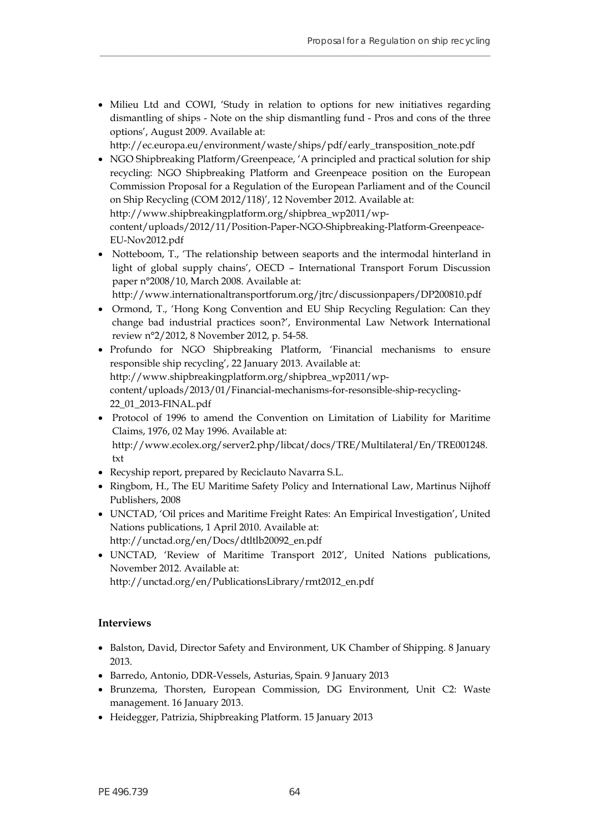• Milieu Ltd and COWI, 'Study in relation to options for new initiatives regarding dismantling of ships - Note on the ship dismantling fund - Pros and cons of the three options', August 2009. Available at:

**\_\_\_\_\_\_\_\_\_\_\_\_\_\_\_\_\_\_\_\_\_\_\_\_\_\_\_\_\_\_\_\_\_\_\_\_\_\_\_\_\_\_\_\_\_\_\_\_\_\_\_\_\_\_\_\_\_\_\_\_\_\_\_\_\_\_\_\_\_\_\_\_\_\_\_\_\_\_\_**

- [http://ec.europa.eu/environment/waste/ships/pdf/early\\_transposition\\_note.pdf](http://ec.europa.eu/environment/waste/ships/pdf/early_transposition_note.pdf)
- NGO Shipbreaking Platform/Greenpeace, 'A principled and practical solution for ship recycling: NGO Shipbreaking Platform and Greenpeace position on the European Commission Proposal for a Regulation of the European Parliament and of the Council on Ship Recycling (COM 2012/118)', 12 November 2012. Available at: [http://www.shipbreakingplatform.org/shipbrea\\_wp2011/wp-](http://www.shipbreakingplatform.org/shipbrea_wp2011/wp-content/uploads/2012/11/Position-Paper-NGO-Shipbreaking-Platform-Greenpeace-EU-Nov2012.pdf)

[content/uploads/2012/11/Position-Paper-NGO-Shipbreaking-Platform-Greenpeace-](http://www.shipbreakingplatform.org/shipbrea_wp2011/wp-content/uploads/2012/11/Position-Paper-NGO-Shipbreaking-Platform-Greenpeace-EU-Nov2012.pdf)[EU-Nov2012.pdf](http://www.shipbreakingplatform.org/shipbrea_wp2011/wp-content/uploads/2012/11/Position-Paper-NGO-Shipbreaking-Platform-Greenpeace-EU-Nov2012.pdf) 

 Notteboom, T., 'The relationship between seaports and the intermodal hinterland in light of global supply chains', OECD – International Transport Forum Discussion paper n°2008/10, March 2008. Available at:

<http://www.internationaltransportforum.org/jtrc/discussionpapers/DP200810.pdf>

- Ormond, T., 'Hong Kong Convention and EU Ship Recycling Regulation: Can they change bad industrial practices soon?', Environmental Law Network International review n°2/2012, 8 November 2012, p. 54-58.
- Profundo for NGO Shipbreaking Platform, 'Financial mechanisms to ensure responsible ship recycling', 22 January 2013. Available at: [http://www.shipbreakingplatform.org/shipbrea\\_wp2011/wp](http://www.shipbreakingplatform.org/shipbrea_wp2011/wp-content/uploads/2013/01/Financial-mechanisms-for-resonsible-ship-recycling-22_01_2013-FINAL.pdf)[content/uploads/2013/01/Financial-mechanisms-for-resonsible-ship-recycling-](http://www.shipbreakingplatform.org/shipbrea_wp2011/wp-content/uploads/2013/01/Financial-mechanisms-for-resonsible-ship-recycling-22_01_2013-FINAL.pdf)[22\\_01\\_2013-FINAL.pdf](http://www.shipbreakingplatform.org/shipbrea_wp2011/wp-content/uploads/2013/01/Financial-mechanisms-for-resonsible-ship-recycling-22_01_2013-FINAL.pdf)
- Protocol of 1996 to amend the Convention on Limitation of Liability for Maritime Claims, 1976, 02 May 1996. Available at: [http://www.ecolex.org/server2.php/libcat/docs/TRE/Multilateral/En/TRE001248.](http://www.ecolex.org/server2.php/libcat/docs/TRE/Multilateral/En/TRE001248.txt) [txt](http://www.ecolex.org/server2.php/libcat/docs/TRE/Multilateral/En/TRE001248.txt)
- Recyship report, prepared by Reciclauto Navarra S.L.
- Ringbom, H., The EU Maritime Safety Policy and International Law, Martinus Nijhoff Publishers, 2008
- UNCTAD, 'Oil prices and Maritime Freight Rates: An Empirical Investigation', United Nations publications, 1 April 2010. Available at: [http://unctad.org/en/Docs/dtltlb20092\\_en.pdf](http://unctad.org/en/Docs/dtltlb20092_en.pdf)
- UNCTAD, 'Review of Maritime Transport 2012', United Nations publications, November 2012. Available at:

[http://unctad.org/en/PublicationsLibrary/rmt2012\\_en.pdf](http://unctad.org/en/PublicationsLibrary/rmt2012_en.pdf)

#### **Interviews**

- Balston, David, Director Safety and Environment, UK Chamber of Shipping. 8 January 2013.
- Barredo, Antonio, DDR-Vessels, Asturias, Spain. 9 January 2013
- Brunzema, Thorsten, European Commission, DG Environment, Unit C2: Waste management. 16 January 2013.
- Heidegger, Patrizia, Shipbreaking Platform. 15 January 2013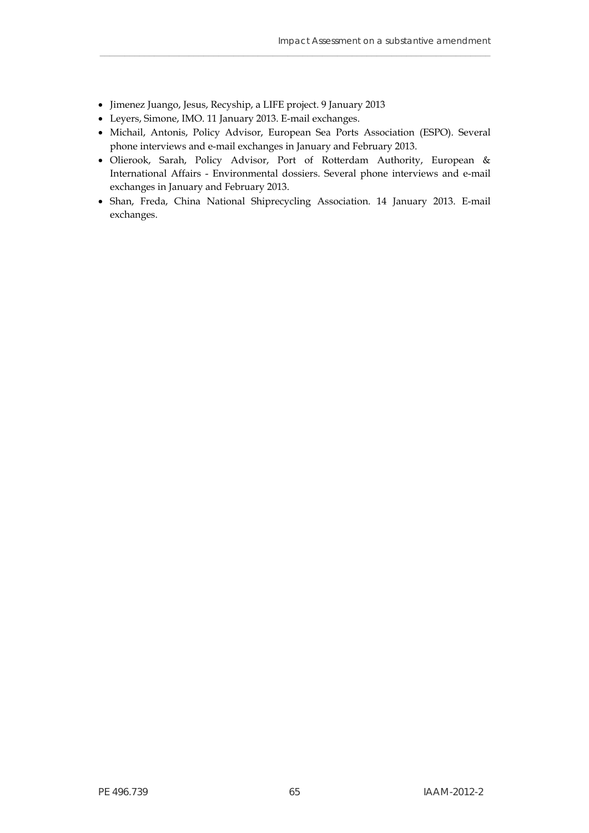- Jimenez Juango, Jesus, Recyship, a LIFE project. 9 January 2013
- Leyers, Simone, IMO. 11 January 2013. E-mail exchanges.
- Michail, Antonis, Policy Advisor, European Sea Ports Association (ESPO). Several phone interviews and e-mail exchanges in January and February 2013.

- Olierook, Sarah, Policy Advisor, Port of Rotterdam Authority, European & International Affairs - Environmental dossiers. Several phone interviews and e-mail exchanges in January and February 2013.
- Shan, Freda, China National Shiprecycling Association. 14 January 2013. E-mail exchanges.